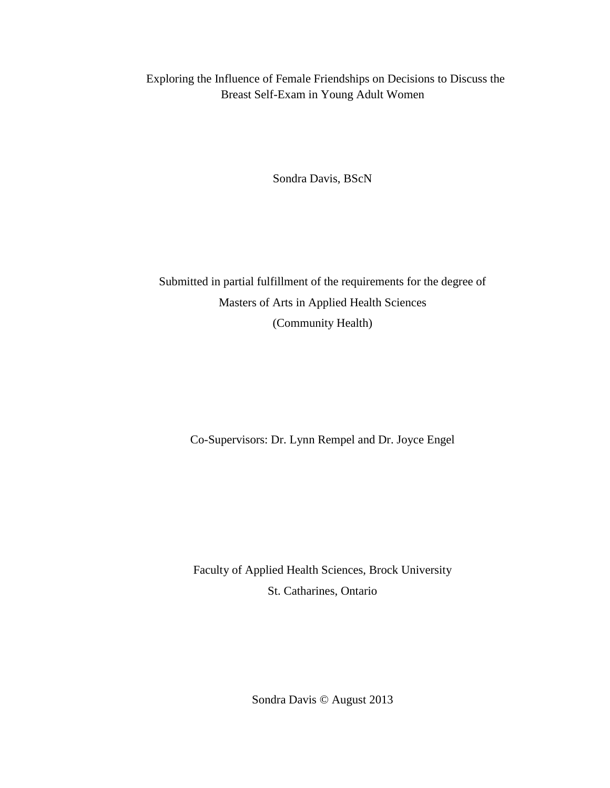Exploring the Influence of Female Friendships on Decisions to Discuss the Breast Self-Exam in Young Adult Women

Sondra Davis, BScN

Submitted in partial fulfillment of the requirements for the degree of Masters of Arts in Applied Health Sciences (Community Health)

Co-Supervisors: Dr. Lynn Rempel and Dr. Joyce Engel

Faculty of Applied Health Sciences, Brock University St. Catharines, Ontario

Sondra Davis © August 2013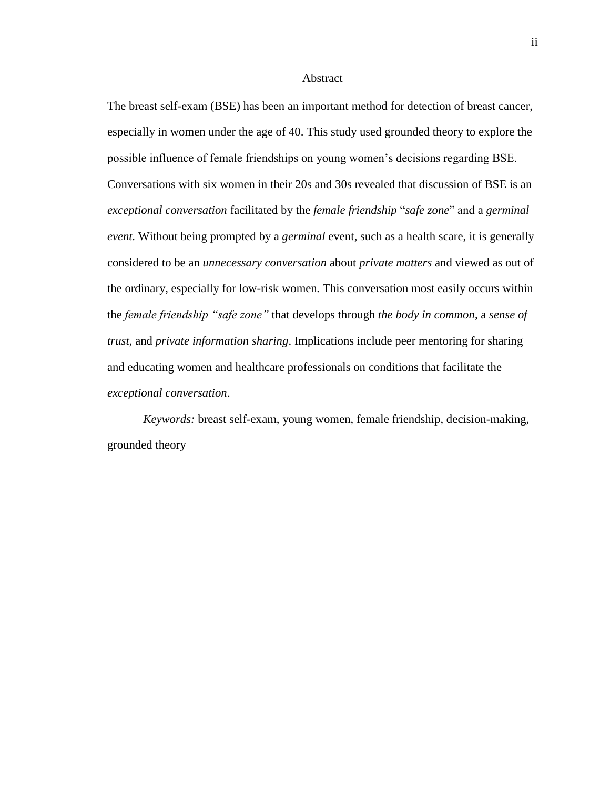#### Abstract

The breast self-exam (BSE) has been an important method for detection of breast cancer, especially in women under the age of 40. This study used grounded theory to explore the possible influence of female friendships on young women's decisions regarding BSE. Conversations with six women in their 20s and 30s revealed that discussion of BSE is an *exceptional conversation* facilitated by the *female friendship* "*safe zone*" and a *germinal event.* Without being prompted by a *germinal* event, such as a health scare, it is generally considered to be an *unnecessary conversation* about *private matters* and viewed as out of the ordinary, especially for low-risk women*.* This conversation most easily occurs within the *female friendship "safe zone"* that develops through *the body in common*, a *sense of trust*, and *private information sharing*. Implications include peer mentoring for sharing and educating women and healthcare professionals on conditions that facilitate the *exceptional conversation*.

*Keywords:* breast self-exam, young women, female friendship, decision-making, grounded theory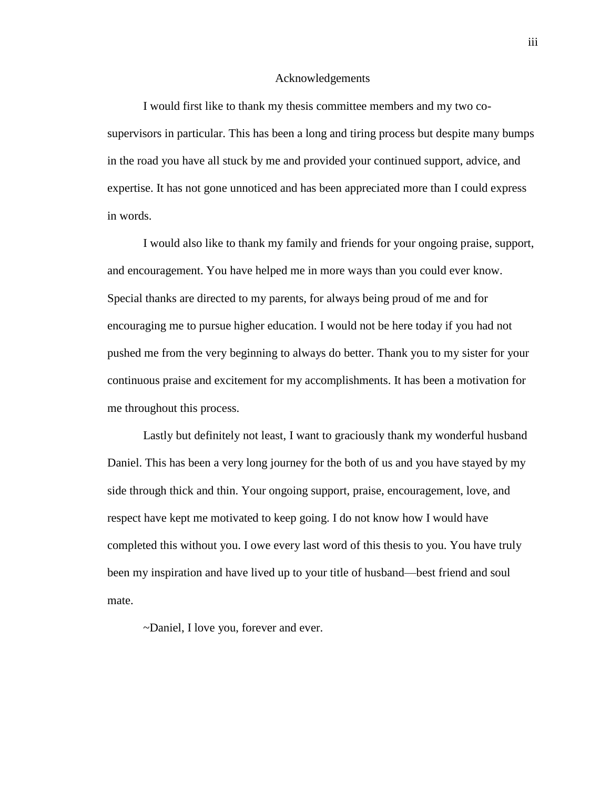#### Acknowledgements

I would first like to thank my thesis committee members and my two cosupervisors in particular. This has been a long and tiring process but despite many bumps in the road you have all stuck by me and provided your continued support, advice, and expertise. It has not gone unnoticed and has been appreciated more than I could express in words.

I would also like to thank my family and friends for your ongoing praise, support, and encouragement. You have helped me in more ways than you could ever know. Special thanks are directed to my parents, for always being proud of me and for encouraging me to pursue higher education. I would not be here today if you had not pushed me from the very beginning to always do better. Thank you to my sister for your continuous praise and excitement for my accomplishments. It has been a motivation for me throughout this process.

Lastly but definitely not least, I want to graciously thank my wonderful husband Daniel. This has been a very long journey for the both of us and you have stayed by my side through thick and thin. Your ongoing support, praise, encouragement, love, and respect have kept me motivated to keep going. I do not know how I would have completed this without you. I owe every last word of this thesis to you. You have truly been my inspiration and have lived up to your title of husband—best friend and soul mate.

~Daniel, I love you, forever and ever.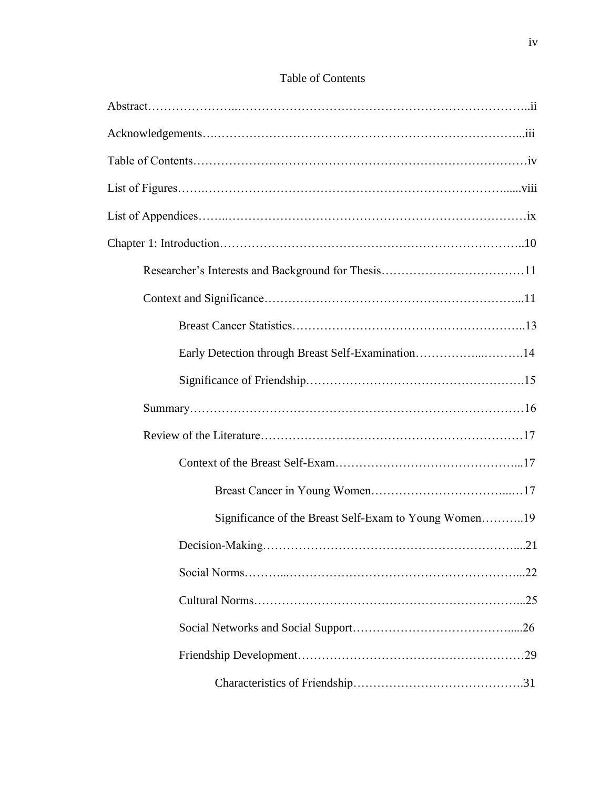| Early Detection through Breast Self-Examination14     |
|-------------------------------------------------------|
|                                                       |
|                                                       |
|                                                       |
|                                                       |
|                                                       |
| Significance of the Breast Self-Exam to Young Women19 |
| .21                                                   |
|                                                       |
|                                                       |
|                                                       |
|                                                       |
|                                                       |

# Table of Contents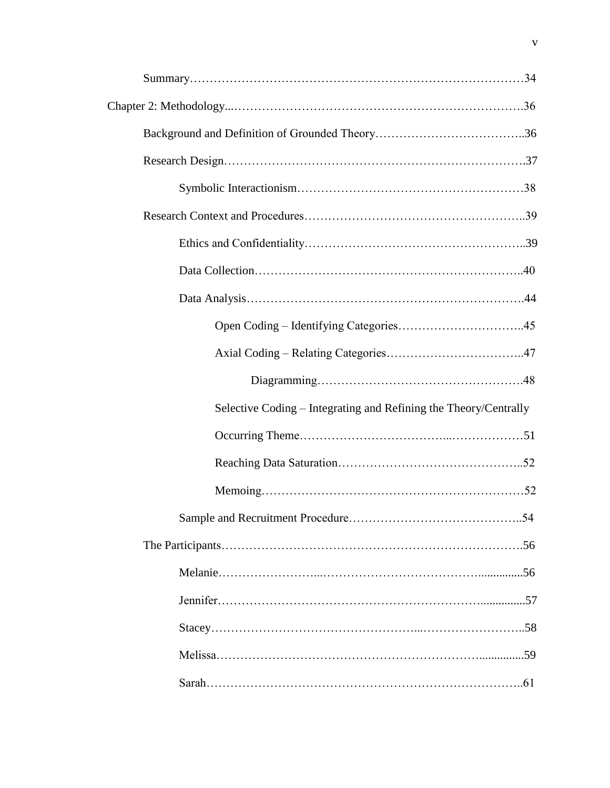| Selective Coding – Integrating and Refining the Theory/Centrally |  |
|------------------------------------------------------------------|--|
|                                                                  |  |
|                                                                  |  |
|                                                                  |  |
|                                                                  |  |
|                                                                  |  |
|                                                                  |  |
|                                                                  |  |
|                                                                  |  |
|                                                                  |  |
|                                                                  |  |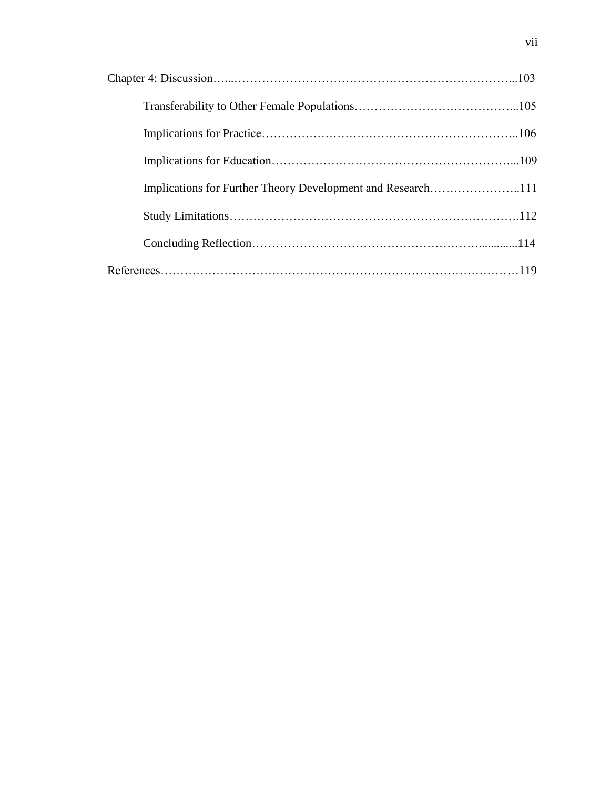| Implications for Further Theory Development and Research111 |  |
|-------------------------------------------------------------|--|
|                                                             |  |
|                                                             |  |
|                                                             |  |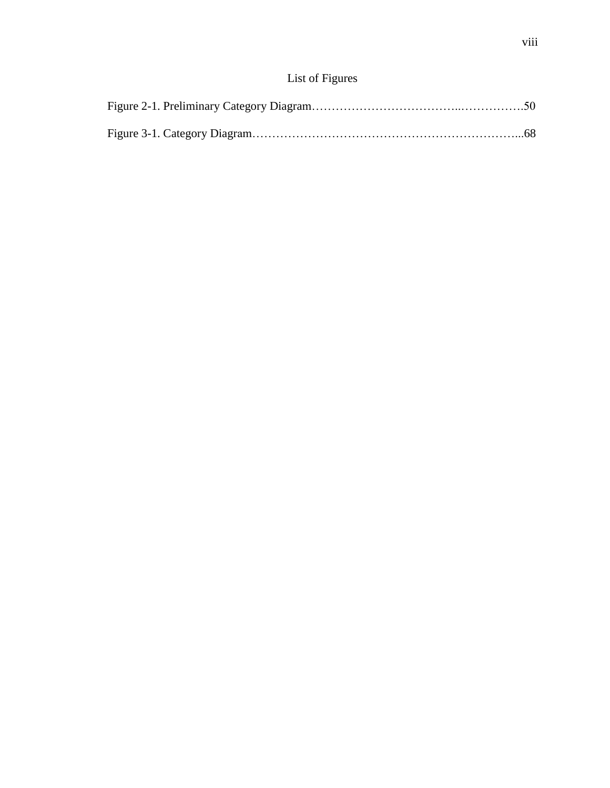# List of Figures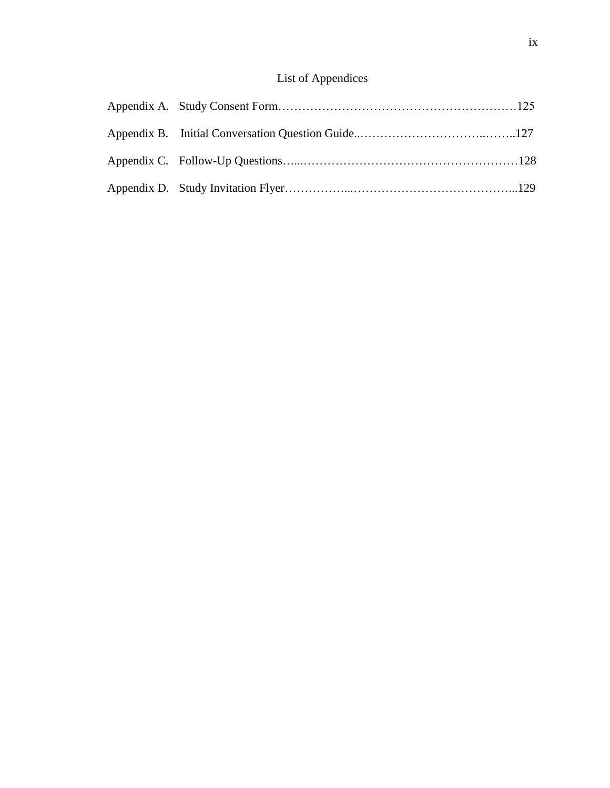# List of Appendices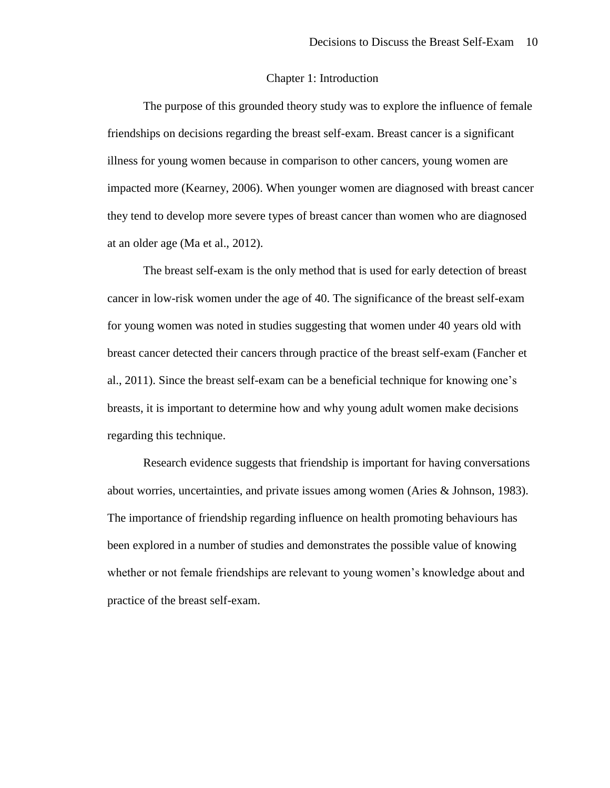#### Chapter 1: Introduction

The purpose of this grounded theory study was to explore the influence of female friendships on decisions regarding the breast self-exam. Breast cancer is a significant illness for young women because in comparison to other cancers, young women are impacted more (Kearney, 2006). When younger women are diagnosed with breast cancer they tend to develop more severe types of breast cancer than women who are diagnosed at an older age (Ma et al., 2012).

The breast self-exam is the only method that is used for early detection of breast cancer in low-risk women under the age of 40. The significance of the breast self-exam for young women was noted in studies suggesting that women under 40 years old with breast cancer detected their cancers through practice of the breast self-exam (Fancher et al., 2011). Since the breast self-exam can be a beneficial technique for knowing one's breasts, it is important to determine how and why young adult women make decisions regarding this technique.

Research evidence suggests that friendship is important for having conversations about worries, uncertainties, and private issues among women (Aries & Johnson, 1983). The importance of friendship regarding influence on health promoting behaviours has been explored in a number of studies and demonstrates the possible value of knowing whether or not female friendships are relevant to young women's knowledge about and practice of the breast self-exam.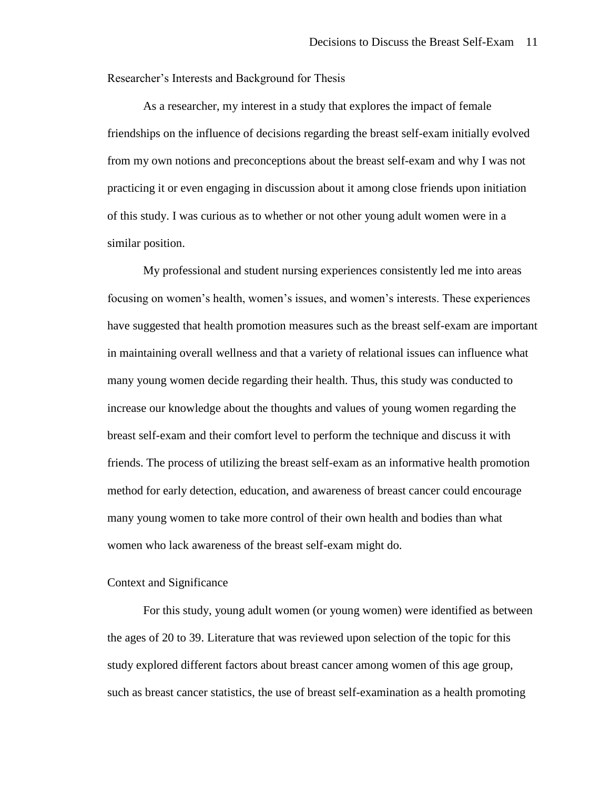Researcher's Interests and Background for Thesis

As a researcher, my interest in a study that explores the impact of female friendships on the influence of decisions regarding the breast self-exam initially evolved from my own notions and preconceptions about the breast self-exam and why I was not practicing it or even engaging in discussion about it among close friends upon initiation of this study. I was curious as to whether or not other young adult women were in a similar position.

My professional and student nursing experiences consistently led me into areas focusing on women's health, women's issues, and women's interests. These experiences have suggested that health promotion measures such as the breast self-exam are important in maintaining overall wellness and that a variety of relational issues can influence what many young women decide regarding their health. Thus, this study was conducted to increase our knowledge about the thoughts and values of young women regarding the breast self-exam and their comfort level to perform the technique and discuss it with friends. The process of utilizing the breast self-exam as an informative health promotion method for early detection, education, and awareness of breast cancer could encourage many young women to take more control of their own health and bodies than what women who lack awareness of the breast self-exam might do.

# Context and Significance

For this study, young adult women (or young women) were identified as between the ages of 20 to 39. Literature that was reviewed upon selection of the topic for this study explored different factors about breast cancer among women of this age group, such as breast cancer statistics, the use of breast self-examination as a health promoting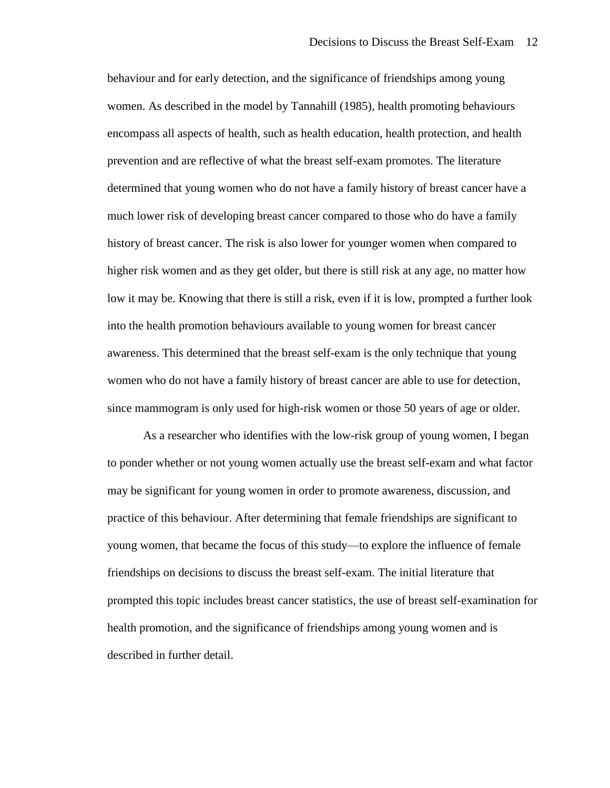behaviour and for early detection, and the significance of friendships among young women. As described in the model by Tannahill (1985), health promoting behaviours encompass all aspects of health, such as health education, health protection, and health prevention and are reflective of what the breast self-exam promotes. The literature determined that young women who do not have a family history of breast cancer have a much lower risk of developing breast cancer compared to those who do have a family history of breast cancer. The risk is also lower for younger women when compared to higher risk women and as they get older, but there is still risk at any age, no matter how low it may be. Knowing that there is still a risk, even if it is low, prompted a further look into the health promotion behaviours available to young women for breast cancer awareness. This determined that the breast self-exam is the only technique that young women who do not have a family history of breast cancer are able to use for detection, since mammogram is only used for high-risk women or those 50 years of age or older.

As a researcher who identifies with the low-risk group of young women, I began to ponder whether or not young women actually use the breast self-exam and what factor may be significant for young women in order to promote awareness, discussion, and practice of this behaviour. After determining that female friendships are significant to young women, that became the focus of this study—to explore the influence of female friendships on decisions to discuss the breast self-exam. The initial literature that prompted this topic includes breast cancer statistics, the use of breast self-examination for health promotion, and the significance of friendships among young women and is described in further detail.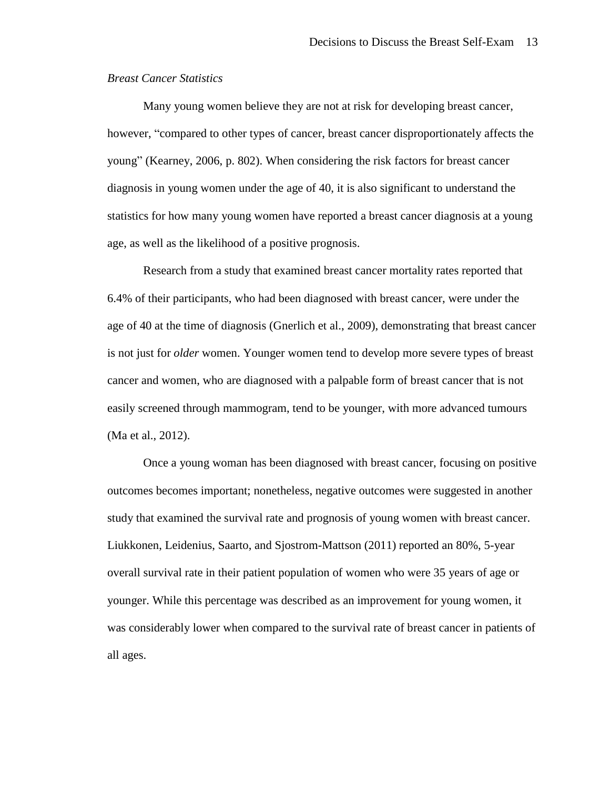# *Breast Cancer Statistics*

Many young women believe they are not at risk for developing breast cancer, however, "compared to other types of cancer, breast cancer disproportionately affects the young" (Kearney, 2006, p. 802). When considering the risk factors for breast cancer diagnosis in young women under the age of 40, it is also significant to understand the statistics for how many young women have reported a breast cancer diagnosis at a young age, as well as the likelihood of a positive prognosis.

Research from a study that examined breast cancer mortality rates reported that 6.4% of their participants, who had been diagnosed with breast cancer, were under the age of 40 at the time of diagnosis (Gnerlich et al., 2009), demonstrating that breast cancer is not just for *older* women. Younger women tend to develop more severe types of breast cancer and women, who are diagnosed with a palpable form of breast cancer that is not easily screened through mammogram, tend to be younger, with more advanced tumours (Ma et al., 2012).

Once a young woman has been diagnosed with breast cancer, focusing on positive outcomes becomes important; nonetheless, negative outcomes were suggested in another study that examined the survival rate and prognosis of young women with breast cancer. Liukkonen, Leidenius, Saarto, and Sjostrom-Mattson (2011) reported an 80%, 5-year overall survival rate in their patient population of women who were 35 years of age or younger. While this percentage was described as an improvement for young women, it was considerably lower when compared to the survival rate of breast cancer in patients of all ages.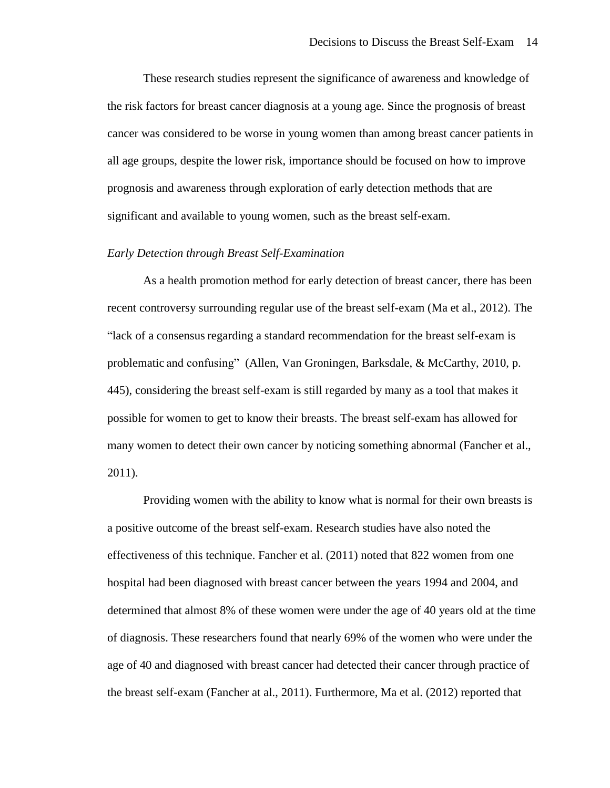These research studies represent the significance of awareness and knowledge of the risk factors for breast cancer diagnosis at a young age. Since the prognosis of breast cancer was considered to be worse in young women than among breast cancer patients in all age groups, despite the lower risk, importance should be focused on how to improve prognosis and awareness through exploration of early detection methods that are significant and available to young women, such as the breast self-exam.

#### *Early Detection through Breast Self-Examination*

As a health promotion method for early detection of breast cancer, there has been recent controversy surrounding regular use of the breast self-exam (Ma et al., 2012). The "lack of a consensus regarding a standard recommendation for the breast self-exam is problematic and confusing" (Allen, Van Groningen, Barksdale, & McCarthy, 2010, p. 445), considering the breast self-exam is still regarded by many as a tool that makes it possible for women to get to know their breasts. The breast self-exam has allowed for many women to detect their own cancer by noticing something abnormal (Fancher et al., 2011).

Providing women with the ability to know what is normal for their own breasts is a positive outcome of the breast self-exam. Research studies have also noted the effectiveness of this technique. Fancher et al. (2011) noted that 822 women from one hospital had been diagnosed with breast cancer between the years 1994 and 2004, and determined that almost 8% of these women were under the age of 40 years old at the time of diagnosis. These researchers found that nearly 69% of the women who were under the age of 40 and diagnosed with breast cancer had detected their cancer through practice of the breast self-exam (Fancher at al., 2011). Furthermore, Ma et al. (2012) reported that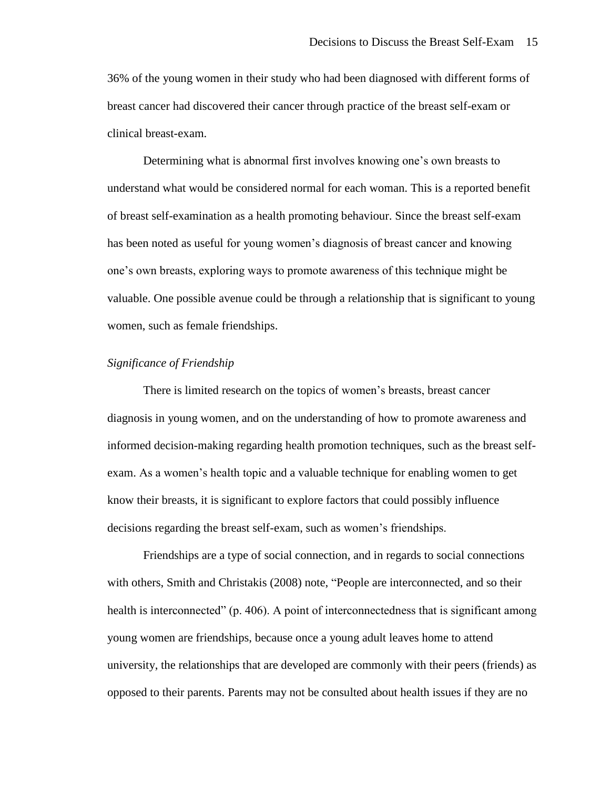36% of the young women in their study who had been diagnosed with different forms of breast cancer had discovered their cancer through practice of the breast self-exam or clinical breast-exam.

Determining what is abnormal first involves knowing one's own breasts to understand what would be considered normal for each woman. This is a reported benefit of breast self-examination as a health promoting behaviour. Since the breast self-exam has been noted as useful for young women's diagnosis of breast cancer and knowing one's own breasts, exploring ways to promote awareness of this technique might be valuable. One possible avenue could be through a relationship that is significant to young women, such as female friendships.

# *Significance of Friendship*

There is limited research on the topics of women's breasts, breast cancer diagnosis in young women, and on the understanding of how to promote awareness and informed decision-making regarding health promotion techniques, such as the breast selfexam. As a women's health topic and a valuable technique for enabling women to get know their breasts, it is significant to explore factors that could possibly influence decisions regarding the breast self-exam, such as women's friendships.

Friendships are a type of social connection, and in regards to social connections with others, Smith and Christakis (2008) note, "People are interconnected, and so their health is interconnected" (p. 406). A point of interconnectedness that is significant among young women are friendships, because once a young adult leaves home to attend university, the relationships that are developed are commonly with their peers (friends) as opposed to their parents. Parents may not be consulted about health issues if they are no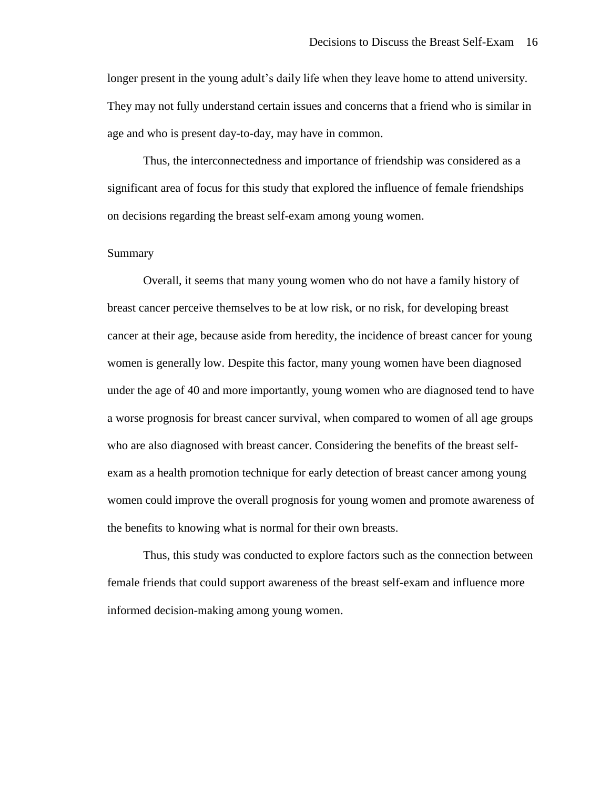longer present in the young adult's daily life when they leave home to attend university. They may not fully understand certain issues and concerns that a friend who is similar in age and who is present day-to-day, may have in common.

Thus, the interconnectedness and importance of friendship was considered as a significant area of focus for this study that explored the influence of female friendships on decisions regarding the breast self-exam among young women.

# Summary

Overall, it seems that many young women who do not have a family history of breast cancer perceive themselves to be at low risk, or no risk, for developing breast cancer at their age, because aside from heredity, the incidence of breast cancer for young women is generally low. Despite this factor, many young women have been diagnosed under the age of 40 and more importantly, young women who are diagnosed tend to have a worse prognosis for breast cancer survival, when compared to women of all age groups who are also diagnosed with breast cancer. Considering the benefits of the breast selfexam as a health promotion technique for early detection of breast cancer among young women could improve the overall prognosis for young women and promote awareness of the benefits to knowing what is normal for their own breasts.

Thus, this study was conducted to explore factors such as the connection between female friends that could support awareness of the breast self-exam and influence more informed decision-making among young women.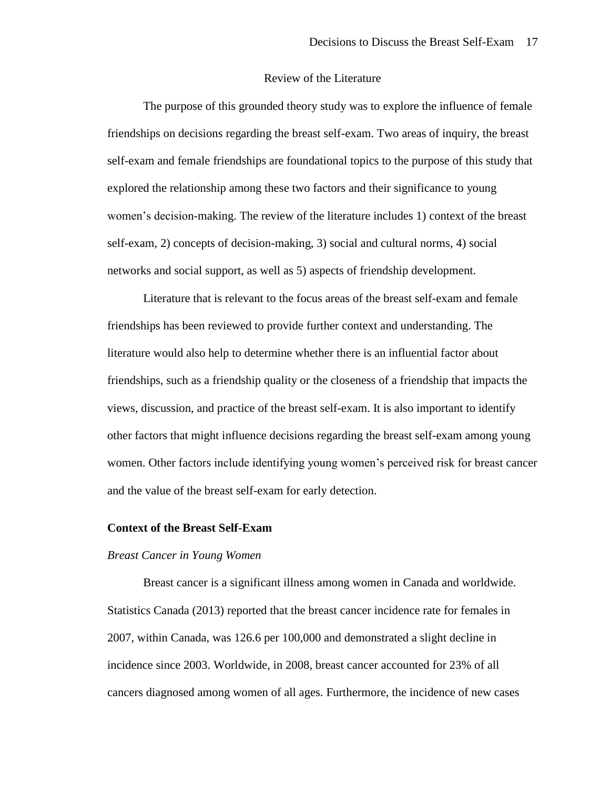# Review of the Literature

The purpose of this grounded theory study was to explore the influence of female friendships on decisions regarding the breast self-exam. Two areas of inquiry, the breast self-exam and female friendships are foundational topics to the purpose of this study that explored the relationship among these two factors and their significance to young women's decision-making. The review of the literature includes 1) context of the breast self-exam, 2) concepts of decision-making, 3) social and cultural norms, 4) social networks and social support, as well as 5) aspects of friendship development.

Literature that is relevant to the focus areas of the breast self-exam and female friendships has been reviewed to provide further context and understanding. The literature would also help to determine whether there is an influential factor about friendships, such as a friendship quality or the closeness of a friendship that impacts the views, discussion, and practice of the breast self-exam. It is also important to identify other factors that might influence decisions regarding the breast self-exam among young women. Other factors include identifying young women's perceived risk for breast cancer and the value of the breast self-exam for early detection.

## **Context of the Breast Self-Exam**

#### *Breast Cancer in Young Women*

Breast cancer is a significant illness among women in Canada and worldwide. Statistics Canada (2013) reported that the breast cancer incidence rate for females in 2007, within Canada, was 126.6 per 100,000 and demonstrated a slight decline in incidence since 2003. Worldwide, in 2008, breast cancer accounted for 23% of all cancers diagnosed among women of all ages. Furthermore, the incidence of new cases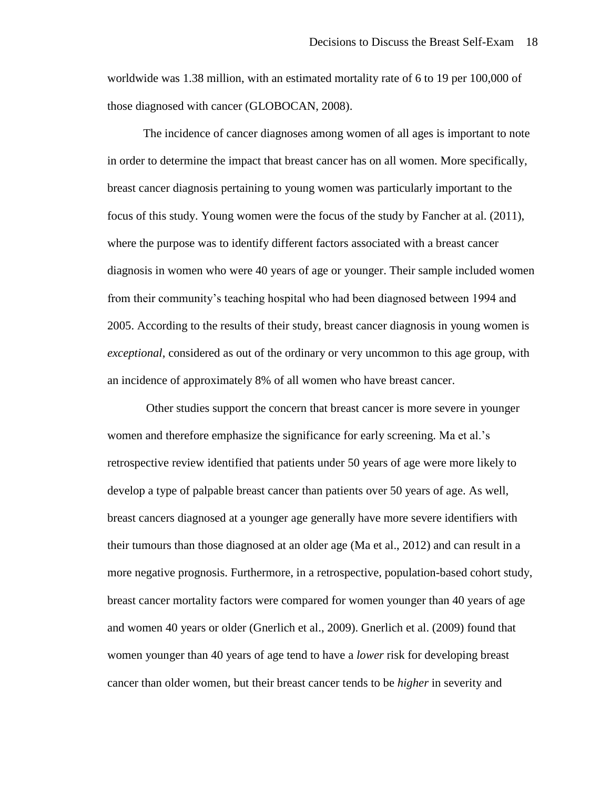worldwide was 1.38 million, with an estimated mortality rate of 6 to 19 per 100,000 of those diagnosed with cancer (GLOBOCAN, 2008).

The incidence of cancer diagnoses among women of all ages is important to note in order to determine the impact that breast cancer has on all women. More specifically, breast cancer diagnosis pertaining to young women was particularly important to the focus of this study. Young women were the focus of the study by Fancher at al. (2011), where the purpose was to identify different factors associated with a breast cancer diagnosis in women who were 40 years of age or younger. Their sample included women from their community's teaching hospital who had been diagnosed between 1994 and 2005. According to the results of their study, breast cancer diagnosis in young women is *exceptional*, considered as out of the ordinary or very uncommon to this age group, with an incidence of approximately 8% of all women who have breast cancer.

Other studies support the concern that breast cancer is more severe in younger women and therefore emphasize the significance for early screening. Ma et al.'s retrospective review identified that patients under 50 years of age were more likely to develop a type of palpable breast cancer than patients over 50 years of age. As well, breast cancers diagnosed at a younger age generally have more severe identifiers with their tumours than those diagnosed at an older age (Ma et al., 2012) and can result in a more negative prognosis. Furthermore, in a retrospective, population-based cohort study, breast cancer mortality factors were compared for women younger than 40 years of age and women 40 years or older (Gnerlich et al., 2009). Gnerlich et al. (2009) found that women younger than 40 years of age tend to have a *lower* risk for developing breast cancer than older women, but their breast cancer tends to be *higher* in severity and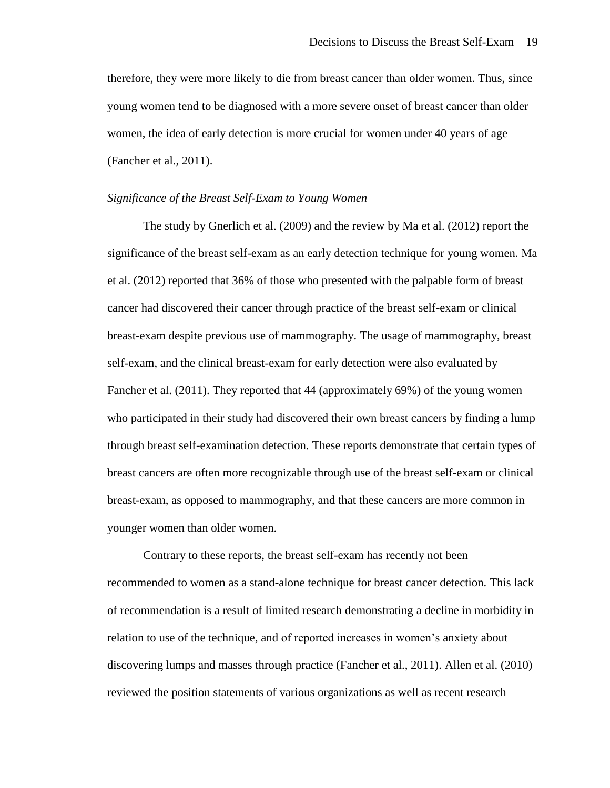therefore, they were more likely to die from breast cancer than older women. Thus, since young women tend to be diagnosed with a more severe onset of breast cancer than older women, the idea of early detection is more crucial for women under 40 years of age (Fancher et al., 2011).

#### *Significance of the Breast Self-Exam to Young Women*

The study by Gnerlich et al. (2009) and the review by Ma et al. (2012) report the significance of the breast self-exam as an early detection technique for young women. Ma et al. (2012) reported that 36% of those who presented with the palpable form of breast cancer had discovered their cancer through practice of the breast self-exam or clinical breast-exam despite previous use of mammography. The usage of mammography, breast self-exam, and the clinical breast-exam for early detection were also evaluated by Fancher et al. (2011). They reported that 44 (approximately 69%) of the young women who participated in their study had discovered their own breast cancers by finding a lump through breast self-examination detection. These reports demonstrate that certain types of breast cancers are often more recognizable through use of the breast self-exam or clinical breast-exam, as opposed to mammography, and that these cancers are more common in younger women than older women.

Contrary to these reports, the breast self-exam has recently not been recommended to women as a stand-alone technique for breast cancer detection. This lack of recommendation is a result of limited research demonstrating a decline in morbidity in relation to use of the technique, and of reported increases in women's anxiety about discovering lumps and masses through practice (Fancher et al., 2011). Allen et al. (2010) reviewed the position statements of various organizations as well as recent research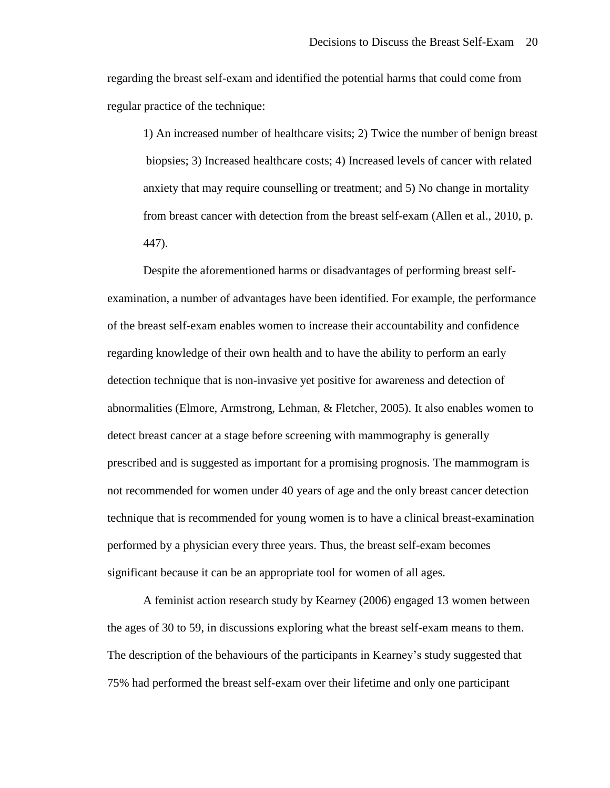regarding the breast self-exam and identified the potential harms that could come from regular practice of the technique:

1) An increased number of healthcare visits; 2) Twice the number of benign breast biopsies; 3) Increased healthcare costs; 4) Increased levels of cancer with related anxiety that may require counselling or treatment; and 5) No change in mortality from breast cancer with detection from the breast self-exam (Allen et al., 2010, p. 447).

Despite the aforementioned harms or disadvantages of performing breast selfexamination, a number of advantages have been identified. For example, the performance of the breast self-exam enables women to increase their accountability and confidence regarding knowledge of their own health and to have the ability to perform an early detection technique that is non-invasive yet positive for awareness and detection of abnormalities (Elmore, Armstrong, Lehman, & Fletcher, 2005). It also enables women to detect breast cancer at a stage before screening with mammography is generally prescribed and is suggested as important for a promising prognosis. The mammogram is not recommended for women under 40 years of age and the only breast cancer detection technique that is recommended for young women is to have a clinical breast-examination performed by a physician every three years. Thus, the breast self-exam becomes significant because it can be an appropriate tool for women of all ages.

A feminist action research study by Kearney (2006) engaged 13 women between the ages of 30 to 59, in discussions exploring what the breast self-exam means to them. The description of the behaviours of the participants in Kearney's study suggested that 75% had performed the breast self-exam over their lifetime and only one participant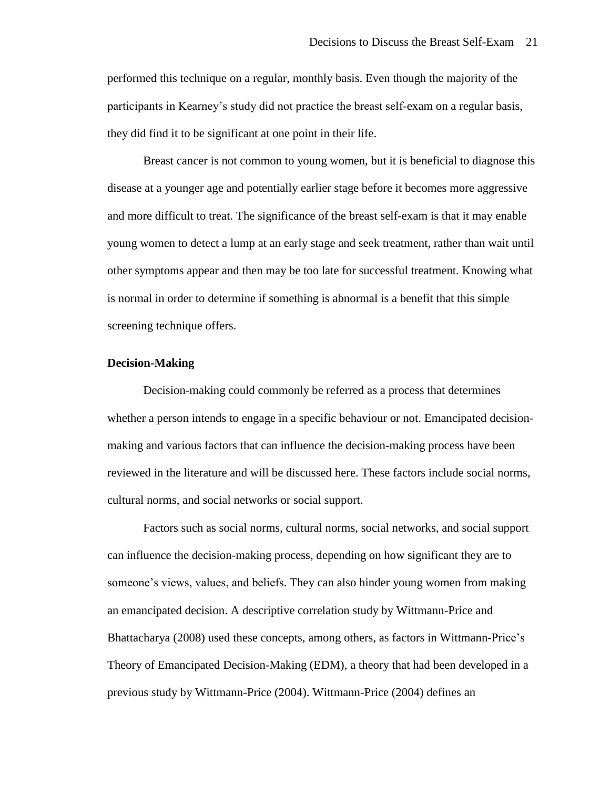performed this technique on a regular, monthly basis. Even though the majority of the participants in Kearney's study did not practice the breast self-exam on a regular basis, they did find it to be significant at one point in their life.

Breast cancer is not common to young women, but it is beneficial to diagnose this disease at a younger age and potentially earlier stage before it becomes more aggressive and more difficult to treat. The significance of the breast self-exam is that it may enable young women to detect a lump at an early stage and seek treatment, rather than wait until other symptoms appear and then may be too late for successful treatment. Knowing what is normal in order to determine if something is abnormal is a benefit that this simple screening technique offers.

# **Decision-Making**

Decision-making could commonly be referred as a process that determines whether a person intends to engage in a specific behaviour or not. Emancipated decisionmaking and various factors that can influence the decision-making process have been reviewed in the literature and will be discussed here. These factors include social norms, cultural norms, and social networks or social support.

Factors such as social norms, cultural norms, social networks, and social support can influence the decision-making process, depending on how significant they are to someone's views, values, and beliefs. They can also hinder young women from making an emancipated decision. A descriptive correlation study by Wittmann-Price and Bhattacharya (2008) used these concepts, among others, as factors in Wittmann-Price's Theory of Emancipated Decision-Making (EDM), a theory that had been developed in a previous study by Wittmann-Price (2004). Wittmann-Price (2004) defines an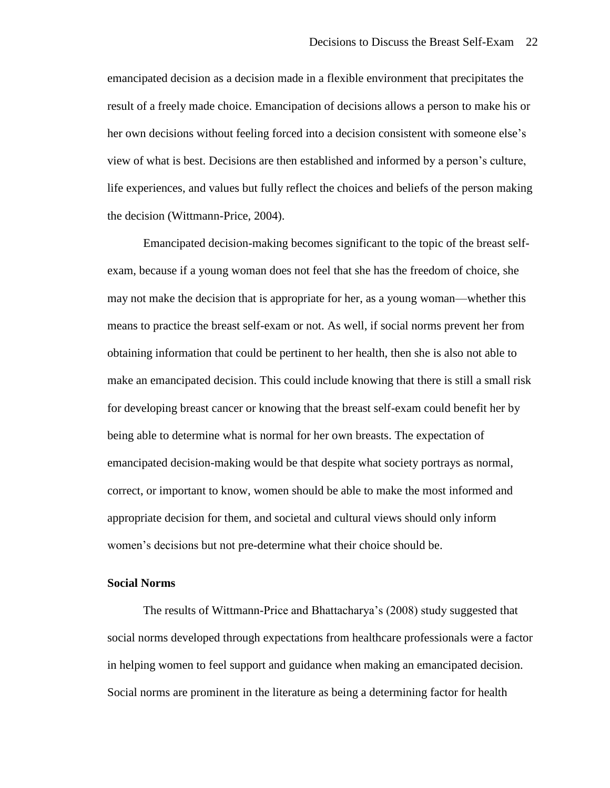emancipated decision as a decision made in a flexible environment that precipitates the result of a freely made choice. Emancipation of decisions allows a person to make his or her own decisions without feeling forced into a decision consistent with someone else's view of what is best. Decisions are then established and informed by a person's culture, life experiences, and values but fully reflect the choices and beliefs of the person making the decision (Wittmann-Price, 2004).

Emancipated decision-making becomes significant to the topic of the breast selfexam, because if a young woman does not feel that she has the freedom of choice, she may not make the decision that is appropriate for her, as a young woman—whether this means to practice the breast self-exam or not. As well, if social norms prevent her from obtaining information that could be pertinent to her health, then she is also not able to make an emancipated decision. This could include knowing that there is still a small risk for developing breast cancer or knowing that the breast self-exam could benefit her by being able to determine what is normal for her own breasts. The expectation of emancipated decision-making would be that despite what society portrays as normal, correct, or important to know, women should be able to make the most informed and appropriate decision for them, and societal and cultural views should only inform women's decisions but not pre-determine what their choice should be.

# **Social Norms**

The results of Wittmann-Price and Bhattacharya's (2008) study suggested that social norms developed through expectations from healthcare professionals were a factor in helping women to feel support and guidance when making an emancipated decision. Social norms are prominent in the literature as being a determining factor for health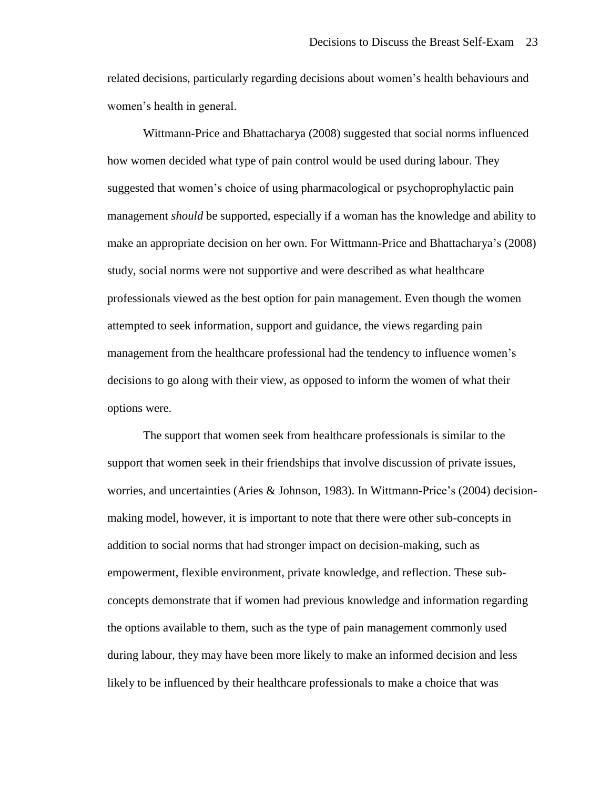related decisions, particularly regarding decisions about women's health behaviours and women's health in general.

Wittmann-Price and Bhattacharya (2008) suggested that social norms influenced how women decided what type of pain control would be used during labour. They suggested that women's choice of using pharmacological or psychoprophylactic pain management *should* be supported, especially if a woman has the knowledge and ability to make an appropriate decision on her own. For Wittmann-Price and Bhattacharya's (2008) study, social norms were not supportive and were described as what healthcare professionals viewed as the best option for pain management. Even though the women attempted to seek information, support and guidance, the views regarding pain management from the healthcare professional had the tendency to influence women's decisions to go along with their view, as opposed to inform the women of what their options were.

The support that women seek from healthcare professionals is similar to the support that women seek in their friendships that involve discussion of private issues, worries, and uncertainties (Aries & Johnson, 1983). In Wittmann-Price's (2004) decisionmaking model, however, it is important to note that there were other sub-concepts in addition to social norms that had stronger impact on decision-making, such as empowerment, flexible environment, private knowledge, and reflection. These subconcepts demonstrate that if women had previous knowledge and information regarding the options available to them, such as the type of pain management commonly used during labour, they may have been more likely to make an informed decision and less likely to be influenced by their healthcare professionals to make a choice that was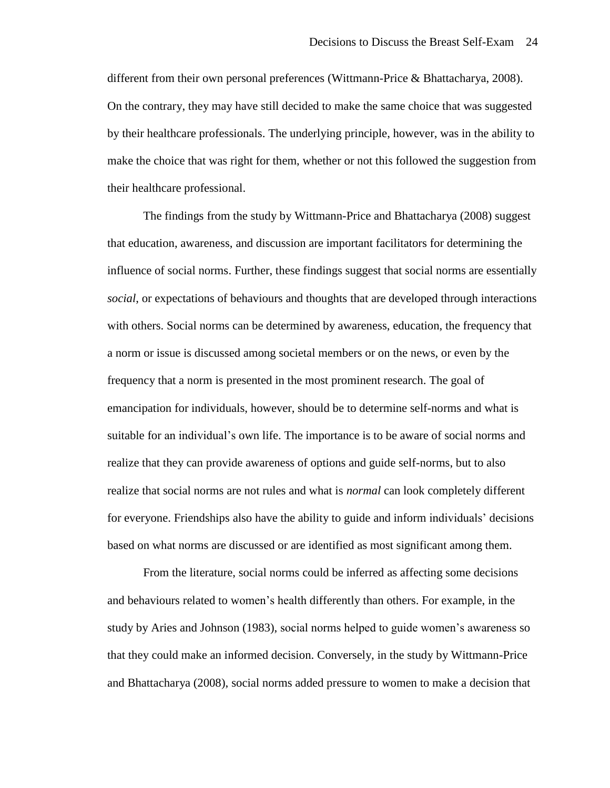different from their own personal preferences (Wittmann-Price & Bhattacharya, 2008). On the contrary, they may have still decided to make the same choice that was suggested by their healthcare professionals. The underlying principle, however, was in the ability to make the choice that was right for them, whether or not this followed the suggestion from their healthcare professional.

The findings from the study by Wittmann-Price and Bhattacharya (2008) suggest that education, awareness, and discussion are important facilitators for determining the influence of social norms. Further, these findings suggest that social norms are essentially *social*, or expectations of behaviours and thoughts that are developed through interactions with others. Social norms can be determined by awareness, education, the frequency that a norm or issue is discussed among societal members or on the news, or even by the frequency that a norm is presented in the most prominent research. The goal of emancipation for individuals, however, should be to determine self-norms and what is suitable for an individual's own life. The importance is to be aware of social norms and realize that they can provide awareness of options and guide self-norms, but to also realize that social norms are not rules and what is *normal* can look completely different for everyone. Friendships also have the ability to guide and inform individuals' decisions based on what norms are discussed or are identified as most significant among them.

From the literature, social norms could be inferred as affecting some decisions and behaviours related to women's health differently than others. For example, in the study by Aries and Johnson (1983), social norms helped to guide women's awareness so that they could make an informed decision. Conversely, in the study by Wittmann-Price and Bhattacharya (2008), social norms added pressure to women to make a decision that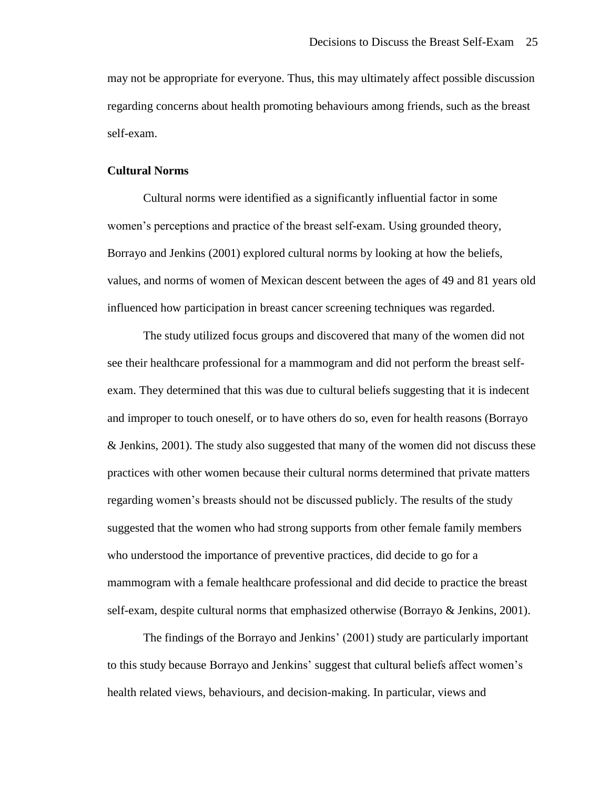may not be appropriate for everyone. Thus, this may ultimately affect possible discussion regarding concerns about health promoting behaviours among friends, such as the breast self-exam.

#### **Cultural Norms**

Cultural norms were identified as a significantly influential factor in some women's perceptions and practice of the breast self-exam. Using grounded theory, Borrayo and Jenkins (2001) explored cultural norms by looking at how the beliefs, values, and norms of women of Mexican descent between the ages of 49 and 81 years old influenced how participation in breast cancer screening techniques was regarded.

The study utilized focus groups and discovered that many of the women did not see their healthcare professional for a mammogram and did not perform the breast selfexam. They determined that this was due to cultural beliefs suggesting that it is indecent and improper to touch oneself, or to have others do so, even for health reasons (Borrayo & Jenkins, 2001). The study also suggested that many of the women did not discuss these practices with other women because their cultural norms determined that private matters regarding women's breasts should not be discussed publicly. The results of the study suggested that the women who had strong supports from other female family members who understood the importance of preventive practices, did decide to go for a mammogram with a female healthcare professional and did decide to practice the breast self-exam, despite cultural norms that emphasized otherwise (Borrayo & Jenkins, 2001).

The findings of the Borrayo and Jenkins' (2001) study are particularly important to this study because Borrayo and Jenkins' suggest that cultural beliefs affect women's health related views, behaviours, and decision-making. In particular, views and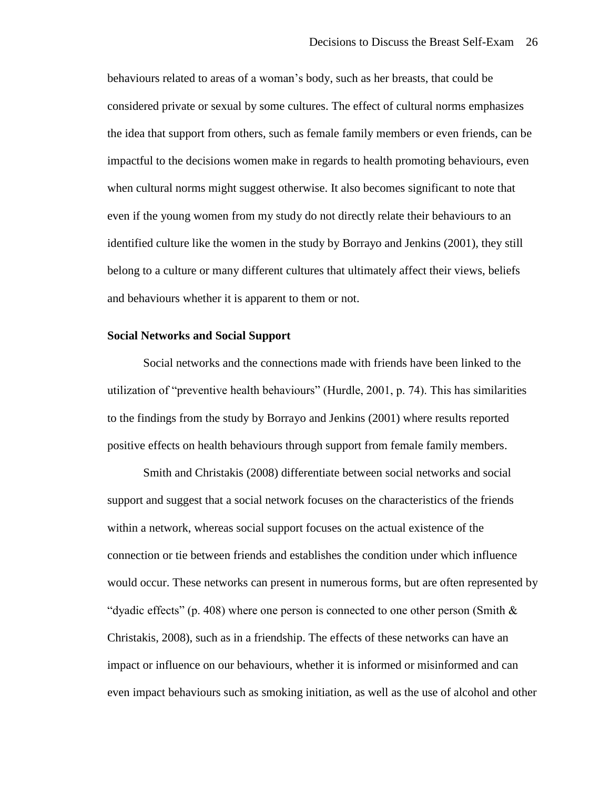behaviours related to areas of a woman's body, such as her breasts, that could be considered private or sexual by some cultures. The effect of cultural norms emphasizes the idea that support from others, such as female family members or even friends, can be impactful to the decisions women make in regards to health promoting behaviours, even when cultural norms might suggest otherwise. It also becomes significant to note that even if the young women from my study do not directly relate their behaviours to an identified culture like the women in the study by Borrayo and Jenkins (2001), they still belong to a culture or many different cultures that ultimately affect their views, beliefs and behaviours whether it is apparent to them or not.

#### **Social Networks and Social Support**

Social networks and the connections made with friends have been linked to the utilization of "preventive health behaviours" (Hurdle, 2001, p. 74). This has similarities to the findings from the study by Borrayo and Jenkins (2001) where results reported positive effects on health behaviours through support from female family members.

Smith and Christakis (2008) differentiate between social networks and social support and suggest that a social network focuses on the characteristics of the friends within a network, whereas social support focuses on the actual existence of the connection or tie between friends and establishes the condition under which influence would occur. These networks can present in numerous forms, but are often represented by "dyadic effects" (p. 408) where one person is connected to one other person (Smith  $\&$ Christakis, 2008), such as in a friendship. The effects of these networks can have an impact or influence on our behaviours, whether it is informed or misinformed and can even impact behaviours such as smoking initiation, as well as the use of alcohol and other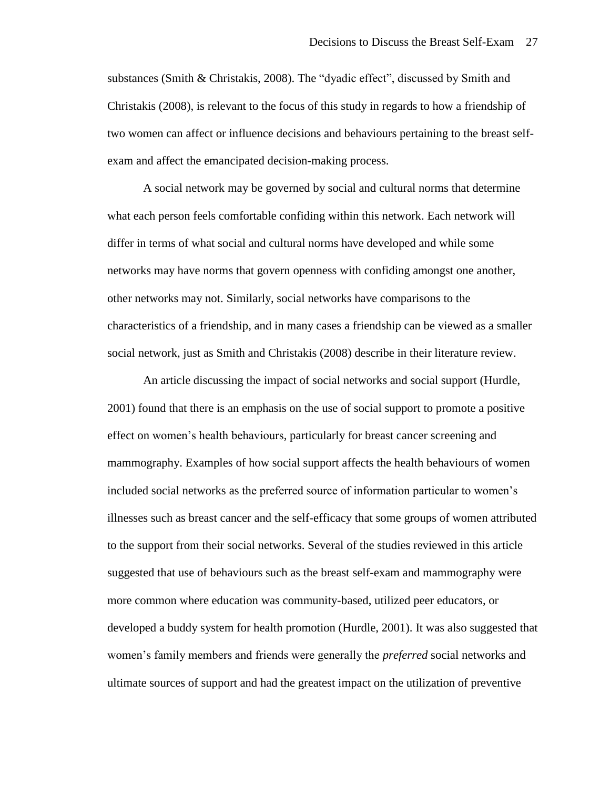substances (Smith & Christakis, 2008). The "dyadic effect", discussed by Smith and Christakis (2008), is relevant to the focus of this study in regards to how a friendship of two women can affect or influence decisions and behaviours pertaining to the breast selfexam and affect the emancipated decision-making process.

A social network may be governed by social and cultural norms that determine what each person feels comfortable confiding within this network. Each network will differ in terms of what social and cultural norms have developed and while some networks may have norms that govern openness with confiding amongst one another, other networks may not. Similarly, social networks have comparisons to the characteristics of a friendship, and in many cases a friendship can be viewed as a smaller social network, just as Smith and Christakis (2008) describe in their literature review.

An article discussing the impact of social networks and social support (Hurdle, 2001) found that there is an emphasis on the use of social support to promote a positive effect on women's health behaviours, particularly for breast cancer screening and mammography. Examples of how social support affects the health behaviours of women included social networks as the preferred source of information particular to women's illnesses such as breast cancer and the self-efficacy that some groups of women attributed to the support from their social networks. Several of the studies reviewed in this article suggested that use of behaviours such as the breast self-exam and mammography were more common where education was community-based, utilized peer educators, or developed a buddy system for health promotion (Hurdle, 2001). It was also suggested that women's family members and friends were generally the *preferred* social networks and ultimate sources of support and had the greatest impact on the utilization of preventive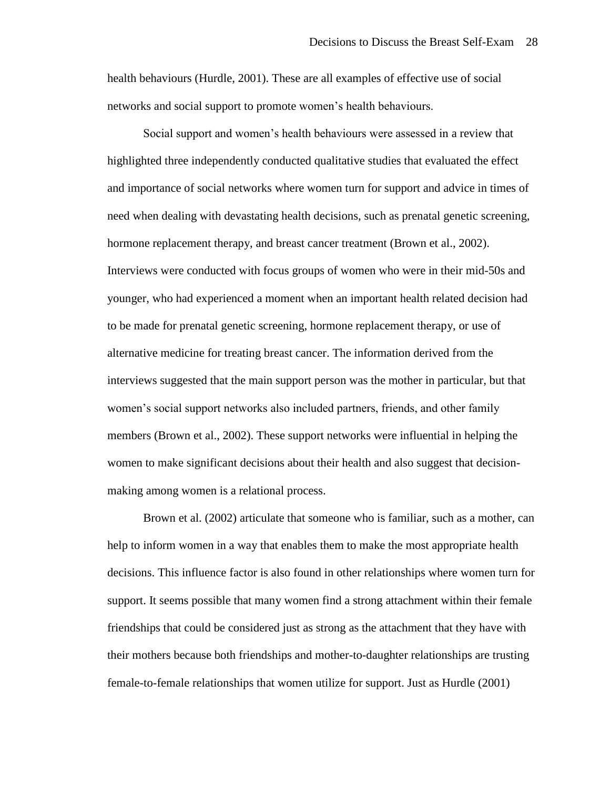health behaviours (Hurdle, 2001). These are all examples of effective use of social networks and social support to promote women's health behaviours.

Social support and women's health behaviours were assessed in a review that highlighted three independently conducted qualitative studies that evaluated the effect and importance of social networks where women turn for support and advice in times of need when dealing with devastating health decisions, such as prenatal genetic screening, hormone replacement therapy, and breast cancer treatment (Brown et al., 2002). Interviews were conducted with focus groups of women who were in their mid-50s and younger, who had experienced a moment when an important health related decision had to be made for prenatal genetic screening, hormone replacement therapy, or use of alternative medicine for treating breast cancer. The information derived from the interviews suggested that the main support person was the mother in particular, but that women's social support networks also included partners, friends, and other family members (Brown et al., 2002). These support networks were influential in helping the women to make significant decisions about their health and also suggest that decisionmaking among women is a relational process.

Brown et al. (2002) articulate that someone who is familiar, such as a mother, can help to inform women in a way that enables them to make the most appropriate health decisions. This influence factor is also found in other relationships where women turn for support. It seems possible that many women find a strong attachment within their female friendships that could be considered just as strong as the attachment that they have with their mothers because both friendships and mother-to-daughter relationships are trusting female-to-female relationships that women utilize for support. Just as Hurdle (2001)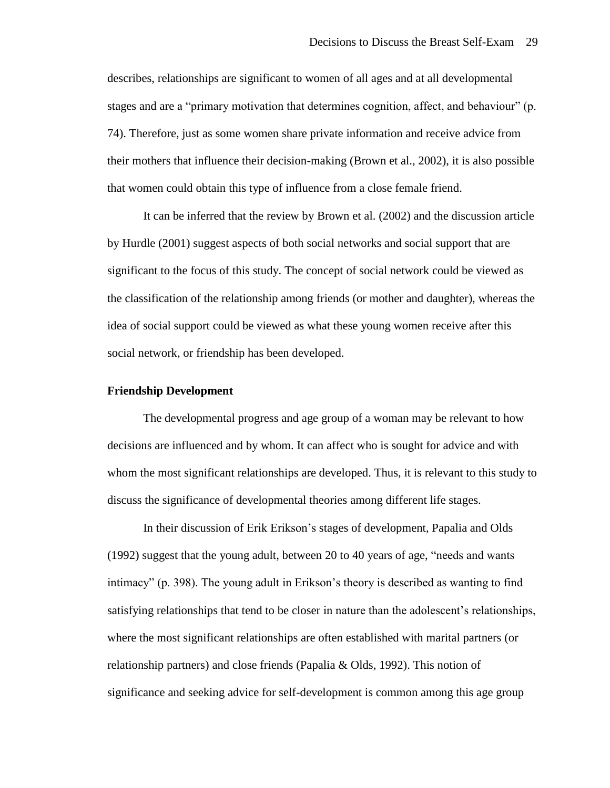describes, relationships are significant to women of all ages and at all developmental stages and are a "primary motivation that determines cognition, affect, and behaviour" (p. 74). Therefore, just as some women share private information and receive advice from their mothers that influence their decision-making (Brown et al., 2002), it is also possible that women could obtain this type of influence from a close female friend.

It can be inferred that the review by Brown et al. (2002) and the discussion article by Hurdle (2001) suggest aspects of both social networks and social support that are significant to the focus of this study. The concept of social network could be viewed as the classification of the relationship among friends (or mother and daughter), whereas the idea of social support could be viewed as what these young women receive after this social network, or friendship has been developed.

#### **Friendship Development**

The developmental progress and age group of a woman may be relevant to how decisions are influenced and by whom. It can affect who is sought for advice and with whom the most significant relationships are developed. Thus, it is relevant to this study to discuss the significance of developmental theories among different life stages.

In their discussion of Erik Erikson's stages of development, Papalia and Olds (1992) suggest that the young adult, between 20 to 40 years of age, "needs and wants intimacy" (p. 398). The young adult in Erikson's theory is described as wanting to find satisfying relationships that tend to be closer in nature than the adolescent's relationships, where the most significant relationships are often established with marital partners (or relationship partners) and close friends (Papalia & Olds, 1992). This notion of significance and seeking advice for self-development is common among this age group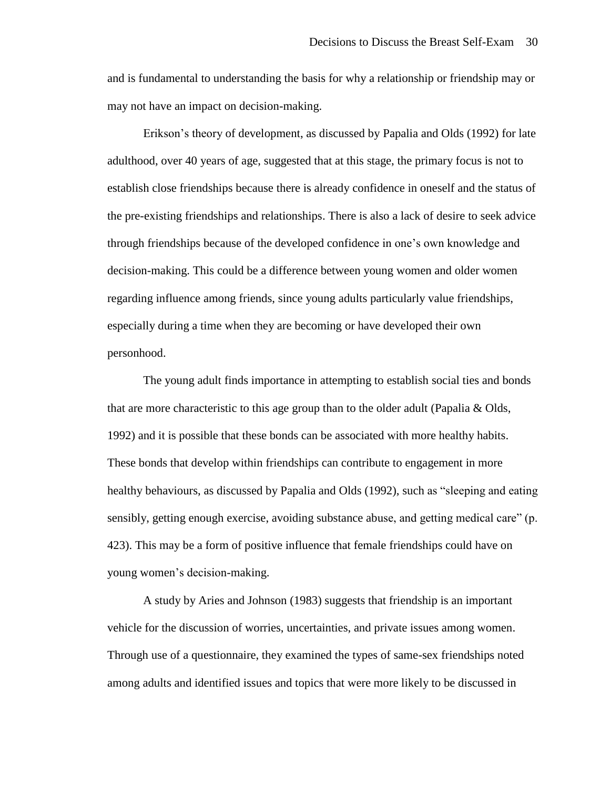and is fundamental to understanding the basis for why a relationship or friendship may or may not have an impact on decision-making.

Erikson's theory of development, as discussed by Papalia and Olds (1992) for late adulthood, over 40 years of age, suggested that at this stage, the primary focus is not to establish close friendships because there is already confidence in oneself and the status of the pre-existing friendships and relationships. There is also a lack of desire to seek advice through friendships because of the developed confidence in one's own knowledge and decision-making. This could be a difference between young women and older women regarding influence among friends, since young adults particularly value friendships, especially during a time when they are becoming or have developed their own personhood.

The young adult finds importance in attempting to establish social ties and bonds that are more characteristic to this age group than to the older adult (Papalia & Olds, 1992) and it is possible that these bonds can be associated with more healthy habits. These bonds that develop within friendships can contribute to engagement in more healthy behaviours, as discussed by Papalia and Olds (1992), such as "sleeping and eating sensibly, getting enough exercise, avoiding substance abuse, and getting medical care" (p. 423). This may be a form of positive influence that female friendships could have on young women's decision-making.

A study by Aries and Johnson (1983) suggests that friendship is an important vehicle for the discussion of worries, uncertainties, and private issues among women. Through use of a questionnaire, they examined the types of same-sex friendships noted among adults and identified issues and topics that were more likely to be discussed in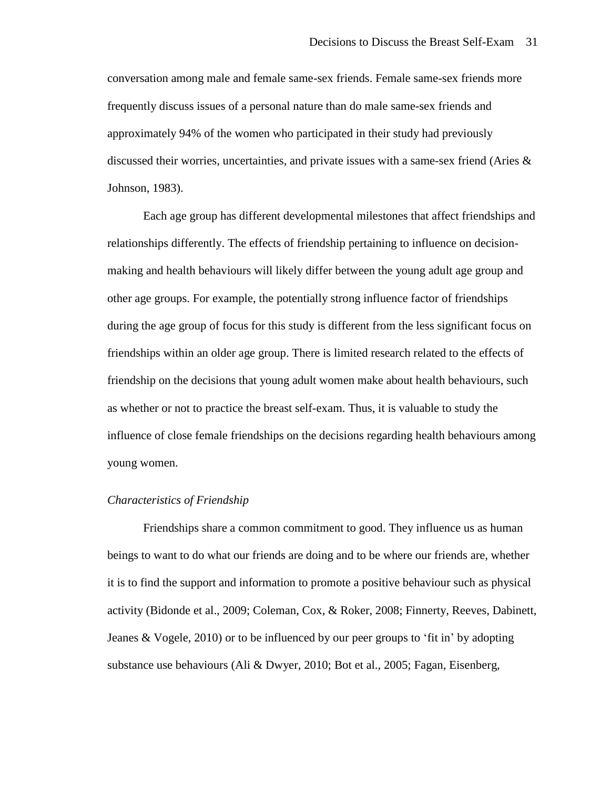conversation among male and female same-sex friends. Female same-sex friends more frequently discuss issues of a personal nature than do male same-sex friends and approximately 94% of the women who participated in their study had previously discussed their worries, uncertainties, and private issues with a same-sex friend (Aries  $\&$ Johnson, 1983).

Each age group has different developmental milestones that affect friendships and relationships differently. The effects of friendship pertaining to influence on decisionmaking and health behaviours will likely differ between the young adult age group and other age groups. For example, the potentially strong influence factor of friendships during the age group of focus for this study is different from the less significant focus on friendships within an older age group. There is limited research related to the effects of friendship on the decisions that young adult women make about health behaviours, such as whether or not to practice the breast self-exam. Thus, it is valuable to study the influence of close female friendships on the decisions regarding health behaviours among young women.

#### *Characteristics of Friendship*

Friendships share a common commitment to good. They influence us as human beings to want to do what our friends are doing and to be where our friends are, whether it is to find the support and information to promote a positive behaviour such as physical activity (Bidonde et al., 2009; Coleman, Cox, & Roker, 2008; Finnerty, Reeves, Dabinett, Jeanes & Vogele, 2010) or to be influenced by our peer groups to 'fit in' by adopting substance use behaviours (Ali & Dwyer, 2010; Bot et al., 2005; Fagan, Eisenberg,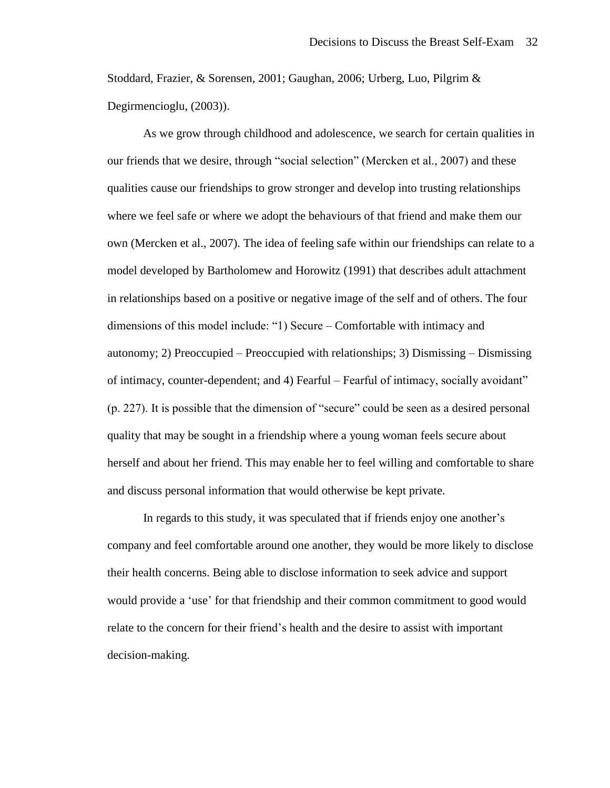Stoddard, Frazier, & Sorensen, 2001; Gaughan, 2006; Urberg, Luo, Pilgrim & Degirmencioglu, (2003)).

As we grow through childhood and adolescence, we search for certain qualities in our friends that we desire, through "social selection" (Mercken et al., 2007) and these qualities cause our friendships to grow stronger and develop into trusting relationships where we feel safe or where we adopt the behaviours of that friend and make them our own (Mercken et al., 2007). The idea of feeling safe within our friendships can relate to a model developed by Bartholomew and Horowitz (1991) that describes adult attachment in relationships based on a positive or negative image of the self and of others. The four dimensions of this model include: "1) Secure – Comfortable with intimacy and autonomy; 2) Preoccupied – Preoccupied with relationships; 3) Dismissing – Dismissing of intimacy, counter-dependent; and 4) Fearful – Fearful of intimacy, socially avoidant" (p. 227). It is possible that the dimension of "secure" could be seen as a desired personal quality that may be sought in a friendship where a young woman feels secure about herself and about her friend. This may enable her to feel willing and comfortable to share and discuss personal information that would otherwise be kept private.

In regards to this study, it was speculated that if friends enjoy one another's company and feel comfortable around one another, they would be more likely to disclose their health concerns. Being able to disclose information to seek advice and support would provide a 'use' for that friendship and their common commitment to good would relate to the concern for their friend's health and the desire to assist with important decision-making.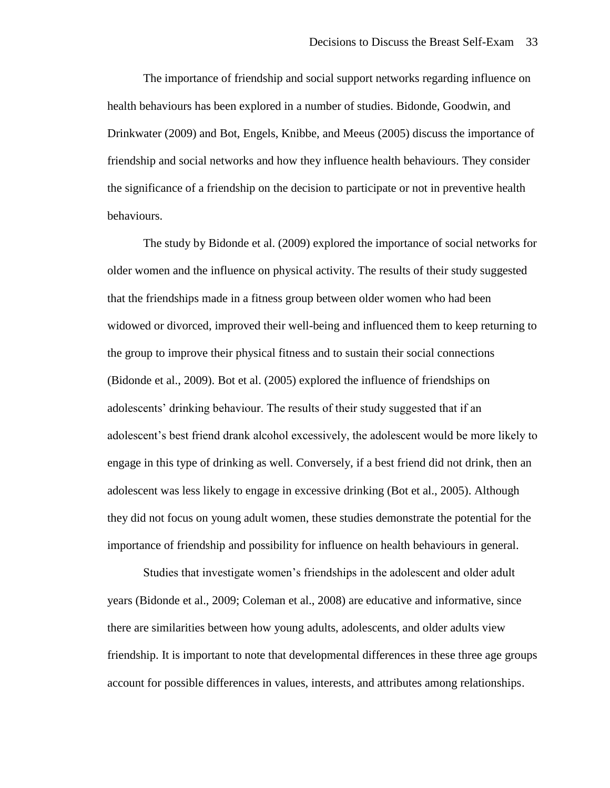The importance of friendship and social support networks regarding influence on health behaviours has been explored in a number of studies. Bidonde, Goodwin, and Drinkwater (2009) and Bot, Engels, Knibbe, and Meeus (2005) discuss the importance of friendship and social networks and how they influence health behaviours. They consider the significance of a friendship on the decision to participate or not in preventive health behaviours.

The study by Bidonde et al. (2009) explored the importance of social networks for older women and the influence on physical activity. The results of their study suggested that the friendships made in a fitness group between older women who had been widowed or divorced, improved their well-being and influenced them to keep returning to the group to improve their physical fitness and to sustain their social connections (Bidonde et al., 2009). Bot et al. (2005) explored the influence of friendships on adolescents' drinking behaviour. The results of their study suggested that if an adolescent's best friend drank alcohol excessively, the adolescent would be more likely to engage in this type of drinking as well. Conversely, if a best friend did not drink, then an adolescent was less likely to engage in excessive drinking (Bot et al., 2005). Although they did not focus on young adult women, these studies demonstrate the potential for the importance of friendship and possibility for influence on health behaviours in general.

Studies that investigate women's friendships in the adolescent and older adult years (Bidonde et al., 2009; Coleman et al., 2008) are educative and informative, since there are similarities between how young adults, adolescents, and older adults view friendship. It is important to note that developmental differences in these three age groups account for possible differences in values, interests, and attributes among relationships.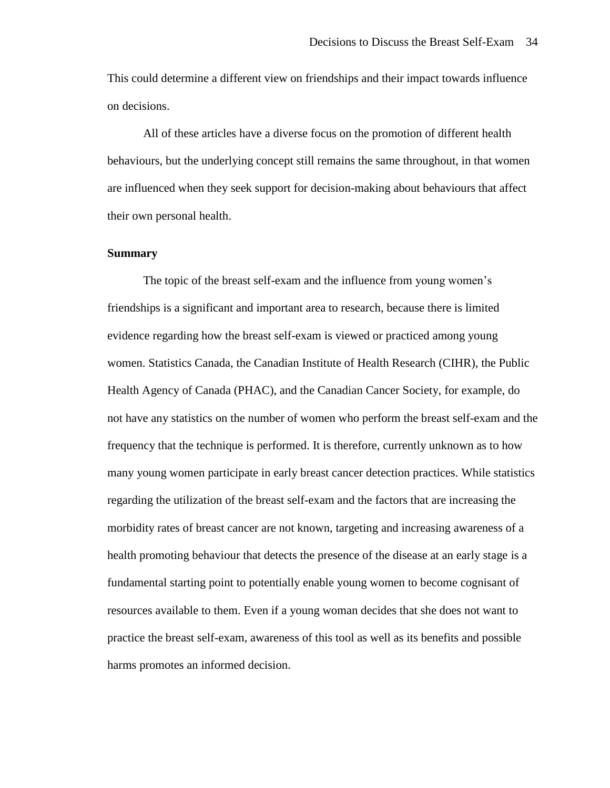This could determine a different view on friendships and their impact towards influence on decisions.

All of these articles have a diverse focus on the promotion of different health behaviours, but the underlying concept still remains the same throughout, in that women are influenced when they seek support for decision-making about behaviours that affect their own personal health.

# **Summary**

The topic of the breast self-exam and the influence from young women's friendships is a significant and important area to research, because there is limited evidence regarding how the breast self-exam is viewed or practiced among young women. Statistics Canada, the Canadian Institute of Health Research (CIHR), the Public Health Agency of Canada (PHAC), and the Canadian Cancer Society, for example, do not have any statistics on the number of women who perform the breast self-exam and the frequency that the technique is performed. It is therefore, currently unknown as to how many young women participate in early breast cancer detection practices. While statistics regarding the utilization of the breast self-exam and the factors that are increasing the morbidity rates of breast cancer are not known, targeting and increasing awareness of a health promoting behaviour that detects the presence of the disease at an early stage is a fundamental starting point to potentially enable young women to become cognisant of resources available to them. Even if a young woman decides that she does not want to practice the breast self-exam, awareness of this tool as well as its benefits and possible harms promotes an informed decision.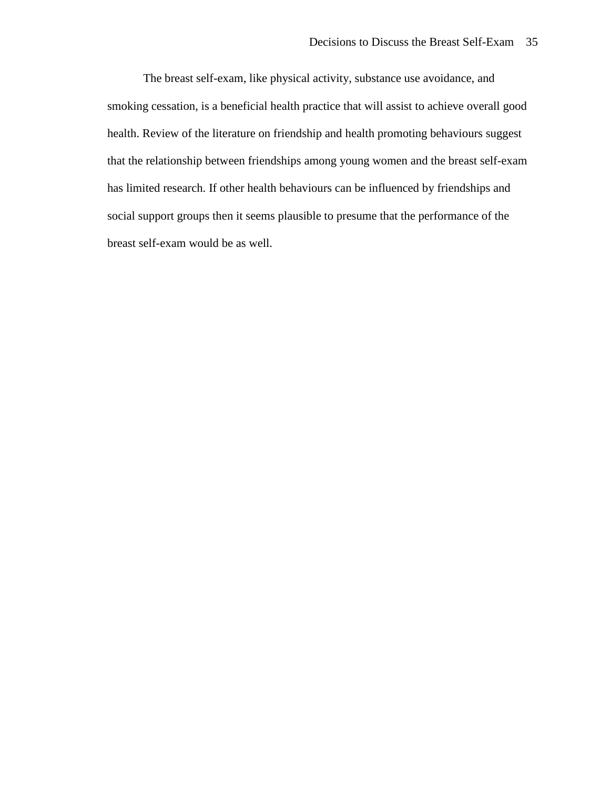The breast self-exam, like physical activity, substance use avoidance, and smoking cessation, is a beneficial health practice that will assist to achieve overall good health. Review of the literature on friendship and health promoting behaviours suggest that the relationship between friendships among young women and the breast self-exam has limited research. If other health behaviours can be influenced by friendships and social support groups then it seems plausible to presume that the performance of the breast self-exam would be as well.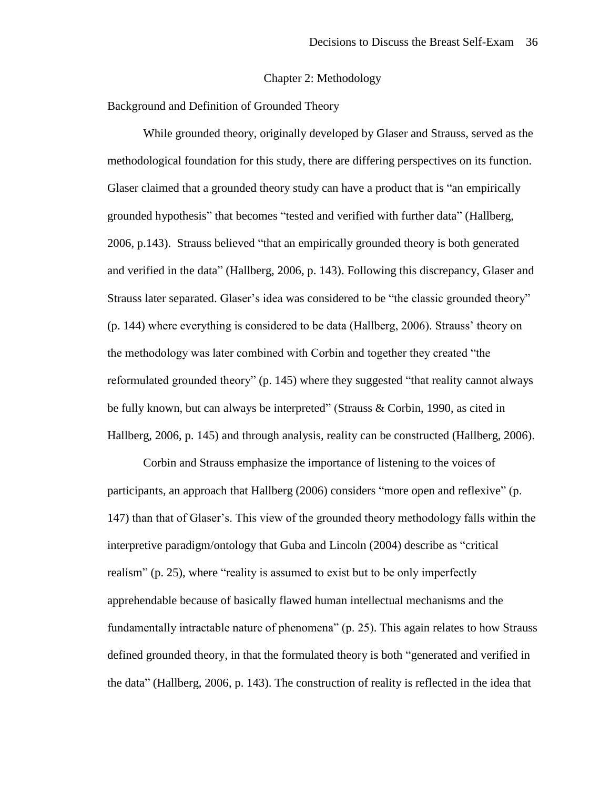#### Chapter 2: Methodology

Background and Definition of Grounded Theory

While grounded theory, originally developed by Glaser and Strauss, served as the methodological foundation for this study, there are differing perspectives on its function. Glaser claimed that a grounded theory study can have a product that is "an empirically grounded hypothesis" that becomes "tested and verified with further data" (Hallberg, 2006, p.143). Strauss believed "that an empirically grounded theory is both generated and verified in the data" (Hallberg, 2006, p. 143). Following this discrepancy, Glaser and Strauss later separated. Glaser's idea was considered to be "the classic grounded theory" (p. 144) where everything is considered to be data (Hallberg, 2006). Strauss' theory on the methodology was later combined with Corbin and together they created "the reformulated grounded theory" (p. 145) where they suggested "that reality cannot always be fully known, but can always be interpreted" (Strauss & Corbin, 1990, as cited in Hallberg, 2006, p. 145) and through analysis, reality can be constructed (Hallberg, 2006).

Corbin and Strauss emphasize the importance of listening to the voices of participants, an approach that Hallberg (2006) considers "more open and reflexive" (p. 147) than that of Glaser's. This view of the grounded theory methodology falls within the interpretive paradigm/ontology that Guba and Lincoln (2004) describe as "critical realism" (p. 25), where "reality is assumed to exist but to be only imperfectly apprehendable because of basically flawed human intellectual mechanisms and the fundamentally intractable nature of phenomena" (p. 25). This again relates to how Strauss defined grounded theory, in that the formulated theory is both "generated and verified in the data" (Hallberg, 2006, p. 143). The construction of reality is reflected in the idea that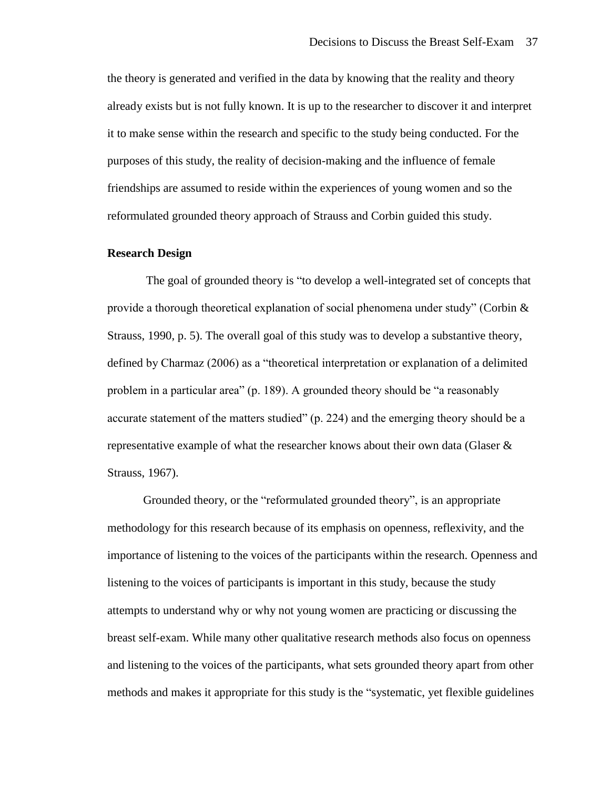the theory is generated and verified in the data by knowing that the reality and theory already exists but is not fully known. It is up to the researcher to discover it and interpret it to make sense within the research and specific to the study being conducted. For the purposes of this study, the reality of decision-making and the influence of female friendships are assumed to reside within the experiences of young women and so the reformulated grounded theory approach of Strauss and Corbin guided this study.

#### **Research Design**

The goal of grounded theory is "to develop a well-integrated set of concepts that provide a thorough theoretical explanation of social phenomena under study" (Corbin & Strauss, 1990, p. 5). The overall goal of this study was to develop a substantive theory, defined by Charmaz (2006) as a "theoretical interpretation or explanation of a delimited problem in a particular area" (p. 189). A grounded theory should be "a reasonably accurate statement of the matters studied" (p. 224) and the emerging theory should be a representative example of what the researcher knows about their own data (Glaser & Strauss, 1967).

Grounded theory, or the "reformulated grounded theory", is an appropriate methodology for this research because of its emphasis on openness, reflexivity, and the importance of listening to the voices of the participants within the research. Openness and listening to the voices of participants is important in this study, because the study attempts to understand why or why not young women are practicing or discussing the breast self-exam. While many other qualitative research methods also focus on openness and listening to the voices of the participants, what sets grounded theory apart from other methods and makes it appropriate for this study is the "systematic, yet flexible guidelines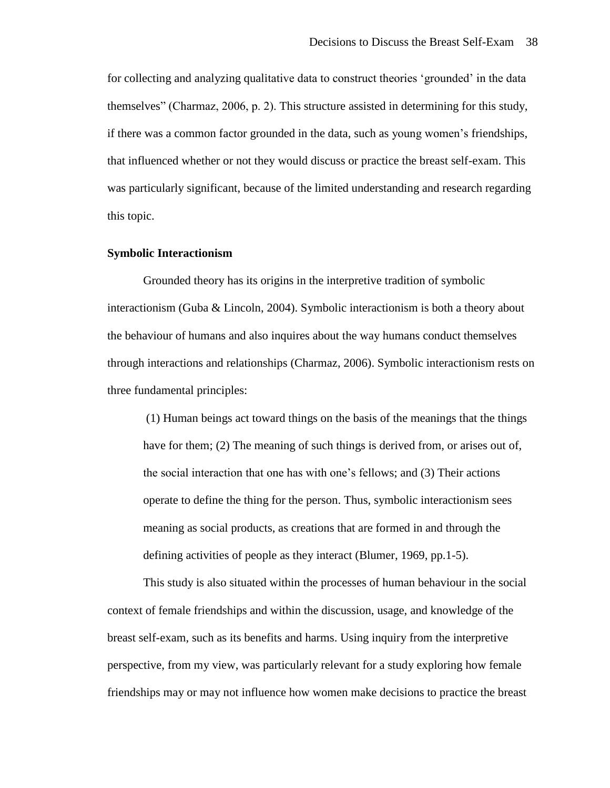for collecting and analyzing qualitative data to construct theories 'grounded' in the data themselves" (Charmaz, 2006, p. 2). This structure assisted in determining for this study, if there was a common factor grounded in the data, such as young women's friendships, that influenced whether or not they would discuss or practice the breast self-exam. This was particularly significant, because of the limited understanding and research regarding this topic.

#### **Symbolic Interactionism**

Grounded theory has its origins in the interpretive tradition of symbolic interactionism (Guba & Lincoln, 2004). Symbolic interactionism is both a theory about the behaviour of humans and also inquires about the way humans conduct themselves through interactions and relationships (Charmaz, 2006). Symbolic interactionism rests on three fundamental principles:

(1) Human beings act toward things on the basis of the meanings that the things have for them; (2) The meaning of such things is derived from, or arises out of, the social interaction that one has with one's fellows; and (3) Their actions operate to define the thing for the person. Thus, symbolic interactionism sees meaning as social products, as creations that are formed in and through the defining activities of people as they interact (Blumer, 1969, pp.1-5).

This study is also situated within the processes of human behaviour in the social context of female friendships and within the discussion, usage, and knowledge of the breast self-exam, such as its benefits and harms. Using inquiry from the interpretive perspective, from my view, was particularly relevant for a study exploring how female friendships may or may not influence how women make decisions to practice the breast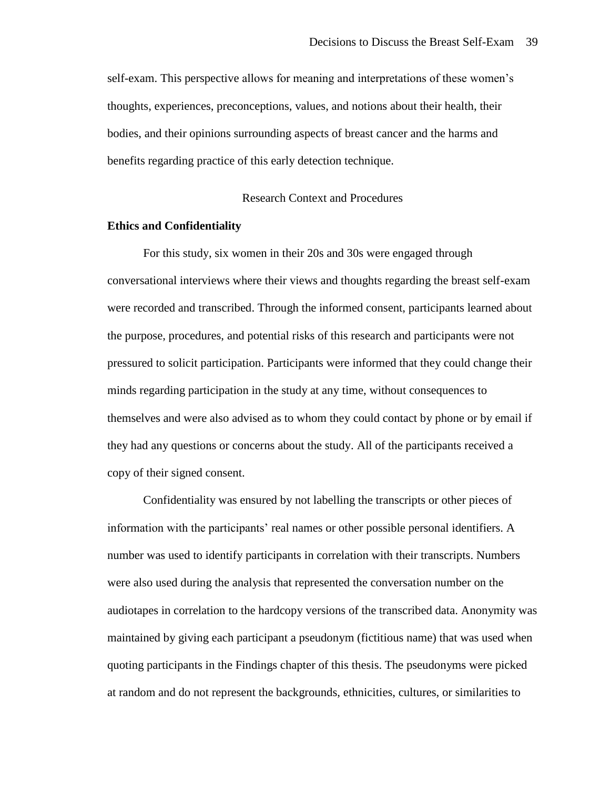self-exam. This perspective allows for meaning and interpretations of these women's thoughts, experiences, preconceptions, values, and notions about their health, their bodies, and their opinions surrounding aspects of breast cancer and the harms and benefits regarding practice of this early detection technique.

# Research Context and Procedures

#### **Ethics and Confidentiality**

For this study, six women in their 20s and 30s were engaged through conversational interviews where their views and thoughts regarding the breast self-exam were recorded and transcribed. Through the informed consent, participants learned about the purpose, procedures, and potential risks of this research and participants were not pressured to solicit participation. Participants were informed that they could change their minds regarding participation in the study at any time, without consequences to themselves and were also advised as to whom they could contact by phone or by email if they had any questions or concerns about the study. All of the participants received a copy of their signed consent.

Confidentiality was ensured by not labelling the transcripts or other pieces of information with the participants' real names or other possible personal identifiers. A number was used to identify participants in correlation with their transcripts. Numbers were also used during the analysis that represented the conversation number on the audiotapes in correlation to the hardcopy versions of the transcribed data. Anonymity was maintained by giving each participant a pseudonym (fictitious name) that was used when quoting participants in the Findings chapter of this thesis. The pseudonyms were picked at random and do not represent the backgrounds, ethnicities, cultures, or similarities to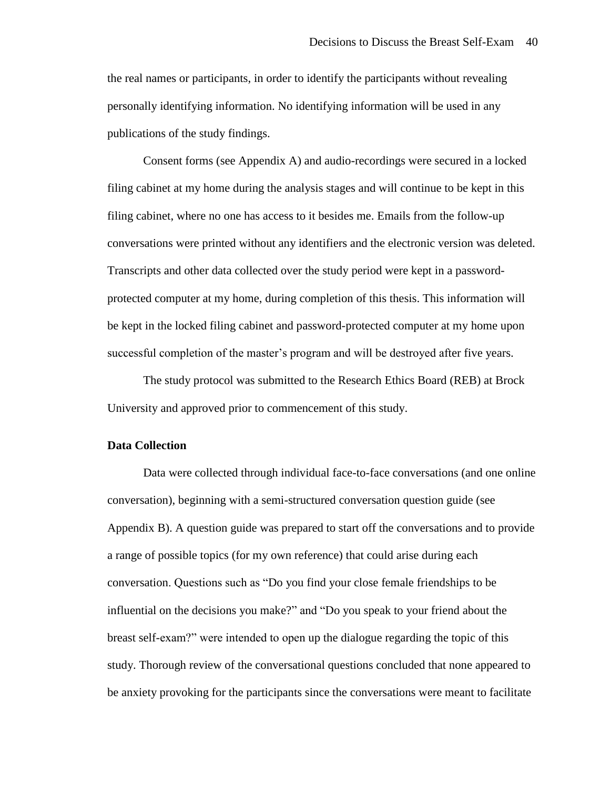the real names or participants, in order to identify the participants without revealing personally identifying information. No identifying information will be used in any publications of the study findings.

Consent forms (see Appendix A) and audio-recordings were secured in a locked filing cabinet at my home during the analysis stages and will continue to be kept in this filing cabinet, where no one has access to it besides me. Emails from the follow-up conversations were printed without any identifiers and the electronic version was deleted. Transcripts and other data collected over the study period were kept in a passwordprotected computer at my home, during completion of this thesis. This information will be kept in the locked filing cabinet and password-protected computer at my home upon successful completion of the master's program and will be destroyed after five years.

The study protocol was submitted to the Research Ethics Board (REB) at Brock University and approved prior to commencement of this study.

# **Data Collection**

Data were collected through individual face-to-face conversations (and one online conversation), beginning with a semi-structured conversation question guide (see Appendix B). A question guide was prepared to start off the conversations and to provide a range of possible topics (for my own reference) that could arise during each conversation. Questions such as "Do you find your close female friendships to be influential on the decisions you make?" and "Do you speak to your friend about the breast self-exam?" were intended to open up the dialogue regarding the topic of this study. Thorough review of the conversational questions concluded that none appeared to be anxiety provoking for the participants since the conversations were meant to facilitate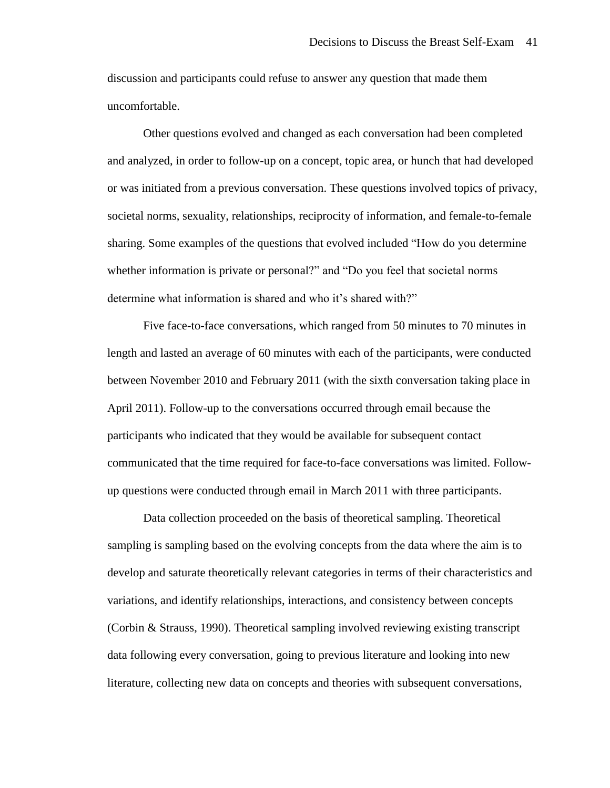discussion and participants could refuse to answer any question that made them uncomfortable.

Other questions evolved and changed as each conversation had been completed and analyzed, in order to follow-up on a concept, topic area, or hunch that had developed or was initiated from a previous conversation. These questions involved topics of privacy, societal norms, sexuality, relationships, reciprocity of information, and female-to-female sharing. Some examples of the questions that evolved included "How do you determine whether information is private or personal?" and "Do you feel that societal norms determine what information is shared and who it's shared with?"

Five face-to-face conversations, which ranged from 50 minutes to 70 minutes in length and lasted an average of 60 minutes with each of the participants, were conducted between November 2010 and February 2011 (with the sixth conversation taking place in April 2011). Follow-up to the conversations occurred through email because the participants who indicated that they would be available for subsequent contact communicated that the time required for face-to-face conversations was limited. Followup questions were conducted through email in March 2011 with three participants.

Data collection proceeded on the basis of theoretical sampling. Theoretical sampling is sampling based on the evolving concepts from the data where the aim is to develop and saturate theoretically relevant categories in terms of their characteristics and variations, and identify relationships, interactions, and consistency between concepts (Corbin & Strauss, 1990). Theoretical sampling involved reviewing existing transcript data following every conversation, going to previous literature and looking into new literature, collecting new data on concepts and theories with subsequent conversations,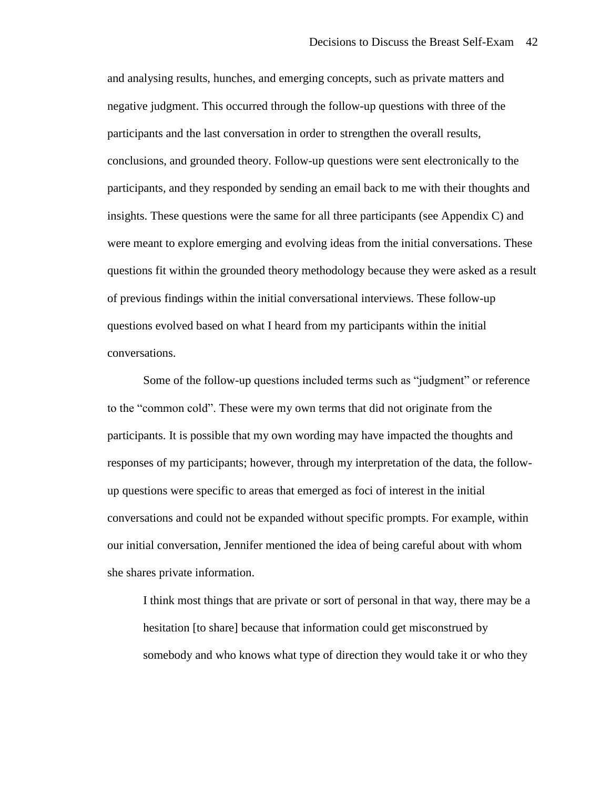and analysing results, hunches, and emerging concepts, such as private matters and negative judgment. This occurred through the follow-up questions with three of the participants and the last conversation in order to strengthen the overall results, conclusions, and grounded theory. Follow-up questions were sent electronically to the participants, and they responded by sending an email back to me with their thoughts and insights. These questions were the same for all three participants (see Appendix C) and were meant to explore emerging and evolving ideas from the initial conversations. These questions fit within the grounded theory methodology because they were asked as a result of previous findings within the initial conversational interviews. These follow-up questions evolved based on what I heard from my participants within the initial conversations.

Some of the follow-up questions included terms such as "judgment" or reference to the "common cold". These were my own terms that did not originate from the participants. It is possible that my own wording may have impacted the thoughts and responses of my participants; however, through my interpretation of the data, the followup questions were specific to areas that emerged as foci of interest in the initial conversations and could not be expanded without specific prompts. For example, within our initial conversation, Jennifer mentioned the idea of being careful about with whom she shares private information.

I think most things that are private or sort of personal in that way, there may be a hesitation [to share] because that information could get misconstrued by somebody and who knows what type of direction they would take it or who they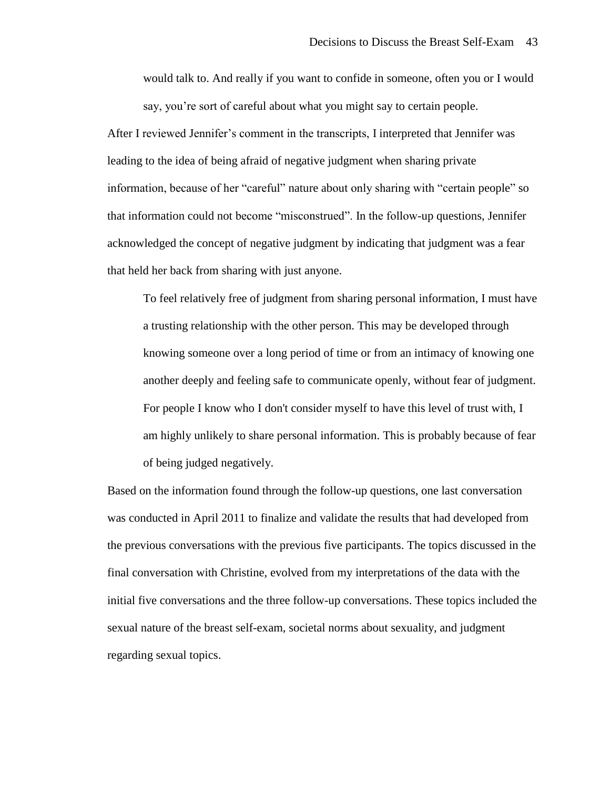would talk to. And really if you want to confide in someone, often you or I would say, you're sort of careful about what you might say to certain people.

After I reviewed Jennifer's comment in the transcripts, I interpreted that Jennifer was leading to the idea of being afraid of negative judgment when sharing private information, because of her "careful" nature about only sharing with "certain people" so that information could not become "misconstrued". In the follow-up questions, Jennifer acknowledged the concept of negative judgment by indicating that judgment was a fear that held her back from sharing with just anyone.

To feel relatively free of judgment from sharing personal information, I must have a trusting relationship with the other person. This may be developed through knowing someone over a long period of time or from an intimacy of knowing one another deeply and feeling safe to communicate openly, without fear of judgment. For people I know who I don't consider myself to have this level of trust with, I am highly unlikely to share personal information. This is probably because of fear of being judged negatively.

Based on the information found through the follow-up questions, one last conversation was conducted in April 2011 to finalize and validate the results that had developed from the previous conversations with the previous five participants. The topics discussed in the final conversation with Christine, evolved from my interpretations of the data with the initial five conversations and the three follow-up conversations. These topics included the sexual nature of the breast self-exam, societal norms about sexuality, and judgment regarding sexual topics.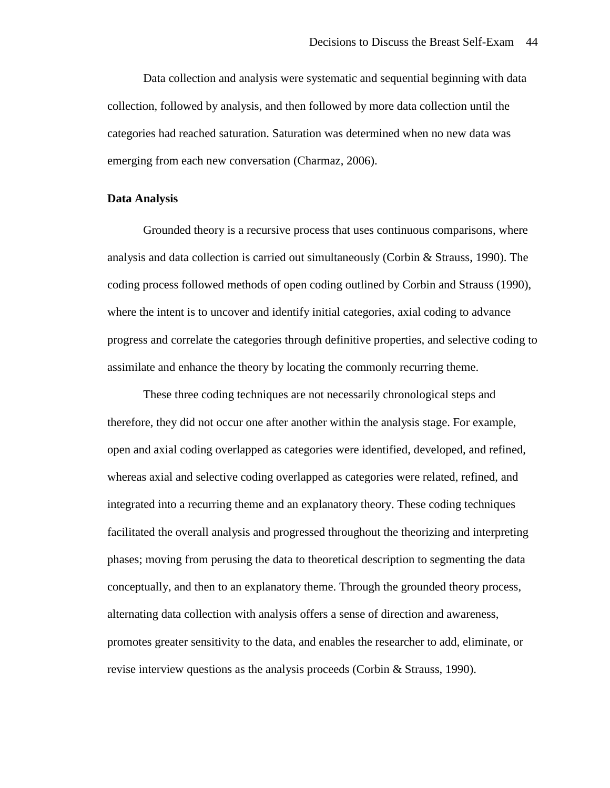Data collection and analysis were systematic and sequential beginning with data collection, followed by analysis, and then followed by more data collection until the categories had reached saturation. Saturation was determined when no new data was emerging from each new conversation (Charmaz, 2006).

### **Data Analysis**

Grounded theory is a recursive process that uses continuous comparisons, where analysis and data collection is carried out simultaneously (Corbin & Strauss, 1990). The coding process followed methods of open coding outlined by Corbin and Strauss (1990), where the intent is to uncover and identify initial categories, axial coding to advance progress and correlate the categories through definitive properties, and selective coding to assimilate and enhance the theory by locating the commonly recurring theme.

These three coding techniques are not necessarily chronological steps and therefore, they did not occur one after another within the analysis stage. For example, open and axial coding overlapped as categories were identified, developed, and refined, whereas axial and selective coding overlapped as categories were related, refined, and integrated into a recurring theme and an explanatory theory. These coding techniques facilitated the overall analysis and progressed throughout the theorizing and interpreting phases; moving from perusing the data to theoretical description to segmenting the data conceptually, and then to an explanatory theme. Through the grounded theory process, alternating data collection with analysis offers a sense of direction and awareness, promotes greater sensitivity to the data, and enables the researcher to add, eliminate, or revise interview questions as the analysis proceeds (Corbin & Strauss, 1990).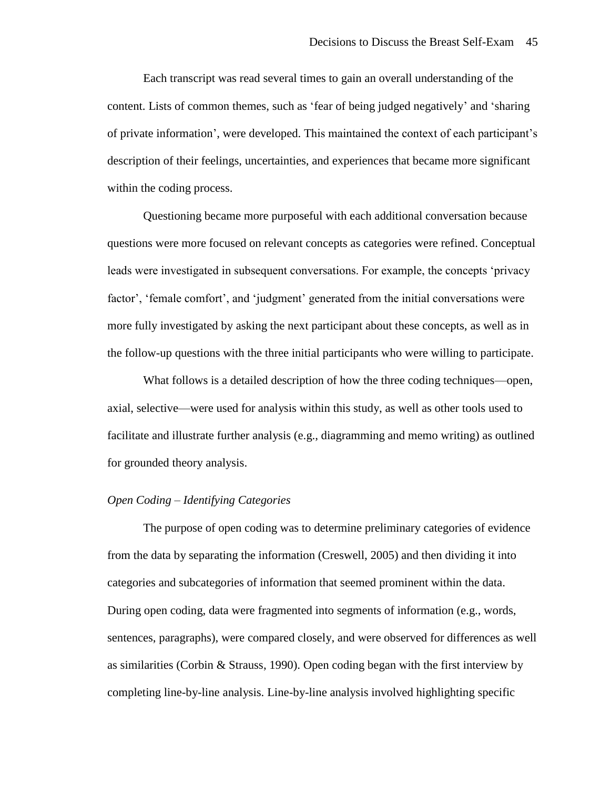Each transcript was read several times to gain an overall understanding of the content. Lists of common themes, such as 'fear of being judged negatively' and 'sharing of private information', were developed. This maintained the context of each participant's description of their feelings, uncertainties, and experiences that became more significant within the coding process.

Questioning became more purposeful with each additional conversation because questions were more focused on relevant concepts as categories were refined. Conceptual leads were investigated in subsequent conversations. For example, the concepts 'privacy factor', 'female comfort', and 'judgment' generated from the initial conversations were more fully investigated by asking the next participant about these concepts, as well as in the follow-up questions with the three initial participants who were willing to participate.

What follows is a detailed description of how the three coding techniques—open, axial, selective—were used for analysis within this study, as well as other tools used to facilitate and illustrate further analysis (e.g., diagramming and memo writing) as outlined for grounded theory analysis.

# *Open Coding – Identifying Categories*

The purpose of open coding was to determine preliminary categories of evidence from the data by separating the information (Creswell, 2005) and then dividing it into categories and subcategories of information that seemed prominent within the data. During open coding, data were fragmented into segments of information (e.g., words, sentences, paragraphs), were compared closely, and were observed for differences as well as similarities (Corbin  $&$  Strauss, 1990). Open coding began with the first interview by completing line-by-line analysis. Line-by-line analysis involved highlighting specific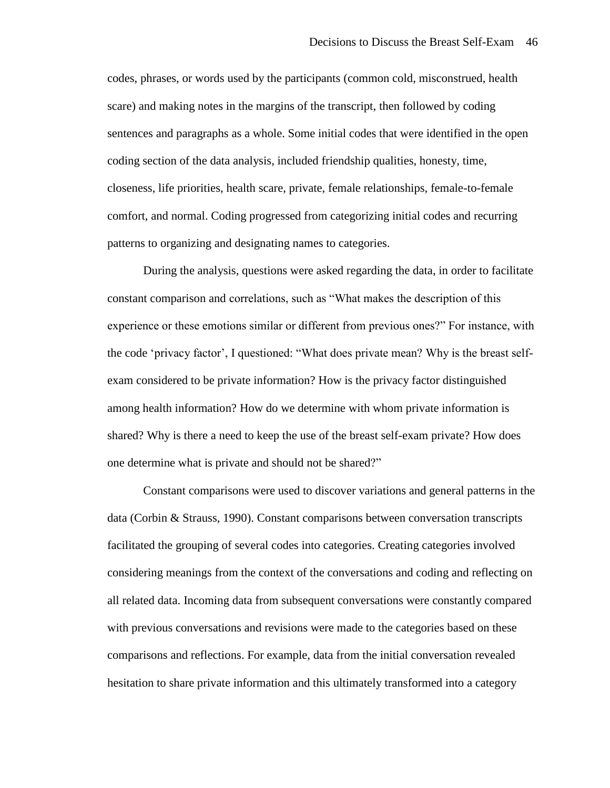codes, phrases, or words used by the participants (common cold, misconstrued, health scare) and making notes in the margins of the transcript, then followed by coding sentences and paragraphs as a whole. Some initial codes that were identified in the open coding section of the data analysis, included friendship qualities, honesty, time, closeness, life priorities, health scare, private, female relationships, female-to-female comfort, and normal. Coding progressed from categorizing initial codes and recurring patterns to organizing and designating names to categories.

During the analysis, questions were asked regarding the data, in order to facilitate constant comparison and correlations, such as "What makes the description of this experience or these emotions similar or different from previous ones?" For instance, with the code 'privacy factor', I questioned: "What does private mean? Why is the breast selfexam considered to be private information? How is the privacy factor distinguished among health information? How do we determine with whom private information is shared? Why is there a need to keep the use of the breast self-exam private? How does one determine what is private and should not be shared?"

Constant comparisons were used to discover variations and general patterns in the data (Corbin & Strauss, 1990). Constant comparisons between conversation transcripts facilitated the grouping of several codes into categories. Creating categories involved considering meanings from the context of the conversations and coding and reflecting on all related data. Incoming data from subsequent conversations were constantly compared with previous conversations and revisions were made to the categories based on these comparisons and reflections. For example, data from the initial conversation revealed hesitation to share private information and this ultimately transformed into a category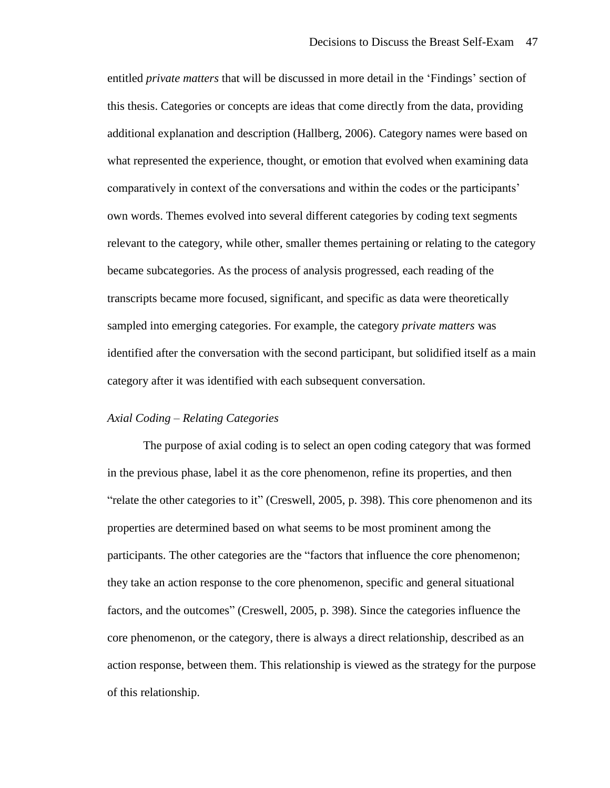entitled *private matters* that will be discussed in more detail in the 'Findings' section of this thesis. Categories or concepts are ideas that come directly from the data, providing additional explanation and description (Hallberg, 2006). Category names were based on what represented the experience, thought, or emotion that evolved when examining data comparatively in context of the conversations and within the codes or the participants' own words. Themes evolved into several different categories by coding text segments relevant to the category, while other, smaller themes pertaining or relating to the category became subcategories. As the process of analysis progressed, each reading of the transcripts became more focused, significant, and specific as data were theoretically sampled into emerging categories. For example, the category *private matters* was identified after the conversation with the second participant, but solidified itself as a main category after it was identified with each subsequent conversation.

## *Axial Coding – Relating Categories*

The purpose of axial coding is to select an open coding category that was formed in the previous phase, label it as the core phenomenon, refine its properties, and then "relate the other categories to it" (Creswell, 2005, p. 398). This core phenomenon and its properties are determined based on what seems to be most prominent among the participants. The other categories are the "factors that influence the core phenomenon; they take an action response to the core phenomenon, specific and general situational factors, and the outcomes" (Creswell, 2005, p. 398). Since the categories influence the core phenomenon, or the category, there is always a direct relationship, described as an action response, between them. This relationship is viewed as the strategy for the purpose of this relationship.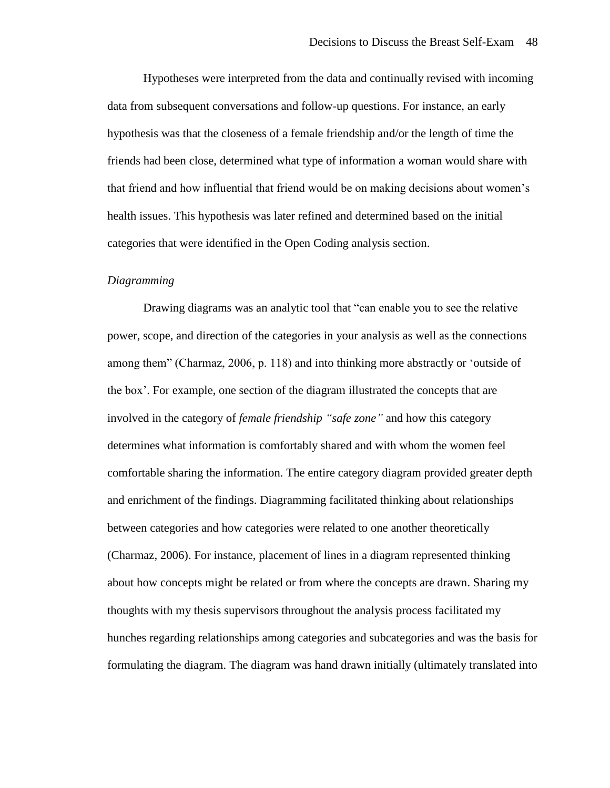Hypotheses were interpreted from the data and continually revised with incoming data from subsequent conversations and follow-up questions. For instance, an early hypothesis was that the closeness of a female friendship and/or the length of time the friends had been close, determined what type of information a woman would share with that friend and how influential that friend would be on making decisions about women's health issues. This hypothesis was later refined and determined based on the initial categories that were identified in the Open Coding analysis section.

#### *Diagramming*

Drawing diagrams was an analytic tool that "can enable you to see the relative power, scope, and direction of the categories in your analysis as well as the connections among them" (Charmaz, 2006, p. 118) and into thinking more abstractly or 'outside of the box'. For example, one section of the diagram illustrated the concepts that are involved in the category of *female friendship "safe zone"* and how this category determines what information is comfortably shared and with whom the women feel comfortable sharing the information. The entire category diagram provided greater depth and enrichment of the findings. Diagramming facilitated thinking about relationships between categories and how categories were related to one another theoretically (Charmaz, 2006). For instance, placement of lines in a diagram represented thinking about how concepts might be related or from where the concepts are drawn. Sharing my thoughts with my thesis supervisors throughout the analysis process facilitated my hunches regarding relationships among categories and subcategories and was the basis for formulating the diagram. The diagram was hand drawn initially (ultimately translated into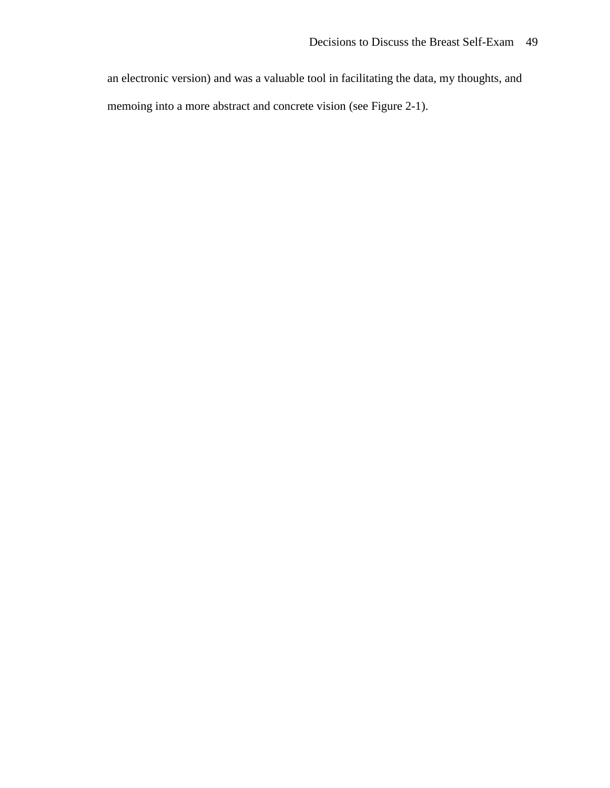an electronic version) and was a valuable tool in facilitating the data, my thoughts, and memoing into a more abstract and concrete vision (see Figure 2-1).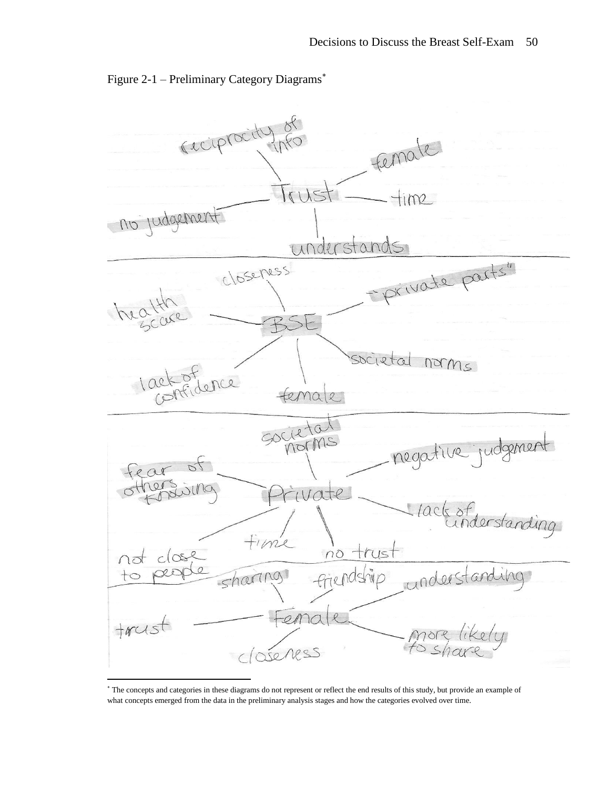

Figure 2-1 – Preliminary Category Diagrams

<sup>\*</sup> The concepts and categories in these diagrams do not represent or reflect the end results of this study, but provide an example of what concepts emerged from the data in the preliminary analysis stages and how the categories evolved over time.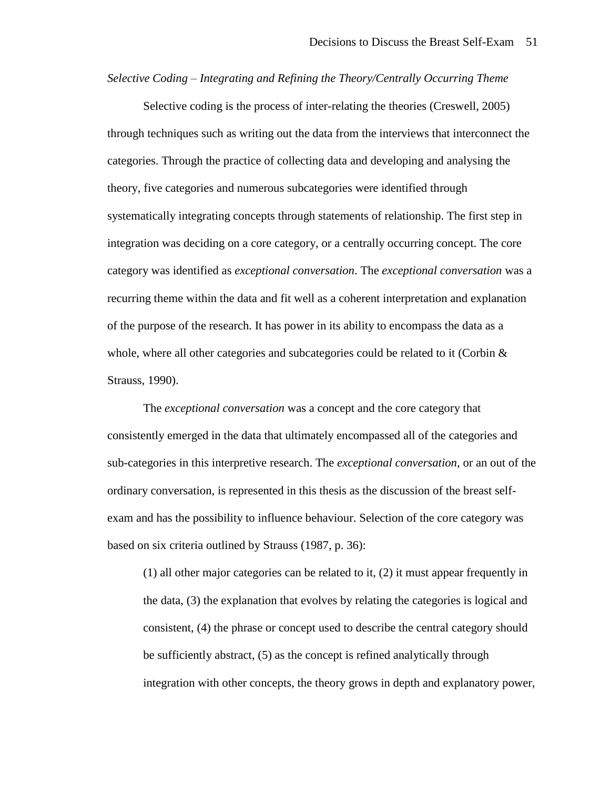*Selective Coding – Integrating and Refining the Theory/Centrally Occurring Theme*

Selective coding is the process of inter-relating the theories (Creswell, 2005) through techniques such as writing out the data from the interviews that interconnect the categories. Through the practice of collecting data and developing and analysing the theory, five categories and numerous subcategories were identified through systematically integrating concepts through statements of relationship. The first step in integration was deciding on a core category, or a centrally occurring concept. The core category was identified as *exceptional conversation*. The *exceptional conversation* was a recurring theme within the data and fit well as a coherent interpretation and explanation of the purpose of the research. It has power in its ability to encompass the data as a whole, where all other categories and subcategories could be related to it (Corbin  $\&$ Strauss, 1990).

The *exceptional conversation* was a concept and the core category that consistently emerged in the data that ultimately encompassed all of the categories and sub-categories in this interpretive research. The *exceptional conversation*, or an out of the ordinary conversation, is represented in this thesis as the discussion of the breast selfexam and has the possibility to influence behaviour. Selection of the core category was based on six criteria outlined by Strauss (1987, p. 36):

(1) all other major categories can be related to it, (2) it must appear frequently in the data, (3) the explanation that evolves by relating the categories is logical and consistent, (4) the phrase or concept used to describe the central category should be sufficiently abstract, (5) as the concept is refined analytically through integration with other concepts, the theory grows in depth and explanatory power,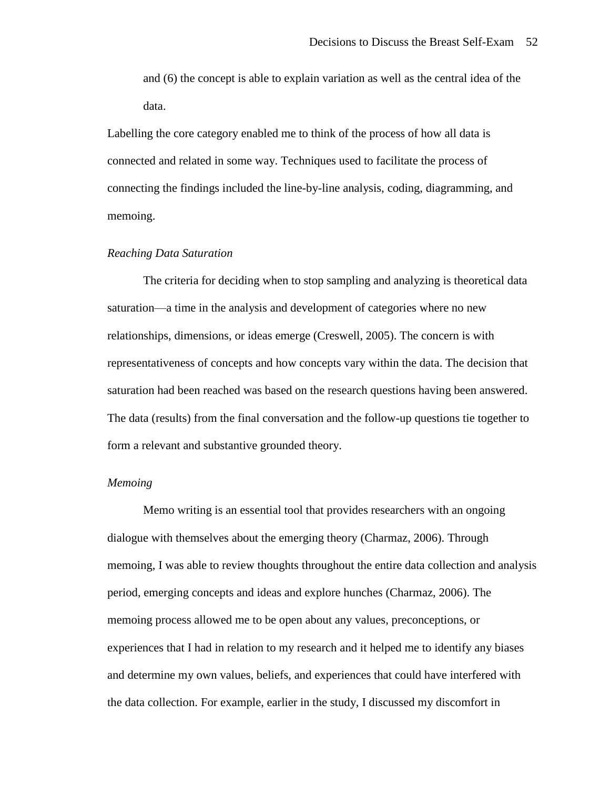and (6) the concept is able to explain variation as well as the central idea of the data.

Labelling the core category enabled me to think of the process of how all data is connected and related in some way. Techniques used to facilitate the process of connecting the findings included the line-by-line analysis, coding, diagramming, and memoing.

#### *Reaching Data Saturation*

The criteria for deciding when to stop sampling and analyzing is theoretical data saturation—a time in the analysis and development of categories where no new relationships, dimensions, or ideas emerge (Creswell, 2005). The concern is with representativeness of concepts and how concepts vary within the data. The decision that saturation had been reached was based on the research questions having been answered. The data (results) from the final conversation and the follow-up questions tie together to form a relevant and substantive grounded theory.

#### *Memoing*

Memo writing is an essential tool that provides researchers with an ongoing dialogue with themselves about the emerging theory (Charmaz, 2006). Through memoing, I was able to review thoughts throughout the entire data collection and analysis period, emerging concepts and ideas and explore hunches (Charmaz, 2006). The memoing process allowed me to be open about any values, preconceptions, or experiences that I had in relation to my research and it helped me to identify any biases and determine my own values, beliefs, and experiences that could have interfered with the data collection. For example, earlier in the study, I discussed my discomfort in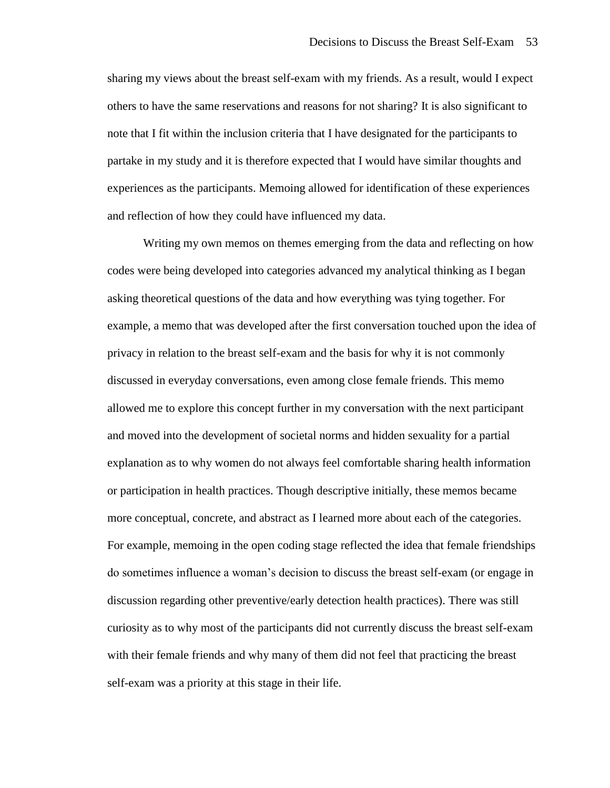sharing my views about the breast self-exam with my friends. As a result, would I expect others to have the same reservations and reasons for not sharing? It is also significant to note that I fit within the inclusion criteria that I have designated for the participants to partake in my study and it is therefore expected that I would have similar thoughts and experiences as the participants. Memoing allowed for identification of these experiences and reflection of how they could have influenced my data.

Writing my own memos on themes emerging from the data and reflecting on how codes were being developed into categories advanced my analytical thinking as I began asking theoretical questions of the data and how everything was tying together. For example, a memo that was developed after the first conversation touched upon the idea of privacy in relation to the breast self-exam and the basis for why it is not commonly discussed in everyday conversations, even among close female friends. This memo allowed me to explore this concept further in my conversation with the next participant and moved into the development of societal norms and hidden sexuality for a partial explanation as to why women do not always feel comfortable sharing health information or participation in health practices. Though descriptive initially, these memos became more conceptual, concrete, and abstract as I learned more about each of the categories. For example, memoing in the open coding stage reflected the idea that female friendships do sometimes influence a woman's decision to discuss the breast self-exam (or engage in discussion regarding other preventive/early detection health practices). There was still curiosity as to why most of the participants did not currently discuss the breast self-exam with their female friends and why many of them did not feel that practicing the breast self-exam was a priority at this stage in their life.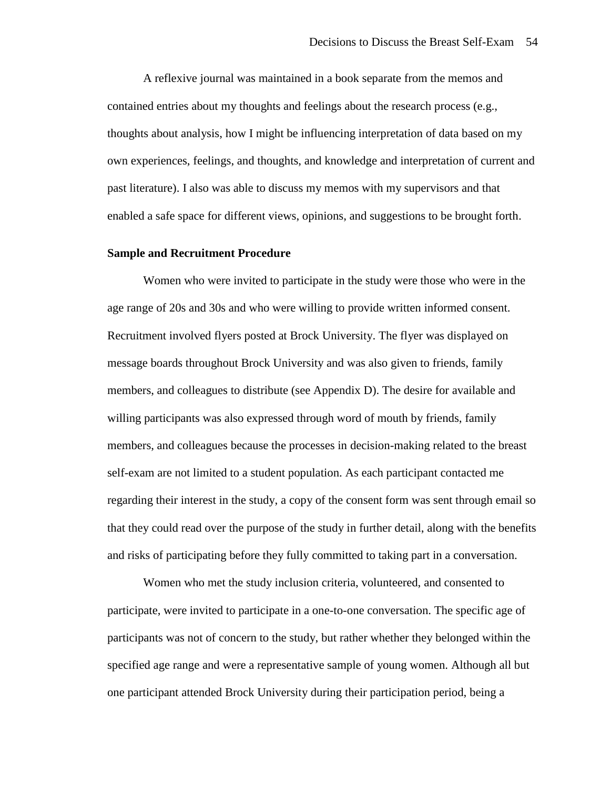A reflexive journal was maintained in a book separate from the memos and contained entries about my thoughts and feelings about the research process (e.g., thoughts about analysis, how I might be influencing interpretation of data based on my own experiences, feelings, and thoughts, and knowledge and interpretation of current and past literature). I also was able to discuss my memos with my supervisors and that enabled a safe space for different views, opinions, and suggestions to be brought forth.

#### **Sample and Recruitment Procedure**

Women who were invited to participate in the study were those who were in the age range of 20s and 30s and who were willing to provide written informed consent. Recruitment involved flyers posted at Brock University. The flyer was displayed on message boards throughout Brock University and was also given to friends, family members, and colleagues to distribute (see Appendix D). The desire for available and willing participants was also expressed through word of mouth by friends, family members, and colleagues because the processes in decision-making related to the breast self-exam are not limited to a student population. As each participant contacted me regarding their interest in the study, a copy of the consent form was sent through email so that they could read over the purpose of the study in further detail, along with the benefits and risks of participating before they fully committed to taking part in a conversation.

Women who met the study inclusion criteria, volunteered, and consented to participate, were invited to participate in a one-to-one conversation. The specific age of participants was not of concern to the study, but rather whether they belonged within the specified age range and were a representative sample of young women. Although all but one participant attended Brock University during their participation period, being a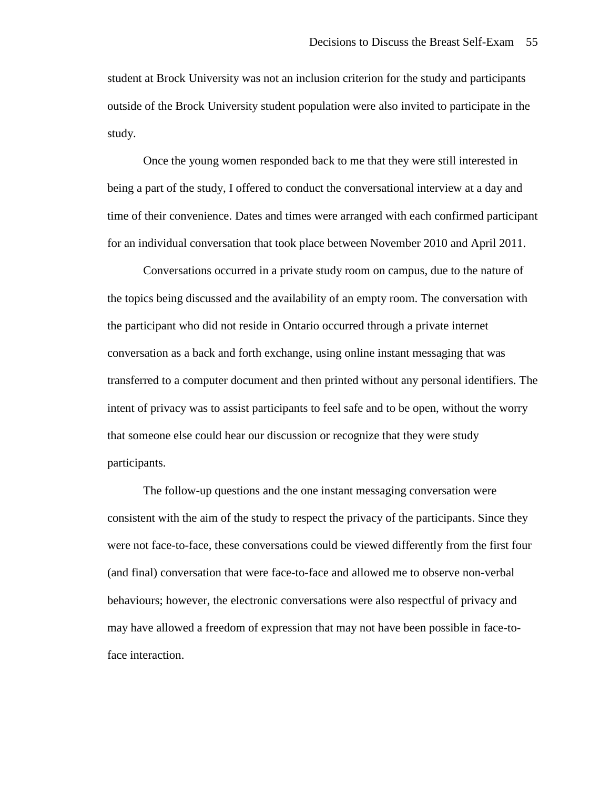student at Brock University was not an inclusion criterion for the study and participants outside of the Brock University student population were also invited to participate in the study.

Once the young women responded back to me that they were still interested in being a part of the study, I offered to conduct the conversational interview at a day and time of their convenience. Dates and times were arranged with each confirmed participant for an individual conversation that took place between November 2010 and April 2011.

Conversations occurred in a private study room on campus, due to the nature of the topics being discussed and the availability of an empty room. The conversation with the participant who did not reside in Ontario occurred through a private internet conversation as a back and forth exchange, using online instant messaging that was transferred to a computer document and then printed without any personal identifiers. The intent of privacy was to assist participants to feel safe and to be open, without the worry that someone else could hear our discussion or recognize that they were study participants.

The follow-up questions and the one instant messaging conversation were consistent with the aim of the study to respect the privacy of the participants. Since they were not face-to-face, these conversations could be viewed differently from the first four (and final) conversation that were face-to-face and allowed me to observe non-verbal behaviours; however, the electronic conversations were also respectful of privacy and may have allowed a freedom of expression that may not have been possible in face-toface interaction.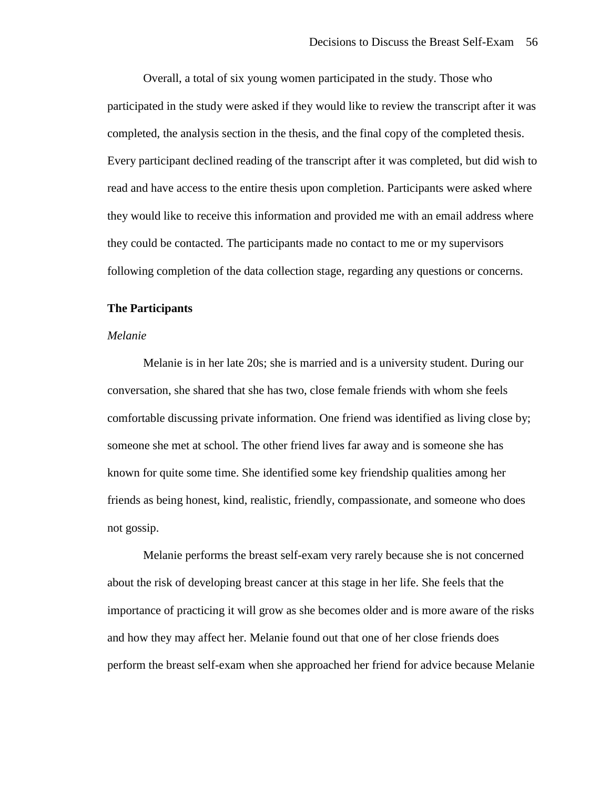Overall, a total of six young women participated in the study. Those who participated in the study were asked if they would like to review the transcript after it was completed, the analysis section in the thesis, and the final copy of the completed thesis. Every participant declined reading of the transcript after it was completed, but did wish to read and have access to the entire thesis upon completion. Participants were asked where they would like to receive this information and provided me with an email address where they could be contacted. The participants made no contact to me or my supervisors following completion of the data collection stage, regarding any questions or concerns.

# **The Participants**

#### *Melanie*

Melanie is in her late 20s; she is married and is a university student. During our conversation, she shared that she has two, close female friends with whom she feels comfortable discussing private information. One friend was identified as living close by; someone she met at school. The other friend lives far away and is someone she has known for quite some time. She identified some key friendship qualities among her friends as being honest, kind, realistic, friendly, compassionate, and someone who does not gossip.

Melanie performs the breast self-exam very rarely because she is not concerned about the risk of developing breast cancer at this stage in her life. She feels that the importance of practicing it will grow as she becomes older and is more aware of the risks and how they may affect her. Melanie found out that one of her close friends does perform the breast self-exam when she approached her friend for advice because Melanie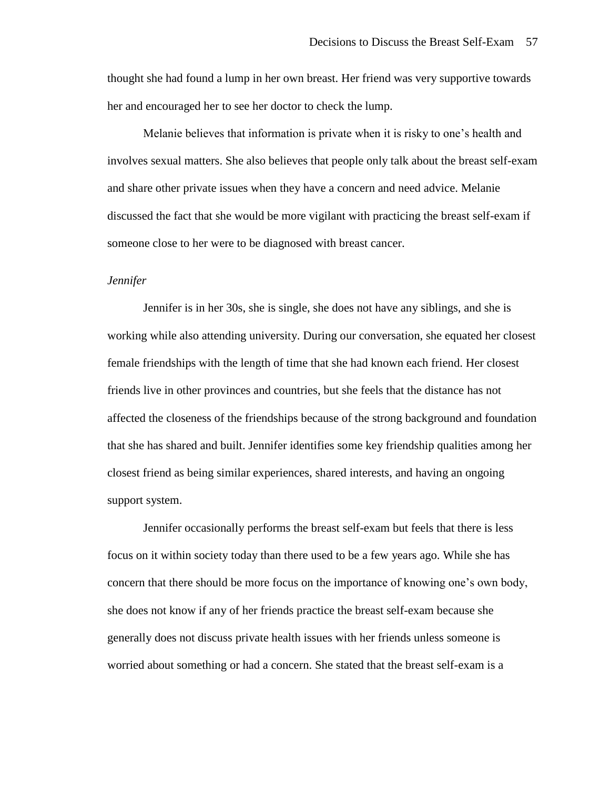thought she had found a lump in her own breast. Her friend was very supportive towards her and encouraged her to see her doctor to check the lump.

Melanie believes that information is private when it is risky to one's health and involves sexual matters. She also believes that people only talk about the breast self-exam and share other private issues when they have a concern and need advice. Melanie discussed the fact that she would be more vigilant with practicing the breast self-exam if someone close to her were to be diagnosed with breast cancer.

## *Jennifer*

Jennifer is in her 30s, she is single, she does not have any siblings, and she is working while also attending university. During our conversation, she equated her closest female friendships with the length of time that she had known each friend. Her closest friends live in other provinces and countries, but she feels that the distance has not affected the closeness of the friendships because of the strong background and foundation that she has shared and built. Jennifer identifies some key friendship qualities among her closest friend as being similar experiences, shared interests, and having an ongoing support system.

Jennifer occasionally performs the breast self-exam but feels that there is less focus on it within society today than there used to be a few years ago. While she has concern that there should be more focus on the importance of knowing one's own body, she does not know if any of her friends practice the breast self-exam because she generally does not discuss private health issues with her friends unless someone is worried about something or had a concern. She stated that the breast self-exam is a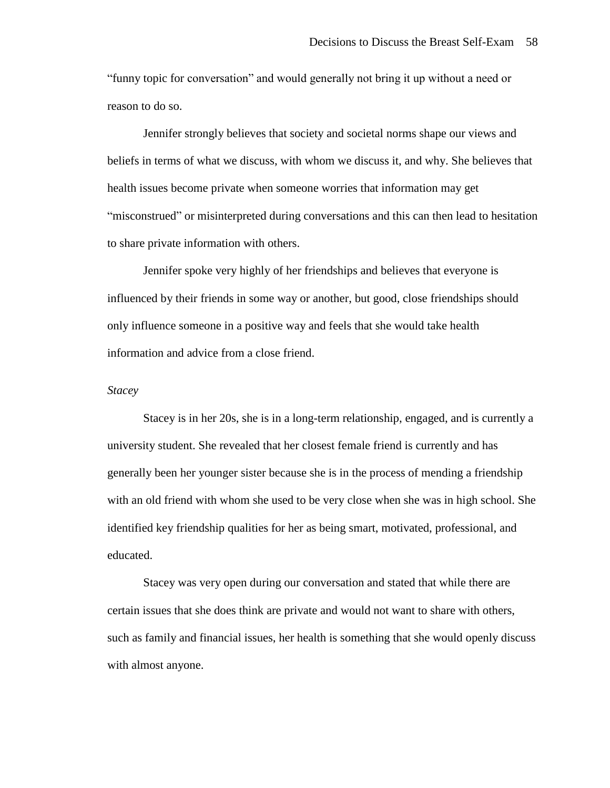"funny topic for conversation" and would generally not bring it up without a need or reason to do so.

Jennifer strongly believes that society and societal norms shape our views and beliefs in terms of what we discuss, with whom we discuss it, and why. She believes that health issues become private when someone worries that information may get "misconstrued" or misinterpreted during conversations and this can then lead to hesitation to share private information with others.

Jennifer spoke very highly of her friendships and believes that everyone is influenced by their friends in some way or another, but good, close friendships should only influence someone in a positive way and feels that she would take health information and advice from a close friend.

#### *Stacey*

Stacey is in her 20s, she is in a long-term relationship, engaged, and is currently a university student. She revealed that her closest female friend is currently and has generally been her younger sister because she is in the process of mending a friendship with an old friend with whom she used to be very close when she was in high school. She identified key friendship qualities for her as being smart, motivated, professional, and educated.

Stacey was very open during our conversation and stated that while there are certain issues that she does think are private and would not want to share with others, such as family and financial issues, her health is something that she would openly discuss with almost anyone.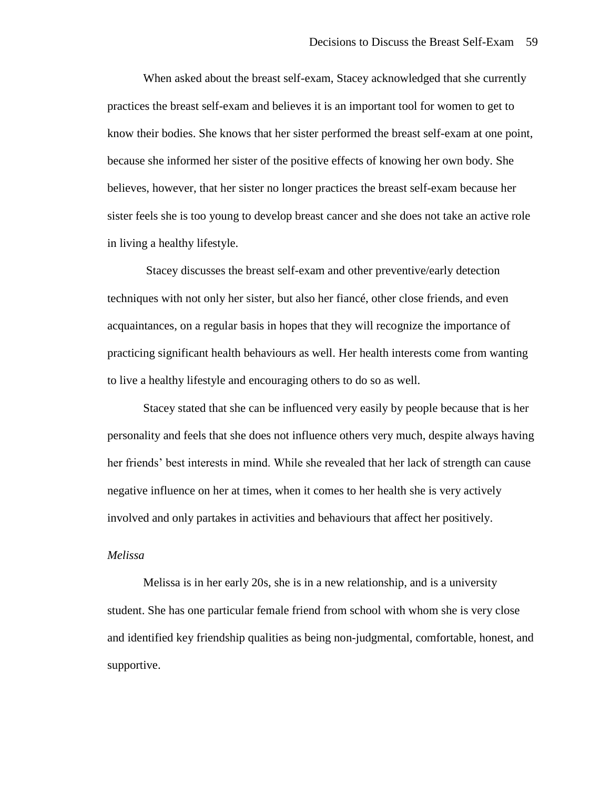When asked about the breast self-exam, Stacey acknowledged that she currently practices the breast self-exam and believes it is an important tool for women to get to know their bodies. She knows that her sister performed the breast self-exam at one point, because she informed her sister of the positive effects of knowing her own body. She believes, however, that her sister no longer practices the breast self-exam because her sister feels she is too young to develop breast cancer and she does not take an active role in living a healthy lifestyle.

Stacey discusses the breast self-exam and other preventive/early detection techniques with not only her sister, but also her fiancé, other close friends, and even acquaintances, on a regular basis in hopes that they will recognize the importance of practicing significant health behaviours as well. Her health interests come from wanting to live a healthy lifestyle and encouraging others to do so as well.

Stacey stated that she can be influenced very easily by people because that is her personality and feels that she does not influence others very much, despite always having her friends' best interests in mind. While she revealed that her lack of strength can cause negative influence on her at times, when it comes to her health she is very actively involved and only partakes in activities and behaviours that affect her positively.

## *Melissa*

Melissa is in her early 20s, she is in a new relationship, and is a university student. She has one particular female friend from school with whom she is very close and identified key friendship qualities as being non-judgmental, comfortable, honest, and supportive.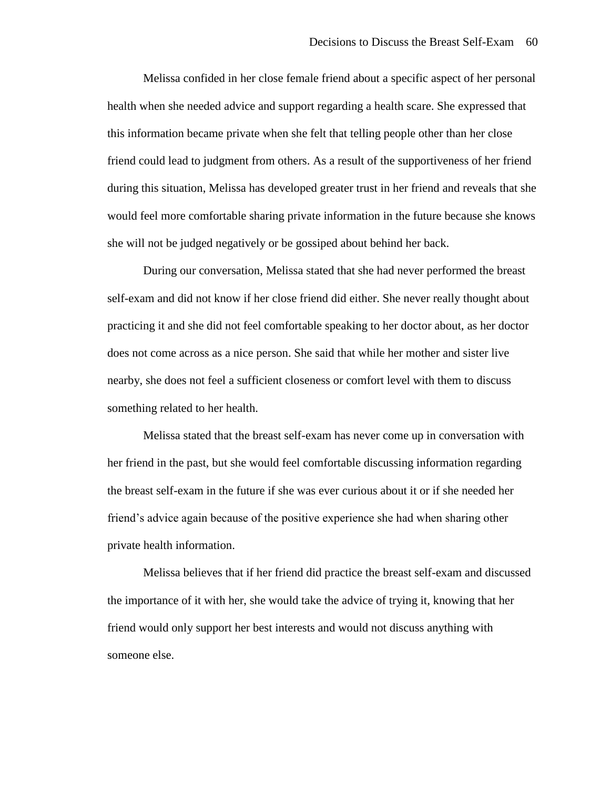Melissa confided in her close female friend about a specific aspect of her personal health when she needed advice and support regarding a health scare. She expressed that this information became private when she felt that telling people other than her close friend could lead to judgment from others. As a result of the supportiveness of her friend during this situation, Melissa has developed greater trust in her friend and reveals that she would feel more comfortable sharing private information in the future because she knows she will not be judged negatively or be gossiped about behind her back.

During our conversation, Melissa stated that she had never performed the breast self-exam and did not know if her close friend did either. She never really thought about practicing it and she did not feel comfortable speaking to her doctor about, as her doctor does not come across as a nice person. She said that while her mother and sister live nearby, she does not feel a sufficient closeness or comfort level with them to discuss something related to her health.

Melissa stated that the breast self-exam has never come up in conversation with her friend in the past, but she would feel comfortable discussing information regarding the breast self-exam in the future if she was ever curious about it or if she needed her friend's advice again because of the positive experience she had when sharing other private health information.

Melissa believes that if her friend did practice the breast self-exam and discussed the importance of it with her, she would take the advice of trying it, knowing that her friend would only support her best interests and would not discuss anything with someone else.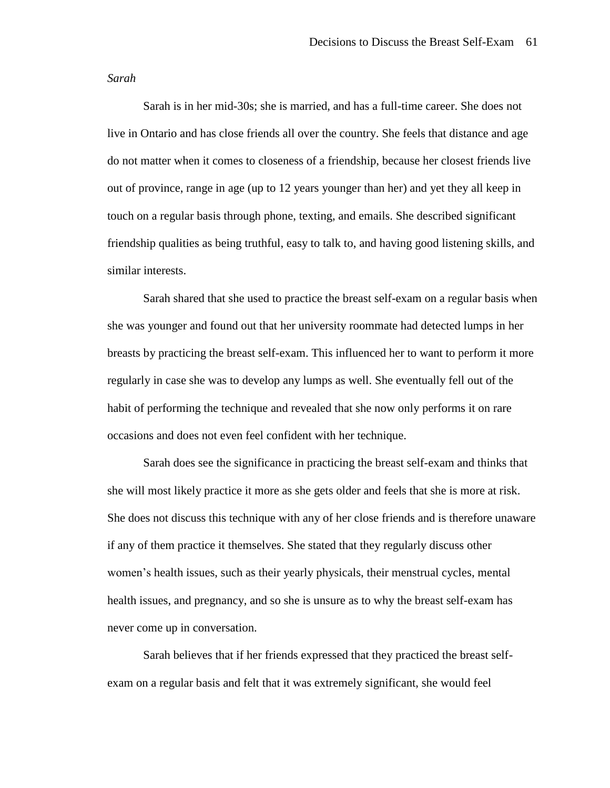#### *Sarah*

Sarah is in her mid-30s; she is married, and has a full-time career. She does not live in Ontario and has close friends all over the country. She feels that distance and age do not matter when it comes to closeness of a friendship, because her closest friends live out of province, range in age (up to 12 years younger than her) and yet they all keep in touch on a regular basis through phone, texting, and emails. She described significant friendship qualities as being truthful, easy to talk to, and having good listening skills, and similar interests.

Sarah shared that she used to practice the breast self-exam on a regular basis when she was younger and found out that her university roommate had detected lumps in her breasts by practicing the breast self-exam. This influenced her to want to perform it more regularly in case she was to develop any lumps as well. She eventually fell out of the habit of performing the technique and revealed that she now only performs it on rare occasions and does not even feel confident with her technique.

Sarah does see the significance in practicing the breast self-exam and thinks that she will most likely practice it more as she gets older and feels that she is more at risk. She does not discuss this technique with any of her close friends and is therefore unaware if any of them practice it themselves. She stated that they regularly discuss other women's health issues, such as their yearly physicals, their menstrual cycles, mental health issues, and pregnancy, and so she is unsure as to why the breast self-exam has never come up in conversation.

Sarah believes that if her friends expressed that they practiced the breast selfexam on a regular basis and felt that it was extremely significant, she would feel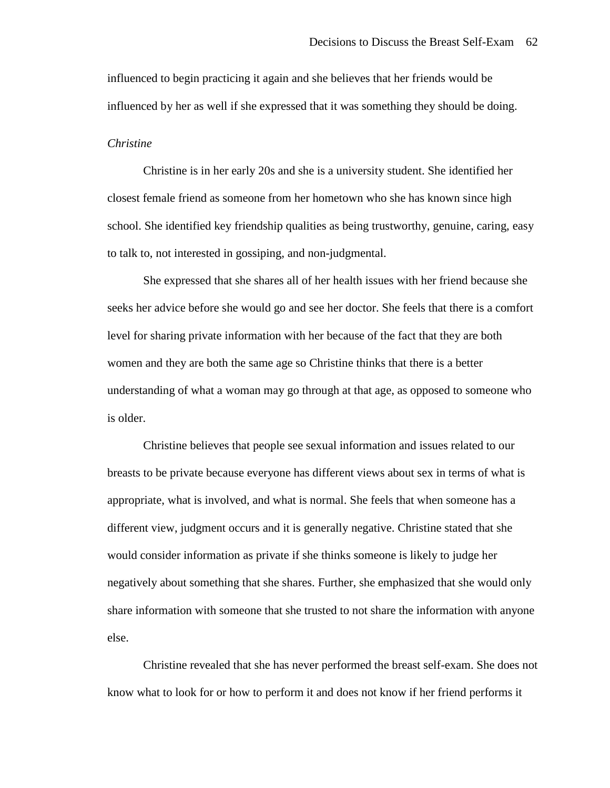influenced to begin practicing it again and she believes that her friends would be influenced by her as well if she expressed that it was something they should be doing.

## *Christine*

Christine is in her early 20s and she is a university student. She identified her closest female friend as someone from her hometown who she has known since high school. She identified key friendship qualities as being trustworthy, genuine, caring, easy to talk to, not interested in gossiping, and non-judgmental.

She expressed that she shares all of her health issues with her friend because she seeks her advice before she would go and see her doctor. She feels that there is a comfort level for sharing private information with her because of the fact that they are both women and they are both the same age so Christine thinks that there is a better understanding of what a woman may go through at that age, as opposed to someone who is older.

Christine believes that people see sexual information and issues related to our breasts to be private because everyone has different views about sex in terms of what is appropriate, what is involved, and what is normal. She feels that when someone has a different view, judgment occurs and it is generally negative. Christine stated that she would consider information as private if she thinks someone is likely to judge her negatively about something that she shares. Further, she emphasized that she would only share information with someone that she trusted to not share the information with anyone else.

Christine revealed that she has never performed the breast self-exam. She does not know what to look for or how to perform it and does not know if her friend performs it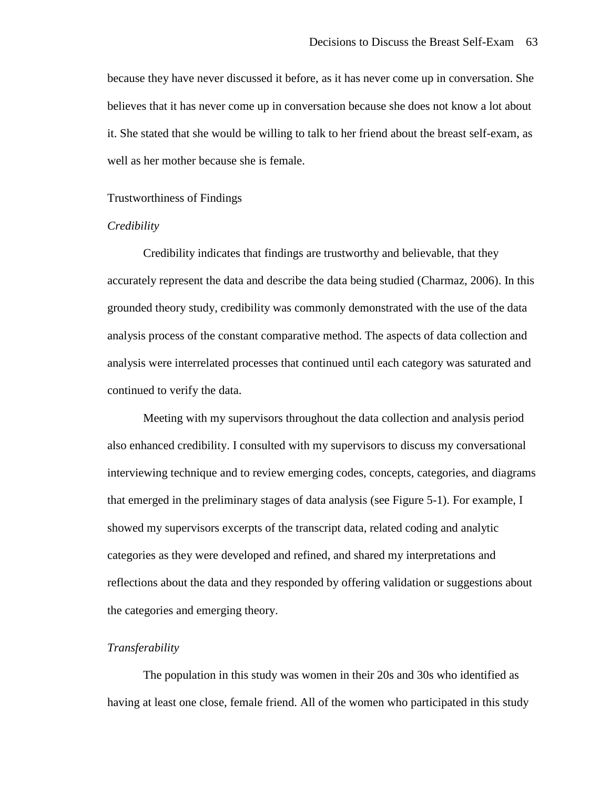because they have never discussed it before, as it has never come up in conversation. She believes that it has never come up in conversation because she does not know a lot about it. She stated that she would be willing to talk to her friend about the breast self-exam, as well as her mother because she is female.

#### Trustworthiness of Findings

# *Credibility*

Credibility indicates that findings are trustworthy and believable, that they accurately represent the data and describe the data being studied (Charmaz, 2006). In this grounded theory study, credibility was commonly demonstrated with the use of the data analysis process of the constant comparative method. The aspects of data collection and analysis were interrelated processes that continued until each category was saturated and continued to verify the data.

Meeting with my supervisors throughout the data collection and analysis period also enhanced credibility. I consulted with my supervisors to discuss my conversational interviewing technique and to review emerging codes, concepts, categories, and diagrams that emerged in the preliminary stages of data analysis (see Figure 5-1). For example, I showed my supervisors excerpts of the transcript data, related coding and analytic categories as they were developed and refined, and shared my interpretations and reflections about the data and they responded by offering validation or suggestions about the categories and emerging theory.

# *Transferability*

The population in this study was women in their 20s and 30s who identified as having at least one close, female friend. All of the women who participated in this study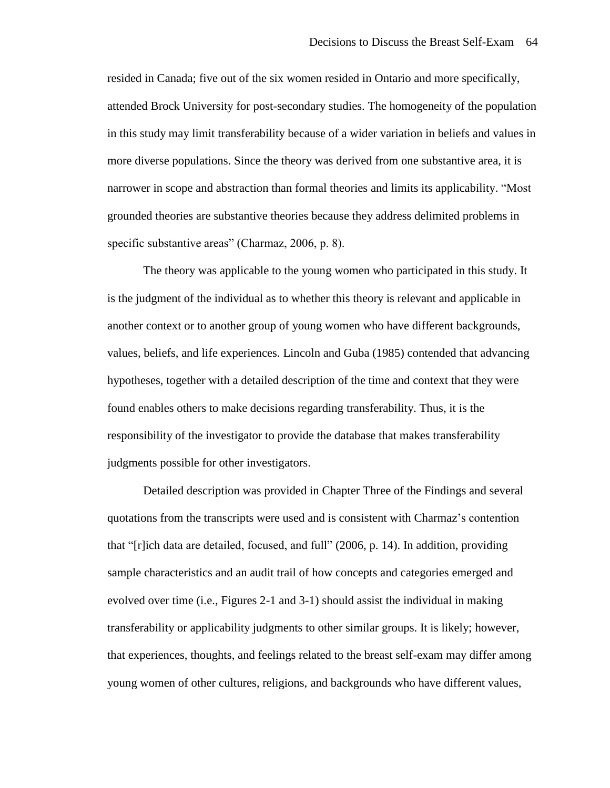resided in Canada; five out of the six women resided in Ontario and more specifically, attended Brock University for post-secondary studies. The homogeneity of the population in this study may limit transferability because of a wider variation in beliefs and values in more diverse populations. Since the theory was derived from one substantive area, it is narrower in scope and abstraction than formal theories and limits its applicability. "Most grounded theories are substantive theories because they address delimited problems in specific substantive areas" (Charmaz, 2006, p. 8).

The theory was applicable to the young women who participated in this study. It is the judgment of the individual as to whether this theory is relevant and applicable in another context or to another group of young women who have different backgrounds, values, beliefs, and life experiences. Lincoln and Guba (1985) contended that advancing hypotheses, together with a detailed description of the time and context that they were found enables others to make decisions regarding transferability. Thus, it is the responsibility of the investigator to provide the database that makes transferability judgments possible for other investigators.

Detailed description was provided in Chapter Three of the Findings and several quotations from the transcripts were used and is consistent with Charmaz's contention that "[r]ich data are detailed, focused, and full" (2006, p. 14). In addition, providing sample characteristics and an audit trail of how concepts and categories emerged and evolved over time (i.e., Figures 2-1 and 3-1) should assist the individual in making transferability or applicability judgments to other similar groups. It is likely; however, that experiences, thoughts, and feelings related to the breast self-exam may differ among young women of other cultures, religions, and backgrounds who have different values,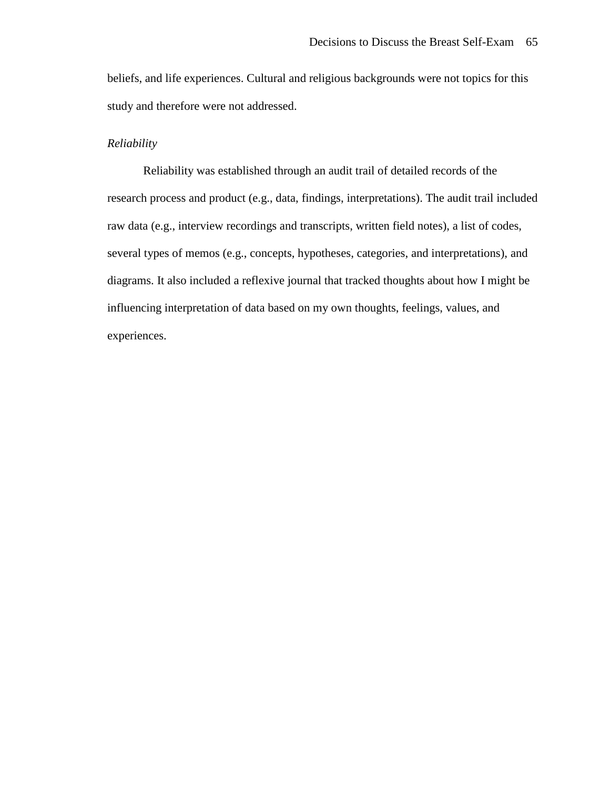beliefs, and life experiences. Cultural and religious backgrounds were not topics for this study and therefore were not addressed.

# *Reliability*

Reliability was established through an audit trail of detailed records of the research process and product (e.g., data, findings, interpretations). The audit trail included raw data (e.g., interview recordings and transcripts, written field notes), a list of codes, several types of memos (e.g., concepts, hypotheses, categories, and interpretations), and diagrams. It also included a reflexive journal that tracked thoughts about how I might be influencing interpretation of data based on my own thoughts, feelings, values, and experiences.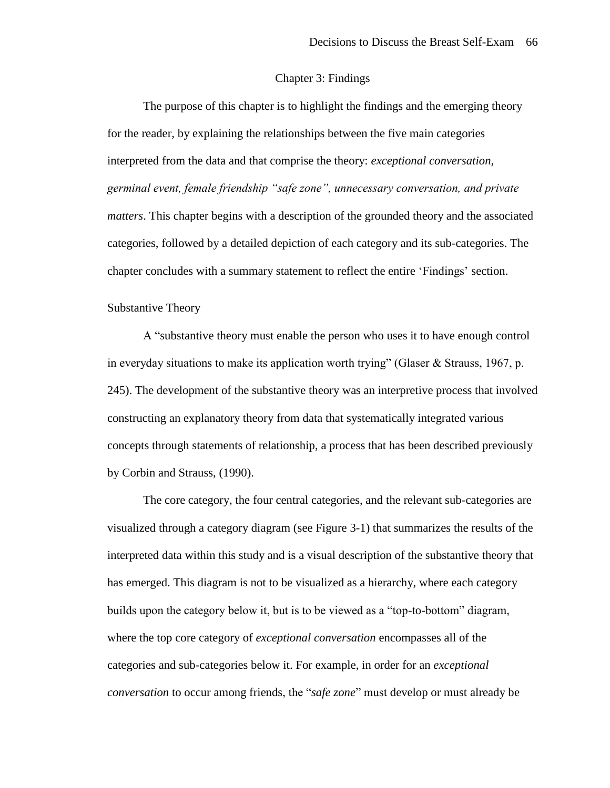# Chapter 3: Findings

The purpose of this chapter is to highlight the findings and the emerging theory for the reader, by explaining the relationships between the five main categories interpreted from the data and that comprise the theory: *exceptional conversation, germinal event, female friendship "safe zone", unnecessary conversation, and private matters*. This chapter begins with a description of the grounded theory and the associated categories, followed by a detailed depiction of each category and its sub-categories. The chapter concludes with a summary statement to reflect the entire 'Findings' section.

## Substantive Theory

A "substantive theory must enable the person who uses it to have enough control in everyday situations to make its application worth trying" (Glaser & Strauss, 1967, p. 245). The development of the substantive theory was an interpretive process that involved constructing an explanatory theory from data that systematically integrated various concepts through statements of relationship, a process that has been described previously by Corbin and Strauss, (1990).

The core category, the four central categories, and the relevant sub-categories are visualized through a category diagram (see Figure 3-1) that summarizes the results of the interpreted data within this study and is a visual description of the substantive theory that has emerged. This diagram is not to be visualized as a hierarchy, where each category builds upon the category below it, but is to be viewed as a "top-to-bottom" diagram, where the top core category of *exceptional conversation* encompasses all of the categories and sub-categories below it. For example, in order for an *exceptional conversation* to occur among friends, the "*safe zone*" must develop or must already be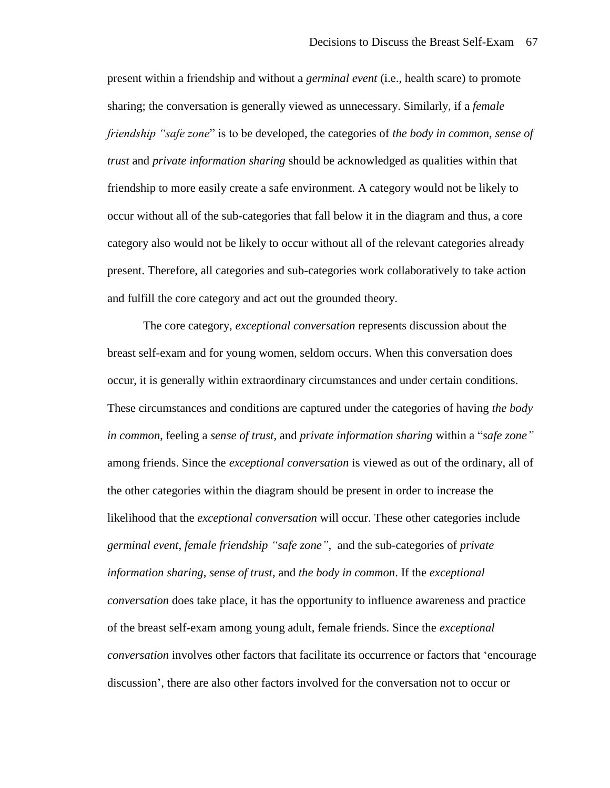present within a friendship and without a *germinal event* (i.e., health scare) to promote sharing; the conversation is generally viewed as unnecessary. Similarly, if a *female friendship "safe zone*" is to be developed, the categories of *the body in common*, *sense of trust* and *private information sharing* should be acknowledged as qualities within that friendship to more easily create a safe environment. A category would not be likely to occur without all of the sub-categories that fall below it in the diagram and thus, a core category also would not be likely to occur without all of the relevant categories already present. Therefore, all categories and sub-categories work collaboratively to take action and fulfill the core category and act out the grounded theory.

The core category, *exceptional conversation* represents discussion about the breast self-exam and for young women, seldom occurs. When this conversation does occur, it is generally within extraordinary circumstances and under certain conditions. These circumstances and conditions are captured under the categories of having *the body in common*, feeling a *sense of trust*, and *private information sharing* within a "*safe zone"* among friends. Since the *exceptional conversation* is viewed as out of the ordinary, all of the other categories within the diagram should be present in order to increase the likelihood that the *exceptional conversation* will occur. These other categories include *germinal event*, *female friendship "safe zone"*, and the sub-categories of *private information sharing*, *sense of trust*, and *the body in common*. If the *exceptional conversation* does take place, it has the opportunity to influence awareness and practice of the breast self-exam among young adult, female friends. Since the *exceptional conversation* involves other factors that facilitate its occurrence or factors that 'encourage discussion', there are also other factors involved for the conversation not to occur or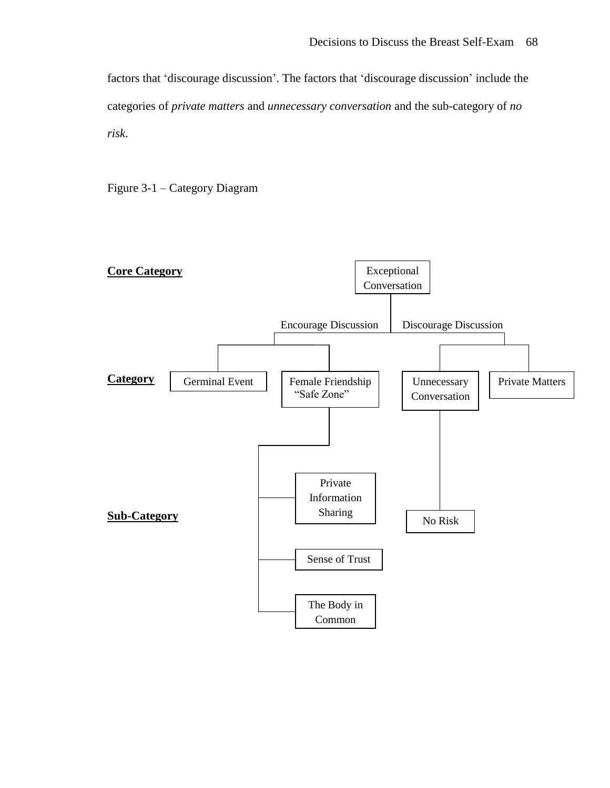factors that 'discourage discussion'. The factors that 'discourage discussion' include the categories of *private matters* and *unnecessary conversation* and the sub-category of *no risk*.



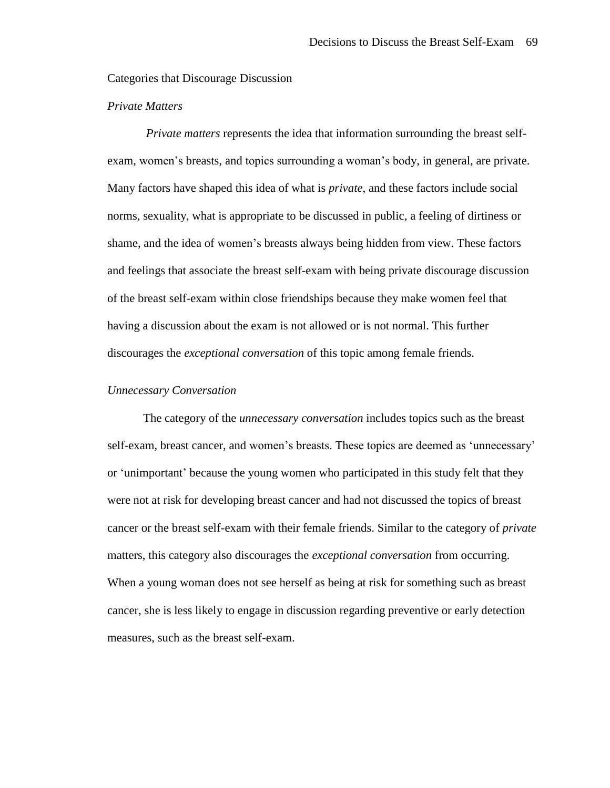Categories that Discourage Discussion

# *Private Matters*

*Private matters* represents the idea that information surrounding the breast selfexam, women's breasts, and topics surrounding a woman's body, in general, are private. Many factors have shaped this idea of what is *private*, and these factors include social norms, sexuality, what is appropriate to be discussed in public, a feeling of dirtiness or shame, and the idea of women's breasts always being hidden from view. These factors and feelings that associate the breast self-exam with being private discourage discussion of the breast self-exam within close friendships because they make women feel that having a discussion about the exam is not allowed or is not normal. This further discourages the *exceptional conversation* of this topic among female friends.

# *Unnecessary Conversation*

The category of the *unnecessary conversation* includes topics such as the breast self-exam, breast cancer, and women's breasts. These topics are deemed as 'unnecessary' or 'unimportant' because the young women who participated in this study felt that they were not at risk for developing breast cancer and had not discussed the topics of breast cancer or the breast self-exam with their female friends. Similar to the category of *private*  matters, this category also discourages the *exceptional conversation* from occurring. When a young woman does not see herself as being at risk for something such as breast cancer, she is less likely to engage in discussion regarding preventive or early detection measures, such as the breast self-exam.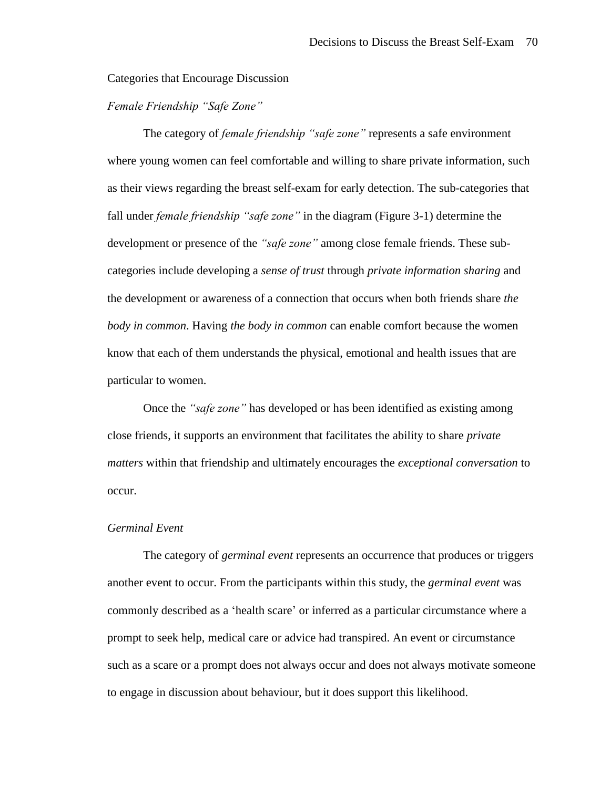Categories that Encourage Discussion

*Female Friendship "Safe Zone"*

The category of *female friendship "safe zone"* represents a safe environment where young women can feel comfortable and willing to share private information, such as their views regarding the breast self-exam for early detection. The sub-categories that fall under *female friendship "safe zone"* in the diagram (Figure 3-1) determine the development or presence of the *"safe zone"* among close female friends. These subcategories include developing a *sense of trust* through *private information sharing* and the development or awareness of a connection that occurs when both friends share *the body in common*. Having *the body in common* can enable comfort because the women know that each of them understands the physical, emotional and health issues that are particular to women.

Once the *"safe zone"* has developed or has been identified as existing among close friends, it supports an environment that facilitates the ability to share *private matters* within that friendship and ultimately encourages the *exceptional conversation* to occur.

# *Germinal Event*

The category of *germinal event* represents an occurrence that produces or triggers another event to occur. From the participants within this study, the *germinal event* was commonly described as a 'health scare' or inferred as a particular circumstance where a prompt to seek help, medical care or advice had transpired. An event or circumstance such as a scare or a prompt does not always occur and does not always motivate someone to engage in discussion about behaviour, but it does support this likelihood.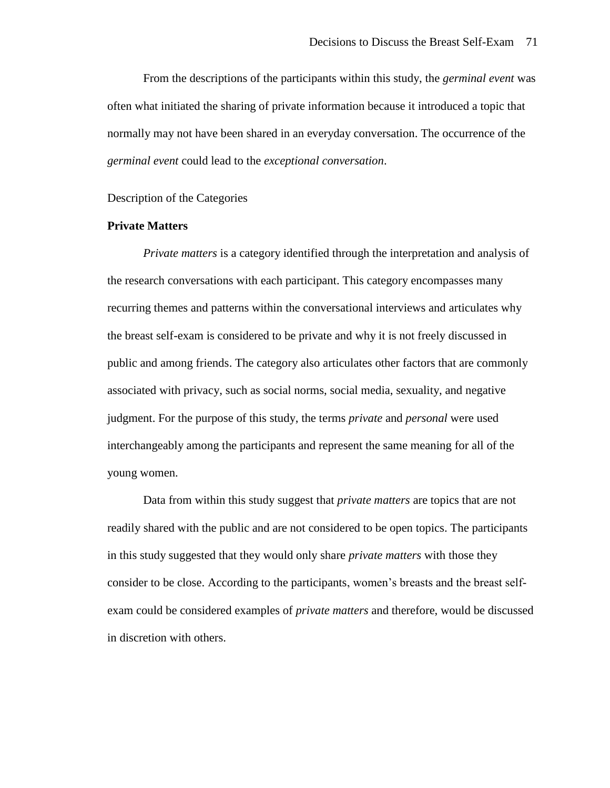From the descriptions of the participants within this study, the *germinal event* was often what initiated the sharing of private information because it introduced a topic that normally may not have been shared in an everyday conversation. The occurrence of the *germinal event* could lead to the *exceptional conversation*.

#### Description of the Categories

## **Private Matters**

*Private matters* is a category identified through the interpretation and analysis of the research conversations with each participant. This category encompasses many recurring themes and patterns within the conversational interviews and articulates why the breast self-exam is considered to be private and why it is not freely discussed in public and among friends. The category also articulates other factors that are commonly associated with privacy, such as social norms, social media, sexuality, and negative judgment. For the purpose of this study, the terms *private* and *personal* were used interchangeably among the participants and represent the same meaning for all of the young women.

Data from within this study suggest that *private matters* are topics that are not readily shared with the public and are not considered to be open topics. The participants in this study suggested that they would only share *private matters* with those they consider to be close. According to the participants, women's breasts and the breast selfexam could be considered examples of *private matters* and therefore, would be discussed in discretion with others.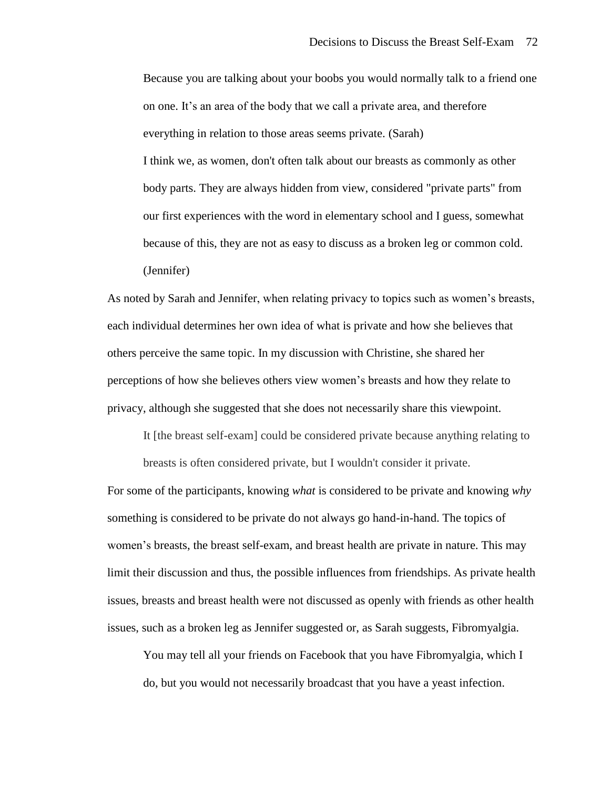Because you are talking about your boobs you would normally talk to a friend one on one. It's an area of the body that we call a private area, and therefore everything in relation to those areas seems private. (Sarah) I think we, as women, don't often talk about our breasts as commonly as other body parts. They are always hidden from view, considered "private parts" from our first experiences with the word in elementary school and I guess, somewhat because of this, they are not as easy to discuss as a broken leg or common cold. (Jennifer)

As noted by Sarah and Jennifer, when relating privacy to topics such as women's breasts, each individual determines her own idea of what is private and how she believes that others perceive the same topic. In my discussion with Christine, she shared her perceptions of how she believes others view women's breasts and how they relate to privacy, although she suggested that she does not necessarily share this viewpoint.

It [the breast self-exam] could be considered private because anything relating to

For some of the participants, knowing *what* is considered to be private and knowing *why* something is considered to be private do not always go hand-in-hand. The topics of women's breasts, the breast self-exam, and breast health are private in nature. This may limit their discussion and thus, the possible influences from friendships. As private health issues, breasts and breast health were not discussed as openly with friends as other health issues, such as a broken leg as Jennifer suggested or, as Sarah suggests, Fibromyalgia.

breasts is often considered private, but I wouldn't consider it private.

You may tell all your friends on Facebook that you have Fibromyalgia, which I do, but you would not necessarily broadcast that you have a yeast infection.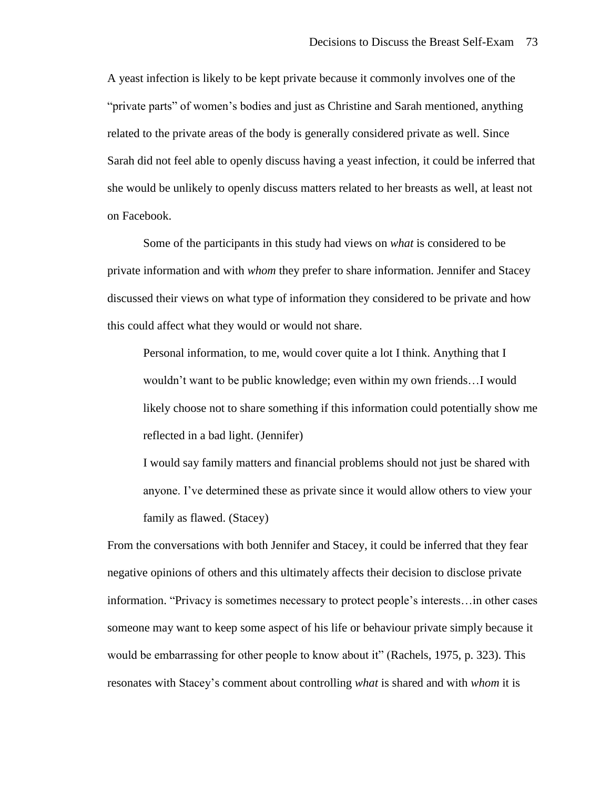A yeast infection is likely to be kept private because it commonly involves one of the "private parts" of women's bodies and just as Christine and Sarah mentioned, anything related to the private areas of the body is generally considered private as well. Since Sarah did not feel able to openly discuss having a yeast infection, it could be inferred that she would be unlikely to openly discuss matters related to her breasts as well, at least not on Facebook.

Some of the participants in this study had views on *what* is considered to be private information and with *whom* they prefer to share information. Jennifer and Stacey discussed their views on what type of information they considered to be private and how this could affect what they would or would not share.

Personal information, to me, would cover quite a lot I think. Anything that I wouldn't want to be public knowledge; even within my own friends…I would likely choose not to share something if this information could potentially show me reflected in a bad light. (Jennifer)

I would say family matters and financial problems should not just be shared with anyone. I've determined these as private since it would allow others to view your family as flawed. (Stacey)

From the conversations with both Jennifer and Stacey, it could be inferred that they fear negative opinions of others and this ultimately affects their decision to disclose private information. "Privacy is sometimes necessary to protect people's interests…in other cases someone may want to keep some aspect of his life or behaviour private simply because it would be embarrassing for other people to know about it" (Rachels, 1975, p. 323). This resonates with Stacey's comment about controlling *what* is shared and with *whom* it is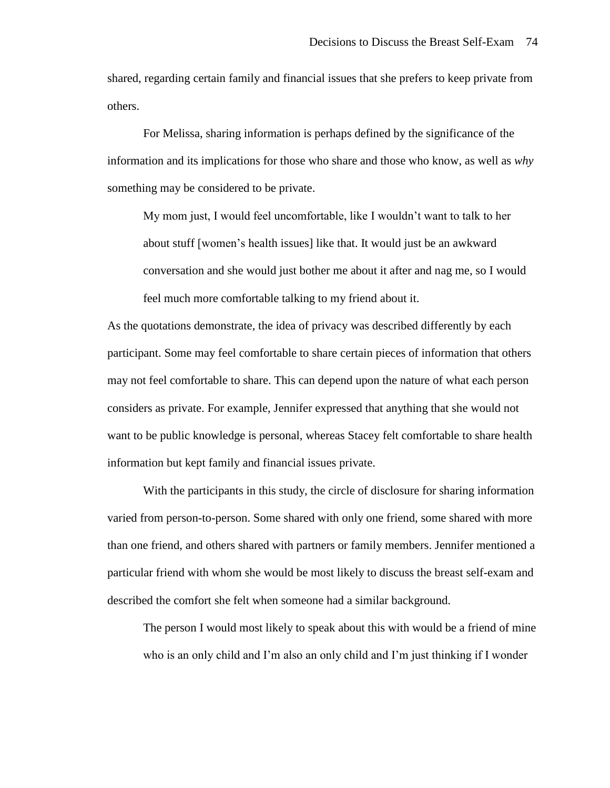shared, regarding certain family and financial issues that she prefers to keep private from others.

For Melissa, sharing information is perhaps defined by the significance of the information and its implications for those who share and those who know, as well as *why* something may be considered to be private.

My mom just, I would feel uncomfortable, like I wouldn't want to talk to her about stuff [women's health issues] like that. It would just be an awkward conversation and she would just bother me about it after and nag me, so I would feel much more comfortable talking to my friend about it.

As the quotations demonstrate, the idea of privacy was described differently by each participant. Some may feel comfortable to share certain pieces of information that others may not feel comfortable to share. This can depend upon the nature of what each person considers as private. For example, Jennifer expressed that anything that she would not want to be public knowledge is personal, whereas Stacey felt comfortable to share health information but kept family and financial issues private.

With the participants in this study, the circle of disclosure for sharing information varied from person-to-person. Some shared with only one friend, some shared with more than one friend, and others shared with partners or family members. Jennifer mentioned a particular friend with whom she would be most likely to discuss the breast self-exam and described the comfort she felt when someone had a similar background.

The person I would most likely to speak about this with would be a friend of mine who is an only child and I'm also an only child and I'm just thinking if I wonder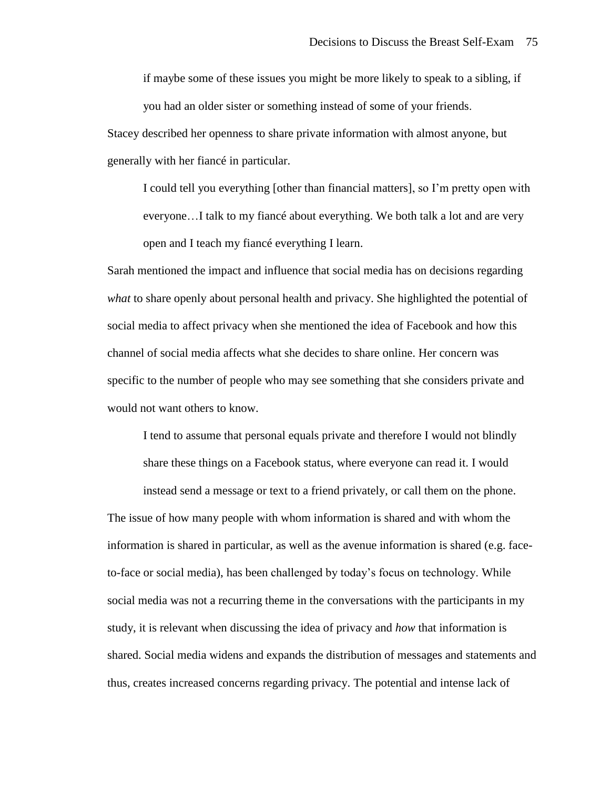if maybe some of these issues you might be more likely to speak to a sibling, if you had an older sister or something instead of some of your friends.

Stacey described her openness to share private information with almost anyone, but generally with her fiancé in particular.

I could tell you everything [other than financial matters], so I'm pretty open with everyone…I talk to my fiancé about everything. We both talk a lot and are very open and I teach my fiancé everything I learn.

Sarah mentioned the impact and influence that social media has on decisions regarding *what* to share openly about personal health and privacy. She highlighted the potential of social media to affect privacy when she mentioned the idea of Facebook and how this channel of social media affects what she decides to share online. Her concern was specific to the number of people who may see something that she considers private and would not want others to know.

I tend to assume that personal equals private and therefore I would not blindly share these things on a Facebook status, where everyone can read it. I would

instead send a message or text to a friend privately, or call them on the phone. The issue of how many people with whom information is shared and with whom the information is shared in particular, as well as the avenue information is shared (e.g. faceto-face or social media), has been challenged by today's focus on technology. While social media was not a recurring theme in the conversations with the participants in my study, it is relevant when discussing the idea of privacy and *how* that information is shared. Social media widens and expands the distribution of messages and statements and thus, creates increased concerns regarding privacy. The potential and intense lack of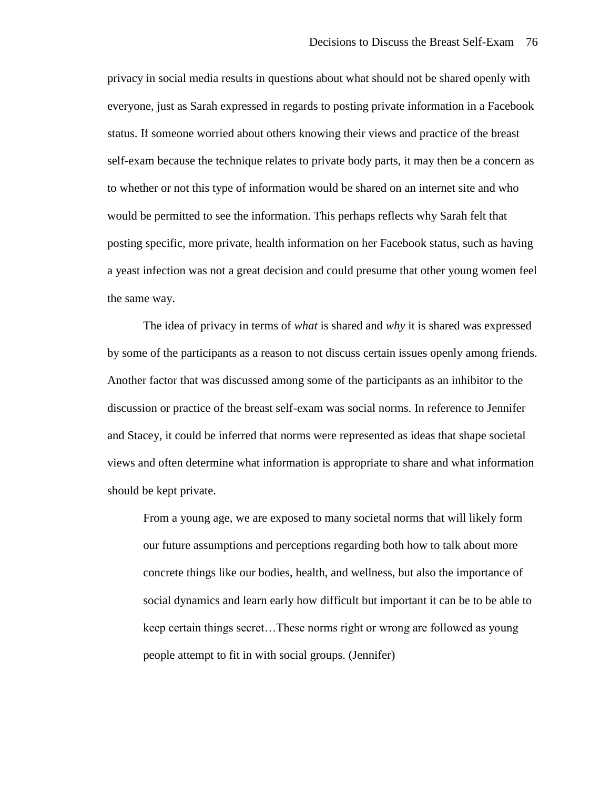privacy in social media results in questions about what should not be shared openly with everyone, just as Sarah expressed in regards to posting private information in a Facebook status. If someone worried about others knowing their views and practice of the breast self-exam because the technique relates to private body parts, it may then be a concern as to whether or not this type of information would be shared on an internet site and who would be permitted to see the information. This perhaps reflects why Sarah felt that posting specific, more private, health information on her Facebook status, such as having a yeast infection was not a great decision and could presume that other young women feel the same way.

The idea of privacy in terms of *what* is shared and *why* it is shared was expressed by some of the participants as a reason to not discuss certain issues openly among friends. Another factor that was discussed among some of the participants as an inhibitor to the discussion or practice of the breast self-exam was social norms. In reference to Jennifer and Stacey, it could be inferred that norms were represented as ideas that shape societal views and often determine what information is appropriate to share and what information should be kept private.

From a young age, we are exposed to many societal norms that will likely form our future assumptions and perceptions regarding both how to talk about more concrete things like our bodies, health, and wellness, but also the importance of social dynamics and learn early how difficult but important it can be to be able to keep certain things secret…These norms right or wrong are followed as young people attempt to fit in with social groups. (Jennifer)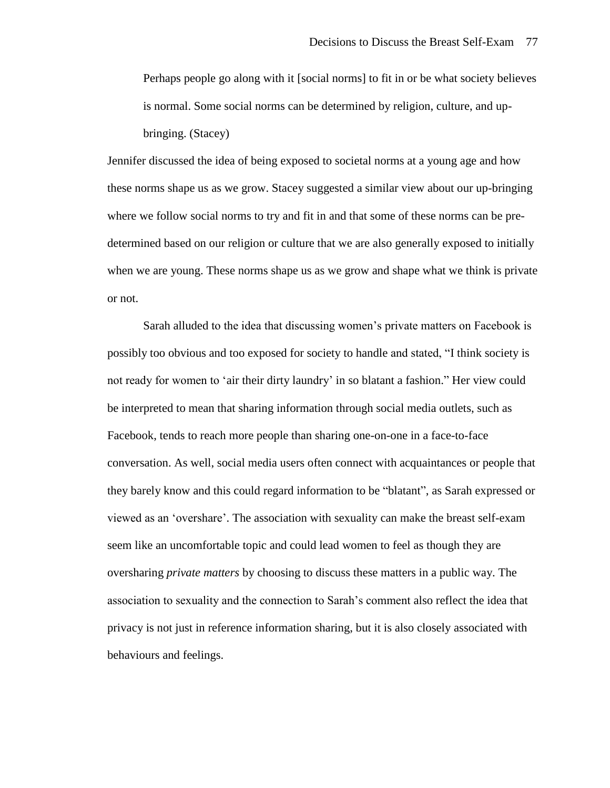Perhaps people go along with it [social norms] to fit in or be what society believes is normal. Some social norms can be determined by religion, culture, and upbringing. (Stacey)

Jennifer discussed the idea of being exposed to societal norms at a young age and how these norms shape us as we grow. Stacey suggested a similar view about our up-bringing where we follow social norms to try and fit in and that some of these norms can be predetermined based on our religion or culture that we are also generally exposed to initially when we are young. These norms shape us as we grow and shape what we think is private or not.

Sarah alluded to the idea that discussing women's private matters on Facebook is possibly too obvious and too exposed for society to handle and stated, "I think society is not ready for women to 'air their dirty laundry' in so blatant a fashion." Her view could be interpreted to mean that sharing information through social media outlets, such as Facebook, tends to reach more people than sharing one-on-one in a face-to-face conversation. As well, social media users often connect with acquaintances or people that they barely know and this could regard information to be "blatant", as Sarah expressed or viewed as an 'overshare'. The association with sexuality can make the breast self-exam seem like an uncomfortable topic and could lead women to feel as though they are oversharing *private matters* by choosing to discuss these matters in a public way. The association to sexuality and the connection to Sarah's comment also reflect the idea that privacy is not just in reference information sharing, but it is also closely associated with behaviours and feelings.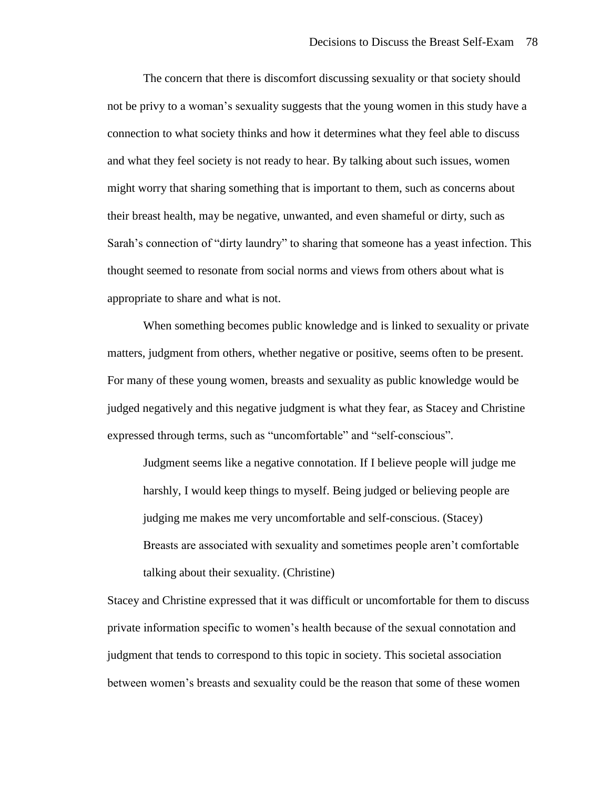The concern that there is discomfort discussing sexuality or that society should not be privy to a woman's sexuality suggests that the young women in this study have a connection to what society thinks and how it determines what they feel able to discuss and what they feel society is not ready to hear. By talking about such issues, women might worry that sharing something that is important to them, such as concerns about their breast health, may be negative, unwanted, and even shameful or dirty, such as Sarah's connection of "dirty laundry" to sharing that someone has a yeast infection. This thought seemed to resonate from social norms and views from others about what is appropriate to share and what is not.

When something becomes public knowledge and is linked to sexuality or private matters, judgment from others, whether negative or positive, seems often to be present. For many of these young women, breasts and sexuality as public knowledge would be judged negatively and this negative judgment is what they fear, as Stacey and Christine expressed through terms, such as "uncomfortable" and "self-conscious".

Judgment seems like a negative connotation. If I believe people will judge me harshly, I would keep things to myself. Being judged or believing people are judging me makes me very uncomfortable and self-conscious. (Stacey) Breasts are associated with sexuality and sometimes people aren't comfortable talking about their sexuality. (Christine)

Stacey and Christine expressed that it was difficult or uncomfortable for them to discuss private information specific to women's health because of the sexual connotation and judgment that tends to correspond to this topic in society. This societal association between women's breasts and sexuality could be the reason that some of these women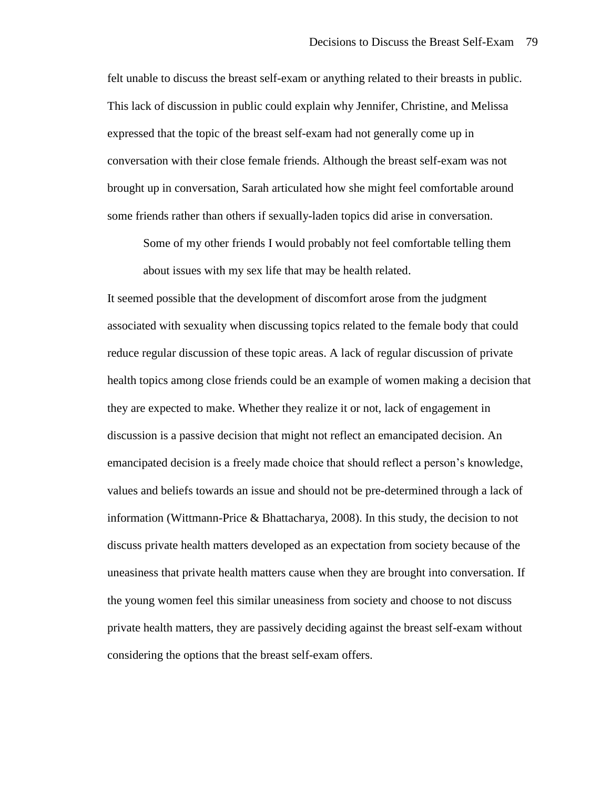felt unable to discuss the breast self-exam or anything related to their breasts in public. This lack of discussion in public could explain why Jennifer, Christine, and Melissa expressed that the topic of the breast self-exam had not generally come up in conversation with their close female friends. Although the breast self-exam was not brought up in conversation, Sarah articulated how she might feel comfortable around some friends rather than others if sexually-laden topics did arise in conversation.

Some of my other friends I would probably not feel comfortable telling them about issues with my sex life that may be health related.

It seemed possible that the development of discomfort arose from the judgment associated with sexuality when discussing topics related to the female body that could reduce regular discussion of these topic areas. A lack of regular discussion of private health topics among close friends could be an example of women making a decision that they are expected to make. Whether they realize it or not, lack of engagement in discussion is a passive decision that might not reflect an emancipated decision. An emancipated decision is a freely made choice that should reflect a person's knowledge, values and beliefs towards an issue and should not be pre-determined through a lack of information (Wittmann-Price & Bhattacharya, 2008). In this study, the decision to not discuss private health matters developed as an expectation from society because of the uneasiness that private health matters cause when they are brought into conversation. If the young women feel this similar uneasiness from society and choose to not discuss private health matters, they are passively deciding against the breast self-exam without considering the options that the breast self-exam offers.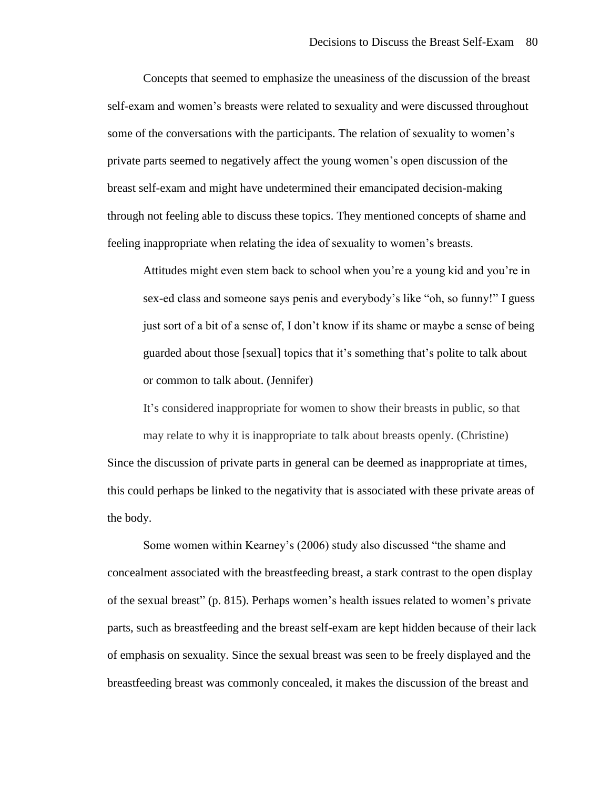Concepts that seemed to emphasize the uneasiness of the discussion of the breast self-exam and women's breasts were related to sexuality and were discussed throughout some of the conversations with the participants. The relation of sexuality to women's private parts seemed to negatively affect the young women's open discussion of the breast self-exam and might have undetermined their emancipated decision-making through not feeling able to discuss these topics. They mentioned concepts of shame and feeling inappropriate when relating the idea of sexuality to women's breasts.

Attitudes might even stem back to school when you're a young kid and you're in sex-ed class and someone says penis and everybody's like "oh, so funny!" I guess just sort of a bit of a sense of, I don't know if its shame or maybe a sense of being guarded about those [sexual] topics that it's something that's polite to talk about or common to talk about. (Jennifer)

It's considered inappropriate for women to show their breasts in public, so that may relate to why it is inappropriate to talk about breasts openly. (Christine) Since the discussion of private parts in general can be deemed as inappropriate at times, this could perhaps be linked to the negativity that is associated with these private areas of the body.

Some women within Kearney's (2006) study also discussed "the shame and concealment associated with the breastfeeding breast, a stark contrast to the open display of the sexual breast" (p. 815). Perhaps women's health issues related to women's private parts, such as breastfeeding and the breast self-exam are kept hidden because of their lack of emphasis on sexuality. Since the sexual breast was seen to be freely displayed and the breastfeeding breast was commonly concealed, it makes the discussion of the breast and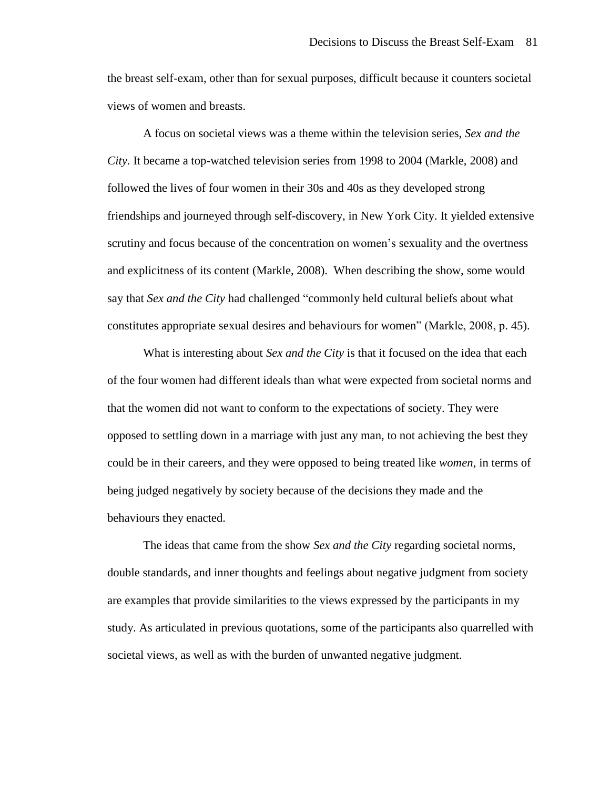the breast self-exam, other than for sexual purposes, difficult because it counters societal views of women and breasts.

A focus on societal views was a theme within the television series, *Sex and the City.* It became a top-watched television series from 1998 to 2004 (Markle, 2008) and followed the lives of four women in their 30s and 40s as they developed strong friendships and journeyed through self-discovery, in New York City. It yielded extensive scrutiny and focus because of the concentration on women's sexuality and the overtness and explicitness of its content (Markle, 2008). When describing the show, some would say that *Sex and the City* had challenged "commonly held cultural beliefs about what constitutes appropriate sexual desires and behaviours for women" (Markle, 2008, p. 45).

What is interesting about *Sex and the City* is that it focused on the idea that each of the four women had different ideals than what were expected from societal norms and that the women did not want to conform to the expectations of society. They were opposed to settling down in a marriage with just any man, to not achieving the best they could be in their careers, and they were opposed to being treated like *women*, in terms of being judged negatively by society because of the decisions they made and the behaviours they enacted.

The ideas that came from the show *Sex and the City* regarding societal norms, double standards, and inner thoughts and feelings about negative judgment from society are examples that provide similarities to the views expressed by the participants in my study. As articulated in previous quotations, some of the participants also quarrelled with societal views, as well as with the burden of unwanted negative judgment.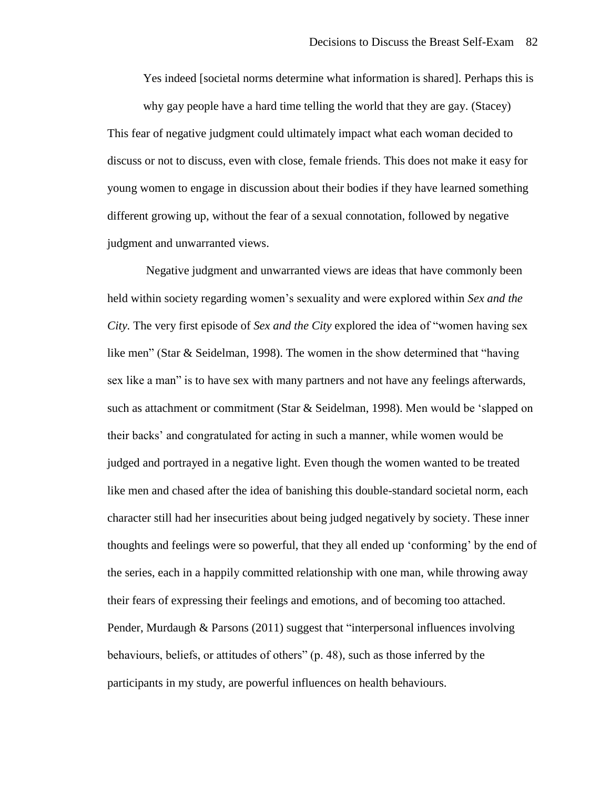Yes indeed [societal norms determine what information is shared]. Perhaps this is

why gay people have a hard time telling the world that they are gay. (Stacey) This fear of negative judgment could ultimately impact what each woman decided to discuss or not to discuss, even with close, female friends. This does not make it easy for young women to engage in discussion about their bodies if they have learned something different growing up, without the fear of a sexual connotation, followed by negative judgment and unwarranted views.

Negative judgment and unwarranted views are ideas that have commonly been held within society regarding women's sexuality and were explored within *Sex and the City.* The very first episode of *Sex and the City* explored the idea of "women having sex like men" (Star & Seidelman, 1998). The women in the show determined that "having sex like a man" is to have sex with many partners and not have any feelings afterwards, such as attachment or commitment (Star & Seidelman, 1998). Men would be 'slapped on their backs' and congratulated for acting in such a manner, while women would be judged and portrayed in a negative light. Even though the women wanted to be treated like men and chased after the idea of banishing this double-standard societal norm, each character still had her insecurities about being judged negatively by society. These inner thoughts and feelings were so powerful, that they all ended up 'conforming' by the end of the series, each in a happily committed relationship with one man, while throwing away their fears of expressing their feelings and emotions, and of becoming too attached. Pender, Murdaugh & Parsons (2011) suggest that "interpersonal influences involving behaviours, beliefs, or attitudes of others" (p. 48), such as those inferred by the participants in my study, are powerful influences on health behaviours.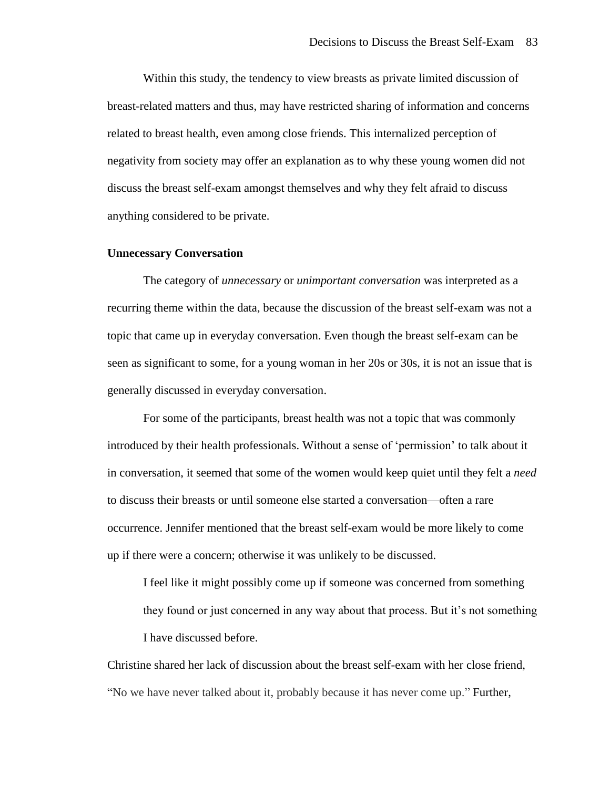Within this study, the tendency to view breasts as private limited discussion of breast-related matters and thus, may have restricted sharing of information and concerns related to breast health, even among close friends. This internalized perception of negativity from society may offer an explanation as to why these young women did not discuss the breast self-exam amongst themselves and why they felt afraid to discuss anything considered to be private.

## **Unnecessary Conversation**

The category of *unnecessary* or *unimportant conversation* was interpreted as a recurring theme within the data, because the discussion of the breast self-exam was not a topic that came up in everyday conversation. Even though the breast self-exam can be seen as significant to some, for a young woman in her 20s or 30s, it is not an issue that is generally discussed in everyday conversation.

For some of the participants, breast health was not a topic that was commonly introduced by their health professionals. Without a sense of 'permission' to talk about it in conversation, it seemed that some of the women would keep quiet until they felt a *need* to discuss their breasts or until someone else started a conversation—often a rare occurrence. Jennifer mentioned that the breast self-exam would be more likely to come up if there were a concern; otherwise it was unlikely to be discussed.

I feel like it might possibly come up if someone was concerned from something they found or just concerned in any way about that process. But it's not something I have discussed before.

Christine shared her lack of discussion about the breast self-exam with her close friend, "No we have never talked about it, probably because it has never come up." Further,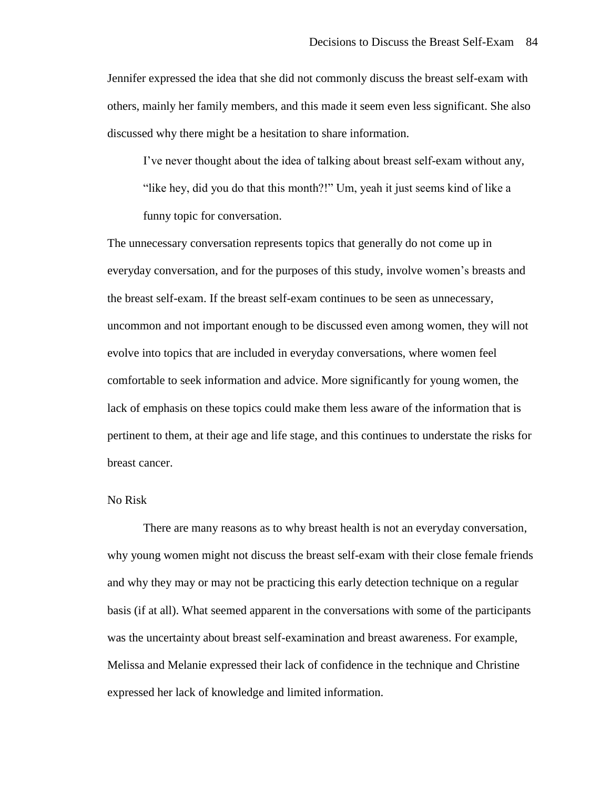Jennifer expressed the idea that she did not commonly discuss the breast self-exam with others, mainly her family members, and this made it seem even less significant. She also discussed why there might be a hesitation to share information.

I've never thought about the idea of talking about breast self-exam without any,

"like hey, did you do that this month?!" Um, yeah it just seems kind of like a

funny topic for conversation.

The unnecessary conversation represents topics that generally do not come up in everyday conversation, and for the purposes of this study, involve women's breasts and the breast self-exam. If the breast self-exam continues to be seen as unnecessary, uncommon and not important enough to be discussed even among women, they will not evolve into topics that are included in everyday conversations, where women feel comfortable to seek information and advice. More significantly for young women, the lack of emphasis on these topics could make them less aware of the information that is pertinent to them, at their age and life stage, and this continues to understate the risks for breast cancer.

# No Risk

There are many reasons as to why breast health is not an everyday conversation, why young women might not discuss the breast self-exam with their close female friends and why they may or may not be practicing this early detection technique on a regular basis (if at all). What seemed apparent in the conversations with some of the participants was the uncertainty about breast self-examination and breast awareness. For example, Melissa and Melanie expressed their lack of confidence in the technique and Christine expressed her lack of knowledge and limited information.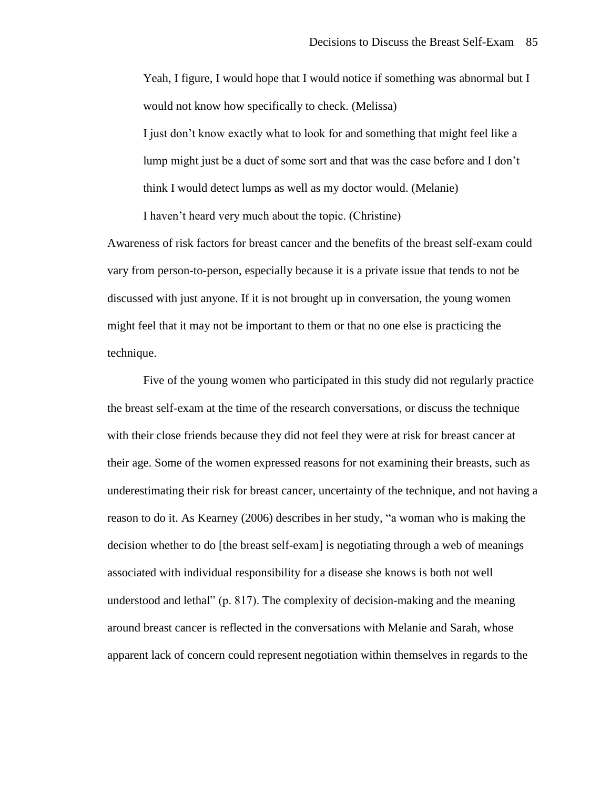Yeah, I figure, I would hope that I would notice if something was abnormal but I would not know how specifically to check. (Melissa) I just don't know exactly what to look for and something that might feel like a lump might just be a duct of some sort and that was the case before and I don't think I would detect lumps as well as my doctor would. (Melanie)

I haven't heard very much about the topic. (Christine)

Awareness of risk factors for breast cancer and the benefits of the breast self-exam could vary from person-to-person, especially because it is a private issue that tends to not be discussed with just anyone. If it is not brought up in conversation, the young women might feel that it may not be important to them or that no one else is practicing the technique.

Five of the young women who participated in this study did not regularly practice the breast self-exam at the time of the research conversations, or discuss the technique with their close friends because they did not feel they were at risk for breast cancer at their age. Some of the women expressed reasons for not examining their breasts, such as underestimating their risk for breast cancer, uncertainty of the technique, and not having a reason to do it. As Kearney (2006) describes in her study, "a woman who is making the decision whether to do [the breast self-exam] is negotiating through a web of meanings associated with individual responsibility for a disease she knows is both not well understood and lethal" (p. 817). The complexity of decision-making and the meaning around breast cancer is reflected in the conversations with Melanie and Sarah, whose apparent lack of concern could represent negotiation within themselves in regards to the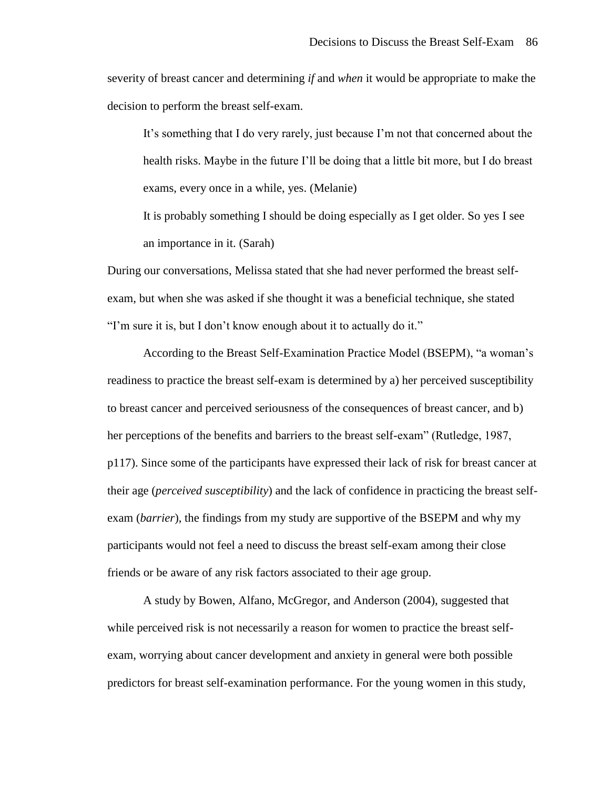severity of breast cancer and determining *if* and *when* it would be appropriate to make the decision to perform the breast self-exam.

It's something that I do very rarely, just because I'm not that concerned about the health risks. Maybe in the future I'll be doing that a little bit more, but I do breast exams, every once in a while, yes. (Melanie)

It is probably something I should be doing especially as I get older. So yes I see an importance in it. (Sarah)

During our conversations, Melissa stated that she had never performed the breast selfexam, but when she was asked if she thought it was a beneficial technique, she stated "I'm sure it is, but I don't know enough about it to actually do it."

According to the Breast Self-Examination Practice Model (BSEPM), "a woman's readiness to practice the breast self-exam is determined by a) her perceived susceptibility to breast cancer and perceived seriousness of the consequences of breast cancer, and b) her perceptions of the benefits and barriers to the breast self-exam" (Rutledge, 1987, p117). Since some of the participants have expressed their lack of risk for breast cancer at their age (*perceived susceptibility*) and the lack of confidence in practicing the breast selfexam (*barrier*), the findings from my study are supportive of the BSEPM and why my participants would not feel a need to discuss the breast self-exam among their close friends or be aware of any risk factors associated to their age group.

A study by Bowen, Alfano, McGregor, and Anderson (2004), suggested that while perceived risk is not necessarily a reason for women to practice the breast selfexam, worrying about cancer development and anxiety in general were both possible predictors for breast self-examination performance. For the young women in this study,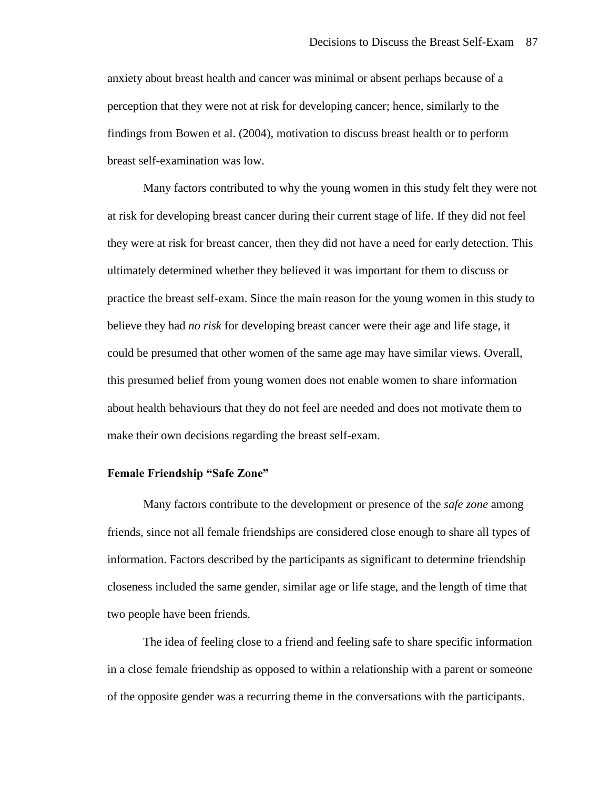anxiety about breast health and cancer was minimal or absent perhaps because of a perception that they were not at risk for developing cancer; hence, similarly to the findings from Bowen et al. (2004), motivation to discuss breast health or to perform breast self-examination was low.

Many factors contributed to why the young women in this study felt they were not at risk for developing breast cancer during their current stage of life. If they did not feel they were at risk for breast cancer, then they did not have a need for early detection. This ultimately determined whether they believed it was important for them to discuss or practice the breast self-exam. Since the main reason for the young women in this study to believe they had *no risk* for developing breast cancer were their age and life stage, it could be presumed that other women of the same age may have similar views. Overall, this presumed belief from young women does not enable women to share information about health behaviours that they do not feel are needed and does not motivate them to make their own decisions regarding the breast self-exam.

## **Female Friendship "Safe Zone"**

Many factors contribute to the development or presence of the *safe zone* among friends, since not all female friendships are considered close enough to share all types of information. Factors described by the participants as significant to determine friendship closeness included the same gender, similar age or life stage, and the length of time that two people have been friends.

The idea of feeling close to a friend and feeling safe to share specific information in a close female friendship as opposed to within a relationship with a parent or someone of the opposite gender was a recurring theme in the conversations with the participants.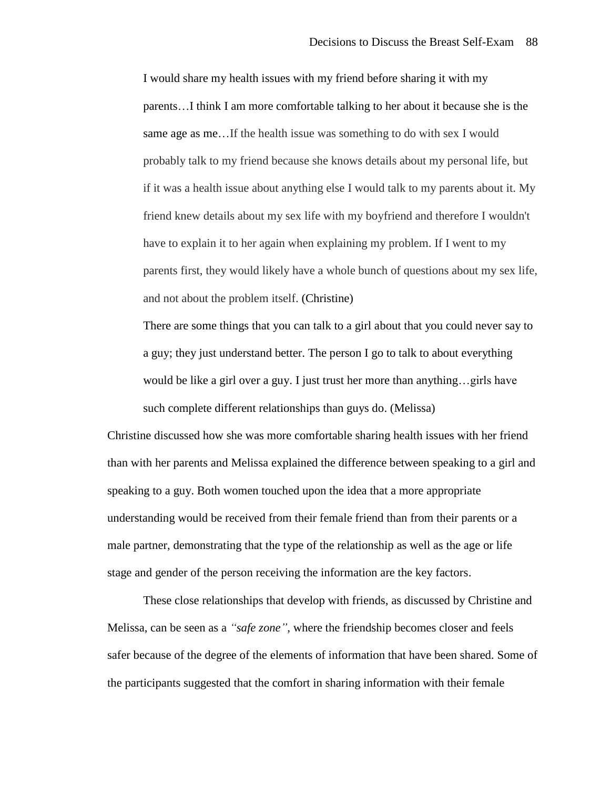I would share my health issues with my friend before sharing it with my parents…I think I am more comfortable talking to her about it because she is the same age as me…If the health issue was something to do with sex I would probably talk to my friend because she knows details about my personal life, but if it was a health issue about anything else I would talk to my parents about it. My friend knew details about my sex life with my boyfriend and therefore I wouldn't have to explain it to her again when explaining my problem. If I went to my parents first, they would likely have a whole bunch of questions about my sex life, and not about the problem itself. (Christine)

There are some things that you can talk to a girl about that you could never say to a guy; they just understand better. The person I go to talk to about everything would be like a girl over a guy. I just trust her more than anything…girls have such complete different relationships than guys do. (Melissa)

Christine discussed how she was more comfortable sharing health issues with her friend than with her parents and Melissa explained the difference between speaking to a girl and speaking to a guy. Both women touched upon the idea that a more appropriate understanding would be received from their female friend than from their parents or a male partner, demonstrating that the type of the relationship as well as the age or life stage and gender of the person receiving the information are the key factors.

These close relationships that develop with friends, as discussed by Christine and Melissa, can be seen as a *"safe zone"*, where the friendship becomes closer and feels safer because of the degree of the elements of information that have been shared. Some of the participants suggested that the comfort in sharing information with their female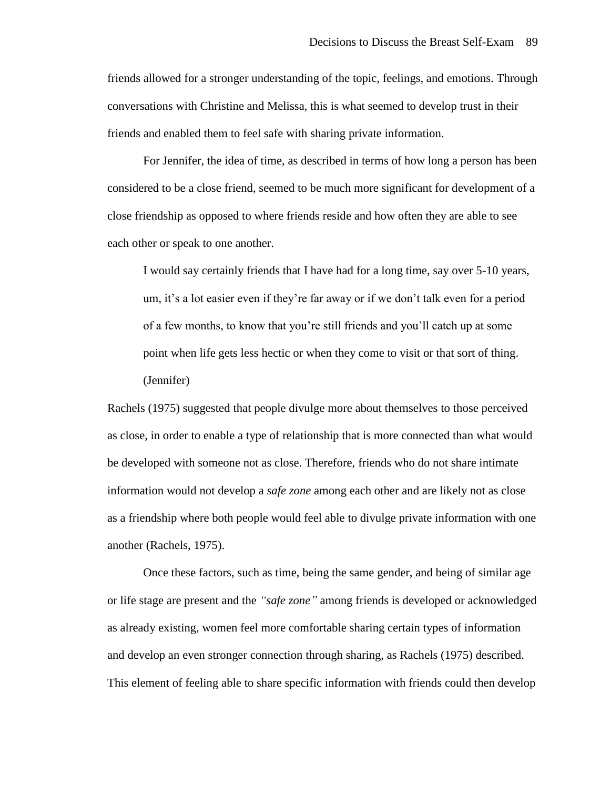friends allowed for a stronger understanding of the topic, feelings, and emotions. Through conversations with Christine and Melissa, this is what seemed to develop trust in their friends and enabled them to feel safe with sharing private information.

For Jennifer, the idea of time, as described in terms of how long a person has been considered to be a close friend, seemed to be much more significant for development of a close friendship as opposed to where friends reside and how often they are able to see each other or speak to one another.

I would say certainly friends that I have had for a long time, say over 5-10 years, um, it's a lot easier even if they're far away or if we don't talk even for a period of a few months, to know that you're still friends and you'll catch up at some point when life gets less hectic or when they come to visit or that sort of thing. (Jennifer)

Rachels (1975) suggested that people divulge more about themselves to those perceived as close, in order to enable a type of relationship that is more connected than what would be developed with someone not as close. Therefore, friends who do not share intimate information would not develop a *safe zone* among each other and are likely not as close as a friendship where both people would feel able to divulge private information with one another (Rachels, 1975).

Once these factors, such as time, being the same gender, and being of similar age or life stage are present and the *"safe zone"* among friends is developed or acknowledged as already existing, women feel more comfortable sharing certain types of information and develop an even stronger connection through sharing, as Rachels (1975) described. This element of feeling able to share specific information with friends could then develop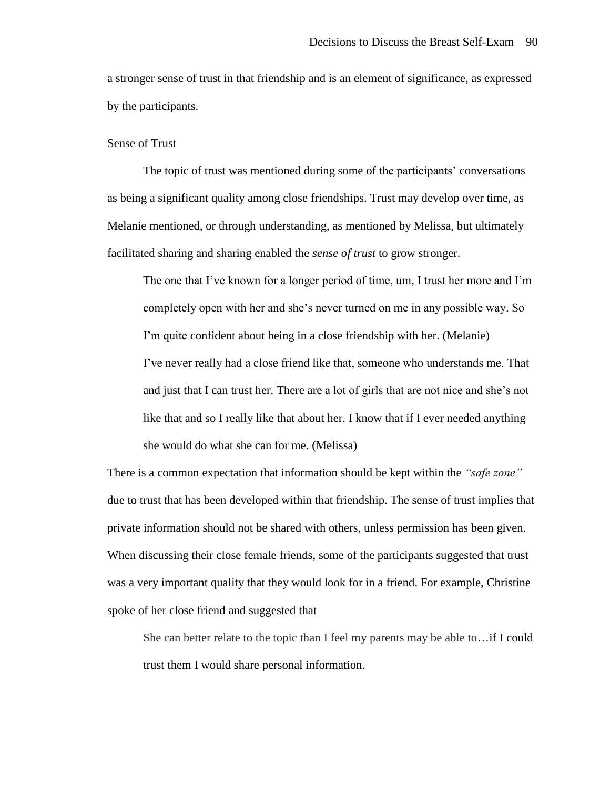a stronger sense of trust in that friendship and is an element of significance, as expressed by the participants.

# Sense of Trust

The topic of trust was mentioned during some of the participants' conversations as being a significant quality among close friendships. Trust may develop over time, as Melanie mentioned, or through understanding, as mentioned by Melissa, but ultimately facilitated sharing and sharing enabled the *sense of trust* to grow stronger.

The one that I've known for a longer period of time, um, I trust her more and I'm completely open with her and she's never turned on me in any possible way. So I'm quite confident about being in a close friendship with her. (Melanie) I've never really had a close friend like that, someone who understands me. That and just that I can trust her. There are a lot of girls that are not nice and she's not like that and so I really like that about her. I know that if I ever needed anything she would do what she can for me. (Melissa)

There is a common expectation that information should be kept within the *"safe zone"* due to trust that has been developed within that friendship. The sense of trust implies that private information should not be shared with others, unless permission has been given. When discussing their close female friends, some of the participants suggested that trust was a very important quality that they would look for in a friend. For example, Christine spoke of her close friend and suggested that

She can better relate to the topic than I feel my parents may be able to…if I could trust them I would share personal information.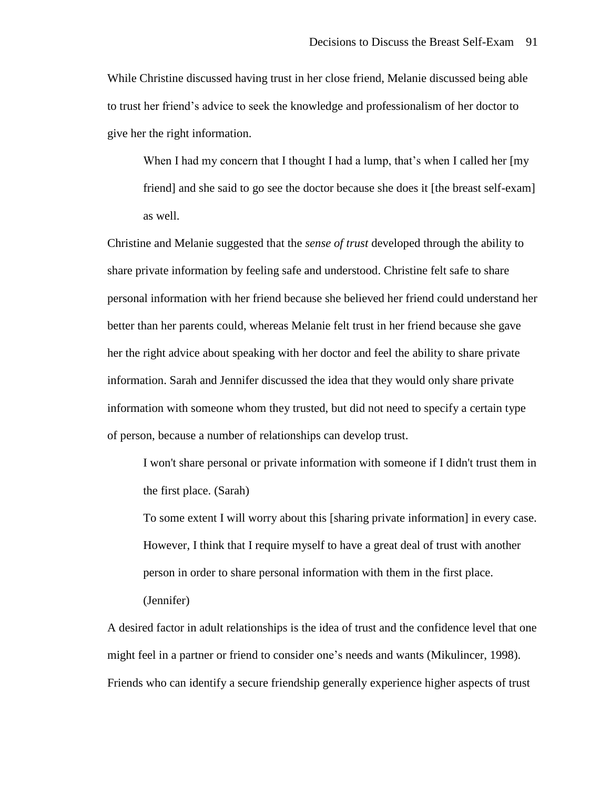While Christine discussed having trust in her close friend, Melanie discussed being able to trust her friend's advice to seek the knowledge and professionalism of her doctor to give her the right information.

When I had my concern that I thought I had a lump, that's when I called her [my friend] and she said to go see the doctor because she does it [the breast self-exam] as well.

Christine and Melanie suggested that the *sense of trust* developed through the ability to share private information by feeling safe and understood. Christine felt safe to share personal information with her friend because she believed her friend could understand her better than her parents could, whereas Melanie felt trust in her friend because she gave her the right advice about speaking with her doctor and feel the ability to share private information. Sarah and Jennifer discussed the idea that they would only share private information with someone whom they trusted, but did not need to specify a certain type of person, because a number of relationships can develop trust.

I won't share personal or private information with someone if I didn't trust them in the first place. (Sarah)

To some extent I will worry about this [sharing private information] in every case. However, I think that I require myself to have a great deal of trust with another person in order to share personal information with them in the first place. (Jennifer)

A desired factor in adult relationships is the idea of trust and the confidence level that one might feel in a partner or friend to consider one's needs and wants (Mikulincer, 1998). Friends who can identify a secure friendship generally experience higher aspects of trust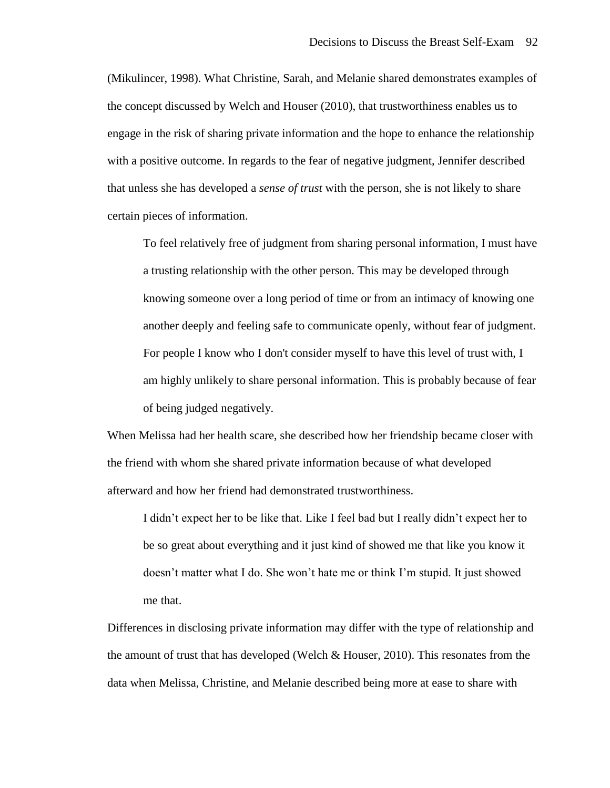(Mikulincer, 1998). What Christine, Sarah, and Melanie shared demonstrates examples of the concept discussed by Welch and Houser (2010), that trustworthiness enables us to engage in the risk of sharing private information and the hope to enhance the relationship with a positive outcome. In regards to the fear of negative judgment, Jennifer described that unless she has developed a *sense of trust* with the person, she is not likely to share certain pieces of information.

To feel relatively free of judgment from sharing personal information, I must have a trusting relationship with the other person. This may be developed through knowing someone over a long period of time or from an intimacy of knowing one another deeply and feeling safe to communicate openly, without fear of judgment. For people I know who I don't consider myself to have this level of trust with, I am highly unlikely to share personal information. This is probably because of fear of being judged negatively.

When Melissa had her health scare, she described how her friendship became closer with the friend with whom she shared private information because of what developed afterward and how her friend had demonstrated trustworthiness.

I didn't expect her to be like that. Like I feel bad but I really didn't expect her to be so great about everything and it just kind of showed me that like you know it doesn't matter what I do. She won't hate me or think I'm stupid. It just showed me that.

Differences in disclosing private information may differ with the type of relationship and the amount of trust that has developed (Welch & Houser, 2010). This resonates from the data when Melissa, Christine, and Melanie described being more at ease to share with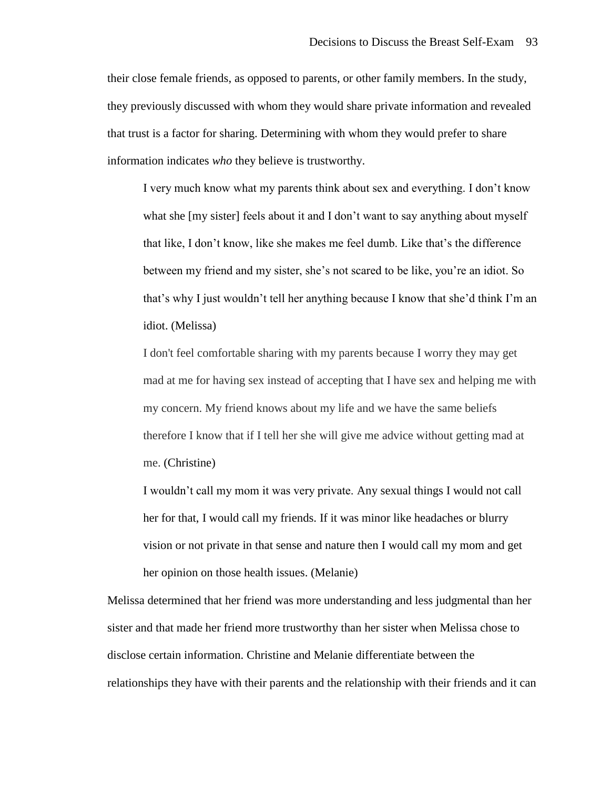their close female friends, as opposed to parents, or other family members. In the study, they previously discussed with whom they would share private information and revealed that trust is a factor for sharing. Determining with whom they would prefer to share information indicates *who* they believe is trustworthy.

I very much know what my parents think about sex and everything. I don't know what she [my sister] feels about it and I don't want to say anything about myself that like, I don't know, like she makes me feel dumb. Like that's the difference between my friend and my sister, she's not scared to be like, you're an idiot. So that's why I just wouldn't tell her anything because I know that she'd think I'm an idiot. (Melissa)

I don't feel comfortable sharing with my parents because I worry they may get mad at me for having sex instead of accepting that I have sex and helping me with my concern. My friend knows about my life and we have the same beliefs therefore I know that if I tell her she will give me advice without getting mad at me. (Christine)

I wouldn't call my mom it was very private. Any sexual things I would not call her for that, I would call my friends. If it was minor like headaches or blurry vision or not private in that sense and nature then I would call my mom and get her opinion on those health issues. (Melanie)

Melissa determined that her friend was more understanding and less judgmental than her sister and that made her friend more trustworthy than her sister when Melissa chose to disclose certain information. Christine and Melanie differentiate between the relationships they have with their parents and the relationship with their friends and it can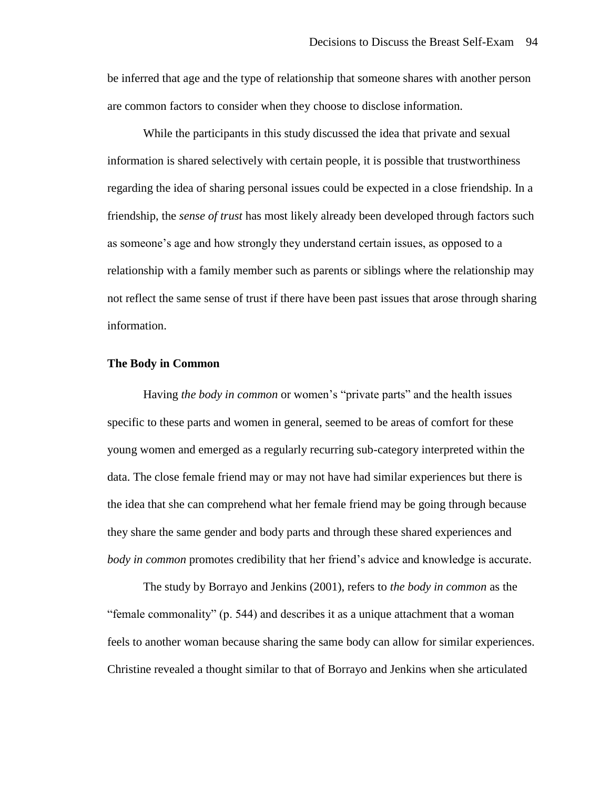be inferred that age and the type of relationship that someone shares with another person are common factors to consider when they choose to disclose information.

While the participants in this study discussed the idea that private and sexual information is shared selectively with certain people, it is possible that trustworthiness regarding the idea of sharing personal issues could be expected in a close friendship. In a friendship, the *sense of trust* has most likely already been developed through factors such as someone's age and how strongly they understand certain issues, as opposed to a relationship with a family member such as parents or siblings where the relationship may not reflect the same sense of trust if there have been past issues that arose through sharing information.

## **The Body in Common**

Having *the body in common* or women's "private parts" and the health issues specific to these parts and women in general, seemed to be areas of comfort for these young women and emerged as a regularly recurring sub-category interpreted within the data. The close female friend may or may not have had similar experiences but there is the idea that she can comprehend what her female friend may be going through because they share the same gender and body parts and through these shared experiences and *body in common* promotes credibility that her friend's advice and knowledge is accurate.

The study by Borrayo and Jenkins (2001), refers to *the body in common* as the "female commonality" (p. 544) and describes it as a unique attachment that a woman feels to another woman because sharing the same body can allow for similar experiences. Christine revealed a thought similar to that of Borrayo and Jenkins when she articulated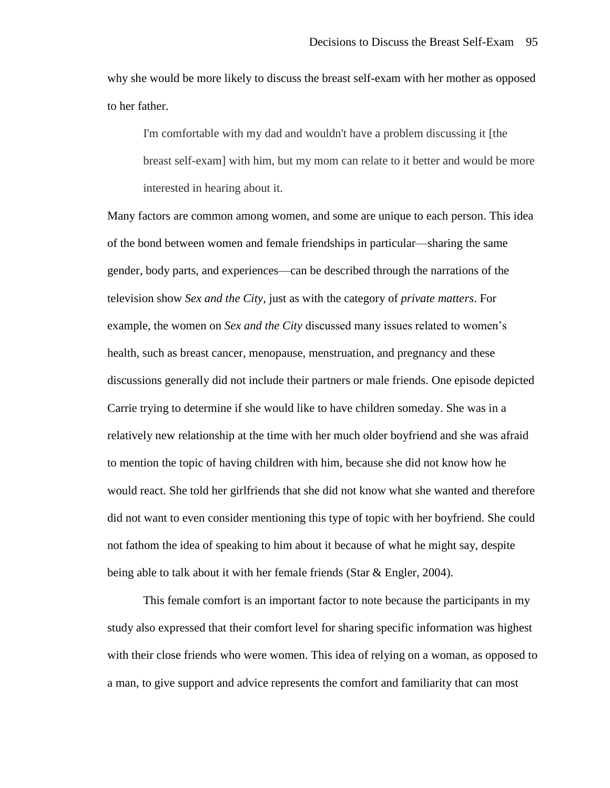why she would be more likely to discuss the breast self-exam with her mother as opposed to her father.

I'm comfortable with my dad and wouldn't have a problem discussing it [the breast self-exam] with him, but my mom can relate to it better and would be more interested in hearing about it.

Many factors are common among women, and some are unique to each person. This idea of the bond between women and female friendships in particular—sharing the same gender, body parts, and experiences—can be described through the narrations of the television show *Sex and the City*, just as with the category of *private matters*. For example, the women on *Sex and the City* discussed many issues related to women's health, such as breast cancer, menopause, menstruation, and pregnancy and these discussions generally did not include their partners or male friends. One episode depicted Carrie trying to determine if she would like to have children someday. She was in a relatively new relationship at the time with her much older boyfriend and she was afraid to mention the topic of having children with him, because she did not know how he would react. She told her girlfriends that she did not know what she wanted and therefore did not want to even consider mentioning this type of topic with her boyfriend. She could not fathom the idea of speaking to him about it because of what he might say, despite being able to talk about it with her female friends (Star & Engler, 2004).

This female comfort is an important factor to note because the participants in my study also expressed that their comfort level for sharing specific information was highest with their close friends who were women. This idea of relying on a woman, as opposed to a man, to give support and advice represents the comfort and familiarity that can most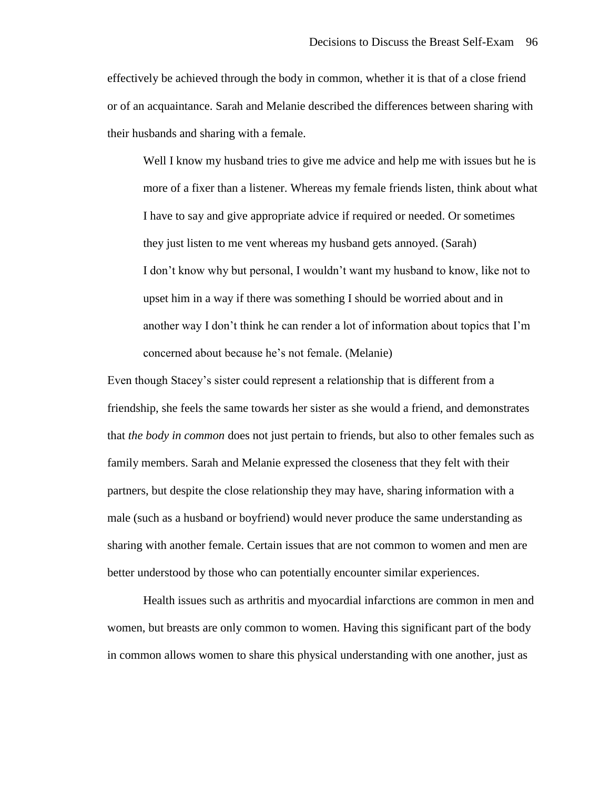effectively be achieved through the body in common, whether it is that of a close friend or of an acquaintance. Sarah and Melanie described the differences between sharing with their husbands and sharing with a female.

Well I know my husband tries to give me advice and help me with issues but he is more of a fixer than a listener. Whereas my female friends listen, think about what I have to say and give appropriate advice if required or needed. Or sometimes they just listen to me vent whereas my husband gets annoyed. (Sarah) I don't know why but personal, I wouldn't want my husband to know, like not to upset him in a way if there was something I should be worried about and in another way I don't think he can render a lot of information about topics that I'm concerned about because he's not female. (Melanie)

Even though Stacey's sister could represent a relationship that is different from a friendship, she feels the same towards her sister as she would a friend, and demonstrates that *the body in common* does not just pertain to friends, but also to other females such as family members. Sarah and Melanie expressed the closeness that they felt with their partners, but despite the close relationship they may have, sharing information with a male (such as a husband or boyfriend) would never produce the same understanding as sharing with another female. Certain issues that are not common to women and men are better understood by those who can potentially encounter similar experiences.

Health issues such as arthritis and myocardial infarctions are common in men and women, but breasts are only common to women. Having this significant part of the body in common allows women to share this physical understanding with one another, just as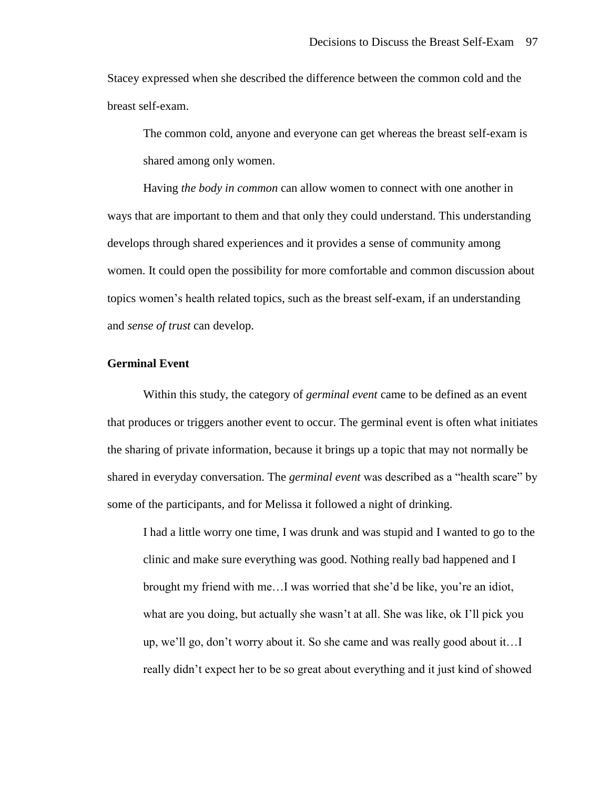Stacey expressed when she described the difference between the common cold and the breast self-exam.

The common cold, anyone and everyone can get whereas the breast self-exam is shared among only women.

Having *the body in common* can allow women to connect with one another in ways that are important to them and that only they could understand. This understanding develops through shared experiences and it provides a sense of community among women. It could open the possibility for more comfortable and common discussion about topics women's health related topics, such as the breast self-exam, if an understanding and *sense of trust* can develop.

# **Germinal Event**

Within this study, the category of *germinal event* came to be defined as an event that produces or triggers another event to occur. The germinal event is often what initiates the sharing of private information, because it brings up a topic that may not normally be shared in everyday conversation. The *germinal event* was described as a "health scare" by some of the participants, and for Melissa it followed a night of drinking.

I had a little worry one time, I was drunk and was stupid and I wanted to go to the clinic and make sure everything was good. Nothing really bad happened and I brought my friend with me…I was worried that she'd be like, you're an idiot, what are you doing, but actually she wasn't at all. She was like, ok I'll pick you up, we'll go, don't worry about it. So she came and was really good about it…I really didn't expect her to be so great about everything and it just kind of showed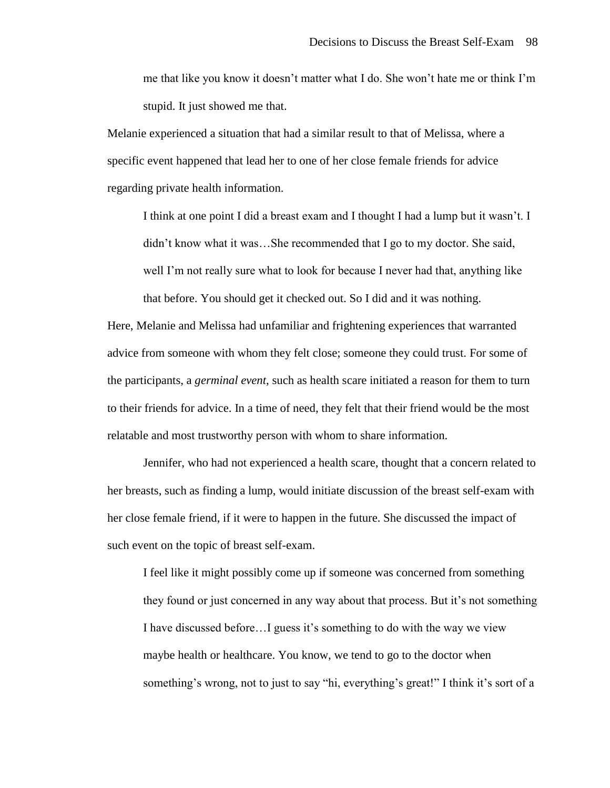me that like you know it doesn't matter what I do. She won't hate me or think I'm stupid. It just showed me that.

Melanie experienced a situation that had a similar result to that of Melissa, where a specific event happened that lead her to one of her close female friends for advice regarding private health information.

I think at one point I did a breast exam and I thought I had a lump but it wasn't. I didn't know what it was…She recommended that I go to my doctor. She said, well I'm not really sure what to look for because I never had that, anything like that before. You should get it checked out. So I did and it was nothing.

Here, Melanie and Melissa had unfamiliar and frightening experiences that warranted advice from someone with whom they felt close; someone they could trust. For some of the participants, a *germinal event*, such as health scare initiated a reason for them to turn to their friends for advice. In a time of need, they felt that their friend would be the most relatable and most trustworthy person with whom to share information.

Jennifer, who had not experienced a health scare, thought that a concern related to her breasts, such as finding a lump, would initiate discussion of the breast self-exam with her close female friend, if it were to happen in the future. She discussed the impact of such event on the topic of breast self-exam.

I feel like it might possibly come up if someone was concerned from something they found or just concerned in any way about that process. But it's not something I have discussed before…I guess it's something to do with the way we view maybe health or healthcare. You know, we tend to go to the doctor when something's wrong, not to just to say "hi, everything's great!" I think it's sort of a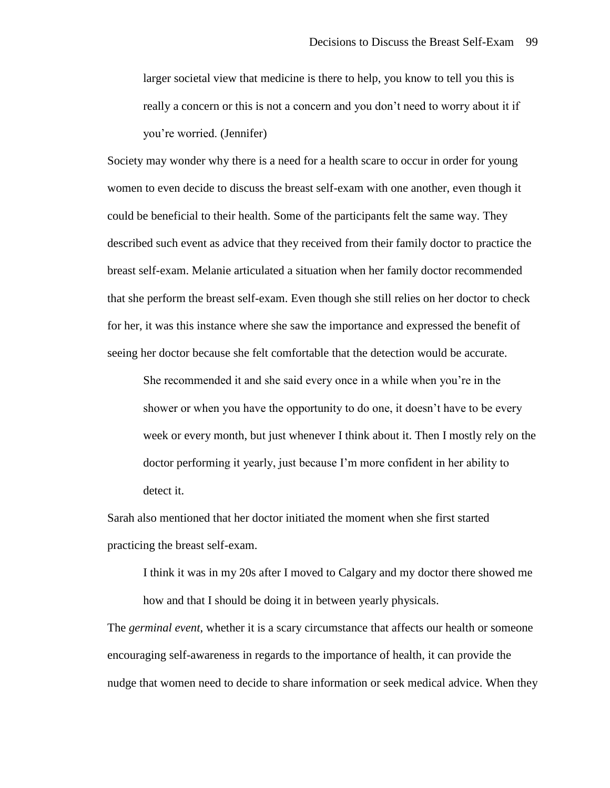larger societal view that medicine is there to help, you know to tell you this is really a concern or this is not a concern and you don't need to worry about it if you're worried. (Jennifer)

Society may wonder why there is a need for a health scare to occur in order for young women to even decide to discuss the breast self-exam with one another, even though it could be beneficial to their health. Some of the participants felt the same way. They described such event as advice that they received from their family doctor to practice the breast self-exam. Melanie articulated a situation when her family doctor recommended that she perform the breast self-exam. Even though she still relies on her doctor to check for her, it was this instance where she saw the importance and expressed the benefit of seeing her doctor because she felt comfortable that the detection would be accurate.

She recommended it and she said every once in a while when you're in the shower or when you have the opportunity to do one, it doesn't have to be every week or every month, but just whenever I think about it. Then I mostly rely on the doctor performing it yearly, just because I'm more confident in her ability to detect it.

Sarah also mentioned that her doctor initiated the moment when she first started practicing the breast self-exam.

I think it was in my 20s after I moved to Calgary and my doctor there showed me how and that I should be doing it in between yearly physicals.

The *germinal event*, whether it is a scary circumstance that affects our health or someone encouraging self-awareness in regards to the importance of health, it can provide the nudge that women need to decide to share information or seek medical advice. When they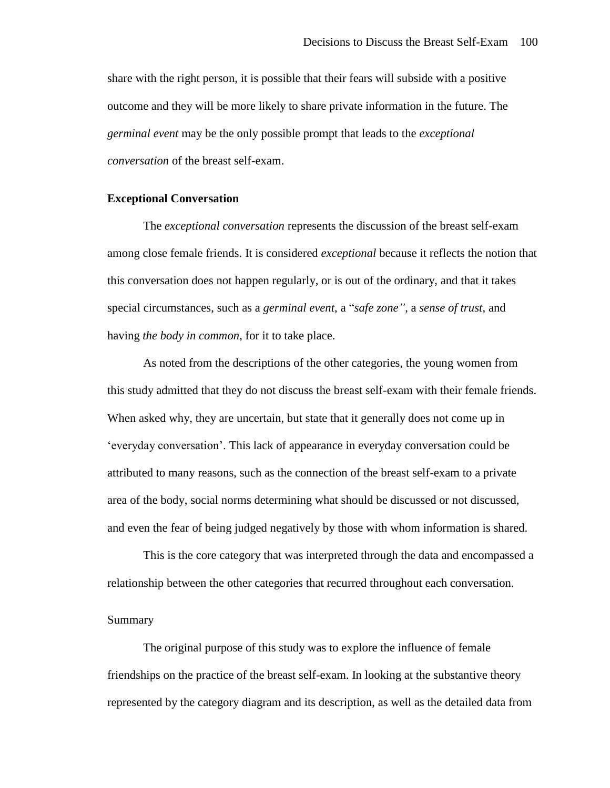share with the right person, it is possible that their fears will subside with a positive outcome and they will be more likely to share private information in the future. The *germinal event* may be the only possible prompt that leads to the *exceptional conversation* of the breast self-exam.

## **Exceptional Conversation**

The *exceptional conversation* represents the discussion of the breast self-exam among close female friends. It is considered *exceptional* because it reflects the notion that this conversation does not happen regularly, or is out of the ordinary, and that it takes special circumstances, such as a *germinal event*, a "*safe zone"*, a *sense of trust*, and having *the body in common*, for it to take place.

As noted from the descriptions of the other categories, the young women from this study admitted that they do not discuss the breast self-exam with their female friends. When asked why, they are uncertain, but state that it generally does not come up in 'everyday conversation'. This lack of appearance in everyday conversation could be attributed to many reasons, such as the connection of the breast self-exam to a private area of the body, social norms determining what should be discussed or not discussed, and even the fear of being judged negatively by those with whom information is shared.

This is the core category that was interpreted through the data and encompassed a relationship between the other categories that recurred throughout each conversation.

#### Summary

The original purpose of this study was to explore the influence of female friendships on the practice of the breast self-exam. In looking at the substantive theory represented by the category diagram and its description, as well as the detailed data from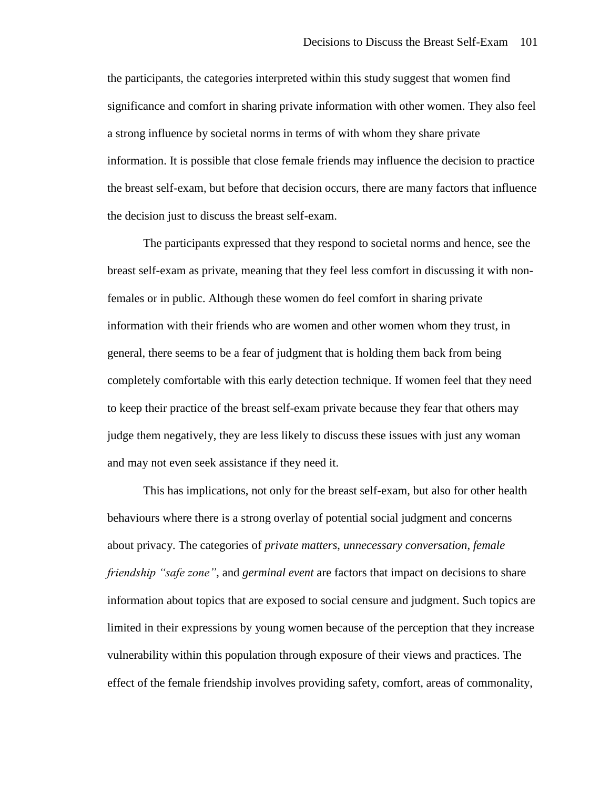the participants, the categories interpreted within this study suggest that women find significance and comfort in sharing private information with other women. They also feel a strong influence by societal norms in terms of with whom they share private information. It is possible that close female friends may influence the decision to practice the breast self-exam, but before that decision occurs, there are many factors that influence the decision just to discuss the breast self-exam.

The participants expressed that they respond to societal norms and hence, see the breast self-exam as private, meaning that they feel less comfort in discussing it with nonfemales or in public. Although these women do feel comfort in sharing private information with their friends who are women and other women whom they trust, in general, there seems to be a fear of judgment that is holding them back from being completely comfortable with this early detection technique. If women feel that they need to keep their practice of the breast self-exam private because they fear that others may judge them negatively, they are less likely to discuss these issues with just any woman and may not even seek assistance if they need it.

This has implications, not only for the breast self-exam, but also for other health behaviours where there is a strong overlay of potential social judgment and concerns about privacy. The categories of *private matters*, *unnecessary conversation*, *female friendship "safe zone"*, and *germinal event* are factors that impact on decisions to share information about topics that are exposed to social censure and judgment. Such topics are limited in their expressions by young women because of the perception that they increase vulnerability within this population through exposure of their views and practices. The effect of the female friendship involves providing safety, comfort, areas of commonality,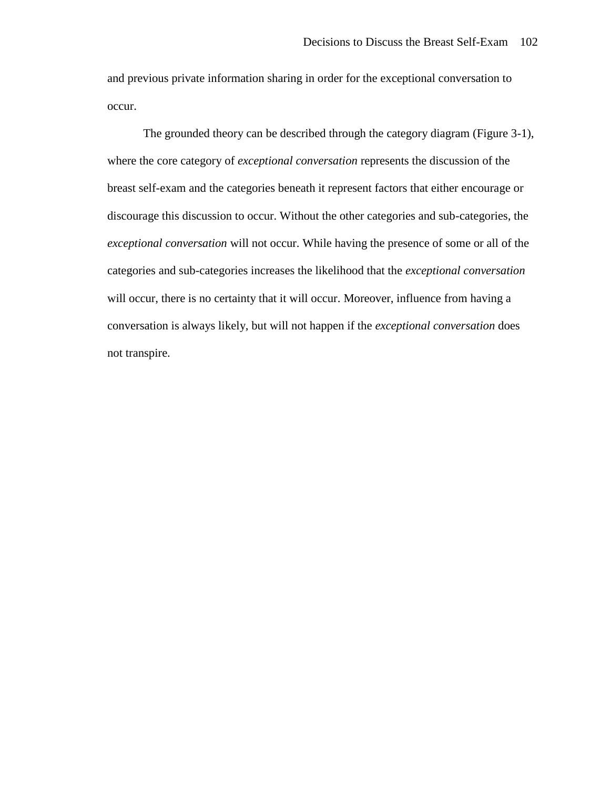and previous private information sharing in order for the exceptional conversation to occur.

The grounded theory can be described through the category diagram (Figure 3-1), where the core category of *exceptional conversation* represents the discussion of the breast self-exam and the categories beneath it represent factors that either encourage or discourage this discussion to occur. Without the other categories and sub-categories, the *exceptional conversation* will not occur. While having the presence of some or all of the categories and sub-categories increases the likelihood that the *exceptional conversation*  will occur, there is no certainty that it will occur. Moreover, influence from having a conversation is always likely, but will not happen if the *exceptional conversation* does not transpire.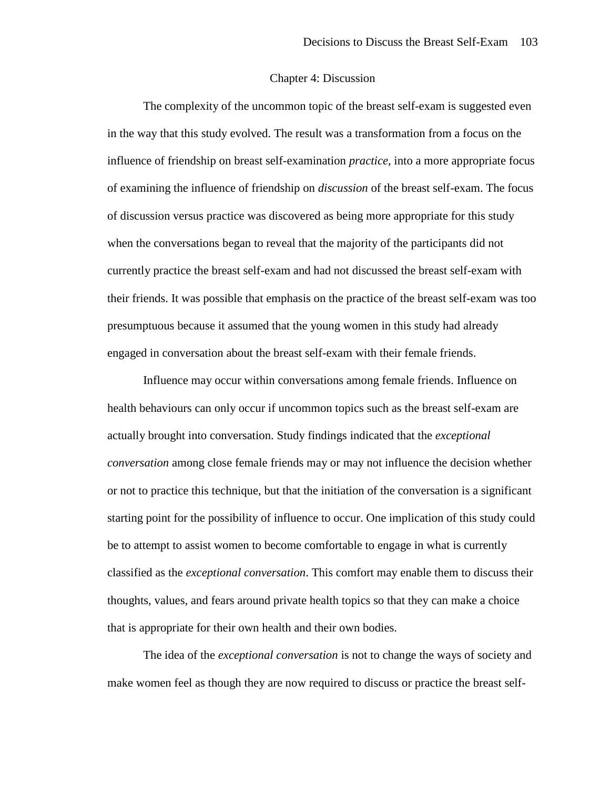## Chapter 4: Discussion

The complexity of the uncommon topic of the breast self-exam is suggested even in the way that this study evolved. The result was a transformation from a focus on the influence of friendship on breast self-examination *practice*, into a more appropriate focus of examining the influence of friendship on *discussion* of the breast self-exam. The focus of discussion versus practice was discovered as being more appropriate for this study when the conversations began to reveal that the majority of the participants did not currently practice the breast self-exam and had not discussed the breast self-exam with their friends. It was possible that emphasis on the practice of the breast self-exam was too presumptuous because it assumed that the young women in this study had already engaged in conversation about the breast self-exam with their female friends.

Influence may occur within conversations among female friends. Influence on health behaviours can only occur if uncommon topics such as the breast self-exam are actually brought into conversation. Study findings indicated that the *exceptional conversation* among close female friends may or may not influence the decision whether or not to practice this technique, but that the initiation of the conversation is a significant starting point for the possibility of influence to occur. One implication of this study could be to attempt to assist women to become comfortable to engage in what is currently classified as the *exceptional conversation*. This comfort may enable them to discuss their thoughts, values, and fears around private health topics so that they can make a choice that is appropriate for their own health and their own bodies.

The idea of the *exceptional conversation* is not to change the ways of society and make women feel as though they are now required to discuss or practice the breast self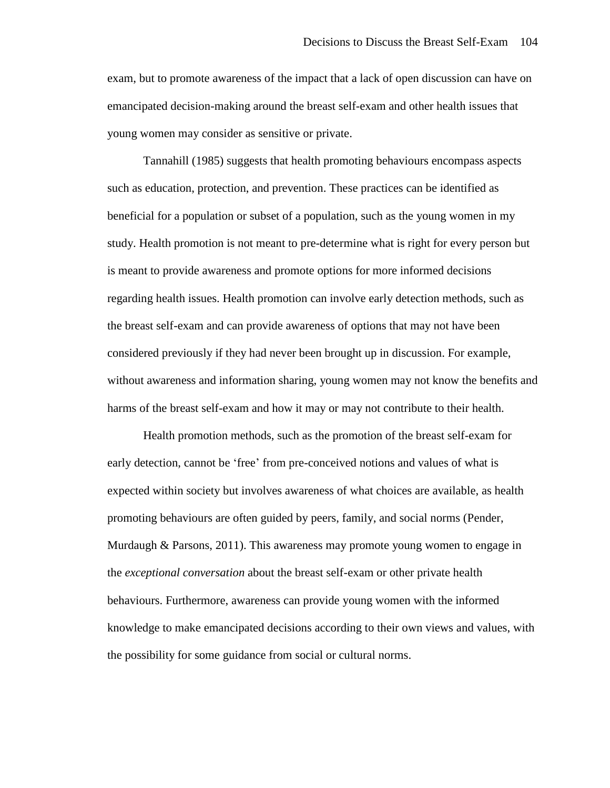exam, but to promote awareness of the impact that a lack of open discussion can have on emancipated decision-making around the breast self-exam and other health issues that young women may consider as sensitive or private.

Tannahill (1985) suggests that health promoting behaviours encompass aspects such as education, protection, and prevention. These practices can be identified as beneficial for a population or subset of a population, such as the young women in my study. Health promotion is not meant to pre-determine what is right for every person but is meant to provide awareness and promote options for more informed decisions regarding health issues. Health promotion can involve early detection methods, such as the breast self-exam and can provide awareness of options that may not have been considered previously if they had never been brought up in discussion. For example, without awareness and information sharing, young women may not know the benefits and harms of the breast self-exam and how it may or may not contribute to their health.

Health promotion methods, such as the promotion of the breast self-exam for early detection, cannot be 'free' from pre-conceived notions and values of what is expected within society but involves awareness of what choices are available, as health promoting behaviours are often guided by peers, family, and social norms (Pender, Murdaugh & Parsons, 2011). This awareness may promote young women to engage in the *exceptional conversation* about the breast self-exam or other private health behaviours. Furthermore, awareness can provide young women with the informed knowledge to make emancipated decisions according to their own views and values, with the possibility for some guidance from social or cultural norms.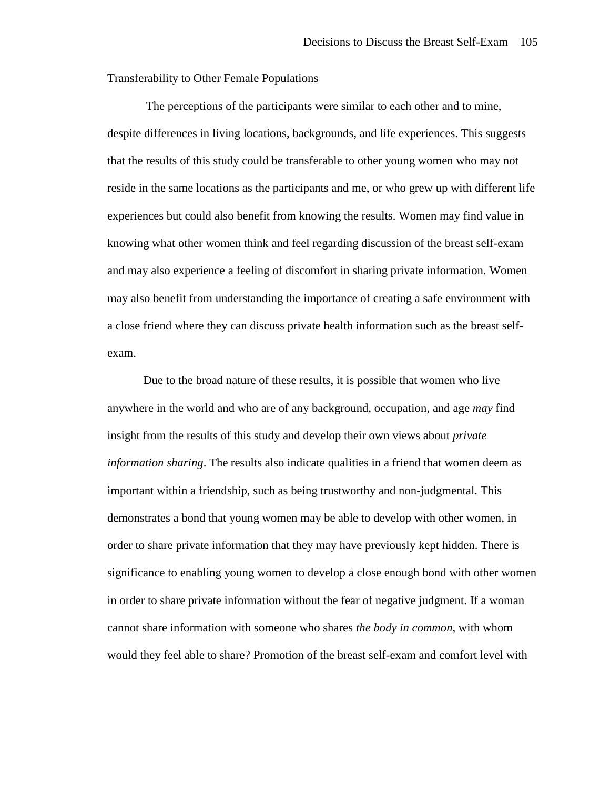Transferability to Other Female Populations

The perceptions of the participants were similar to each other and to mine, despite differences in living locations, backgrounds, and life experiences. This suggests that the results of this study could be transferable to other young women who may not reside in the same locations as the participants and me, or who grew up with different life experiences but could also benefit from knowing the results. Women may find value in knowing what other women think and feel regarding discussion of the breast self-exam and may also experience a feeling of discomfort in sharing private information. Women may also benefit from understanding the importance of creating a safe environment with a close friend where they can discuss private health information such as the breast selfexam.

Due to the broad nature of these results, it is possible that women who live anywhere in the world and who are of any background, occupation, and age *may* find insight from the results of this study and develop their own views about *private information sharing*. The results also indicate qualities in a friend that women deem as important within a friendship, such as being trustworthy and non-judgmental. This demonstrates a bond that young women may be able to develop with other women, in order to share private information that they may have previously kept hidden. There is significance to enabling young women to develop a close enough bond with other women in order to share private information without the fear of negative judgment. If a woman cannot share information with someone who shares *the body in common*, with whom would they feel able to share? Promotion of the breast self-exam and comfort level with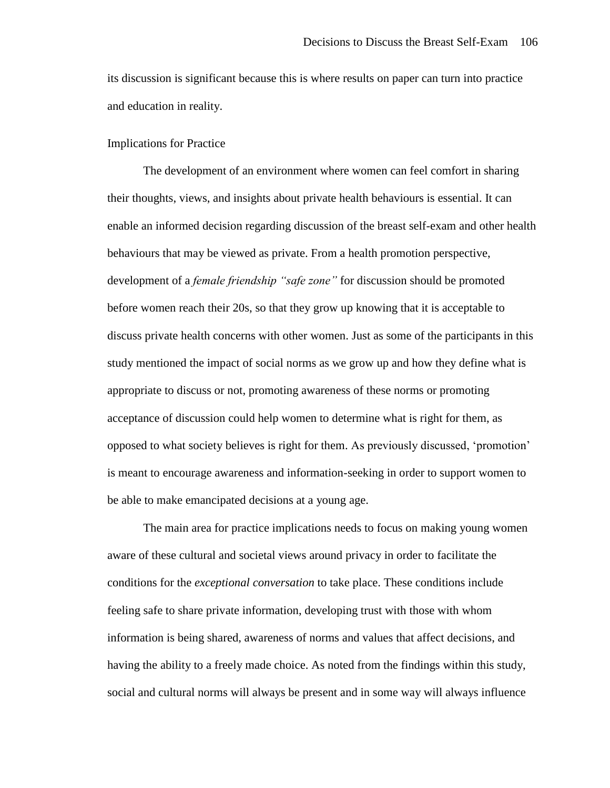its discussion is significant because this is where results on paper can turn into practice and education in reality.

## Implications for Practice

The development of an environment where women can feel comfort in sharing their thoughts, views, and insights about private health behaviours is essential. It can enable an informed decision regarding discussion of the breast self-exam and other health behaviours that may be viewed as private. From a health promotion perspective, development of a *female friendship "safe zone"* for discussion should be promoted before women reach their 20s, so that they grow up knowing that it is acceptable to discuss private health concerns with other women. Just as some of the participants in this study mentioned the impact of social norms as we grow up and how they define what is appropriate to discuss or not, promoting awareness of these norms or promoting acceptance of discussion could help women to determine what is right for them, as opposed to what society believes is right for them. As previously discussed, 'promotion' is meant to encourage awareness and information-seeking in order to support women to be able to make emancipated decisions at a young age.

The main area for practice implications needs to focus on making young women aware of these cultural and societal views around privacy in order to facilitate the conditions for the *exceptional conversation* to take place. These conditions include feeling safe to share private information, developing trust with those with whom information is being shared, awareness of norms and values that affect decisions, and having the ability to a freely made choice. As noted from the findings within this study, social and cultural norms will always be present and in some way will always influence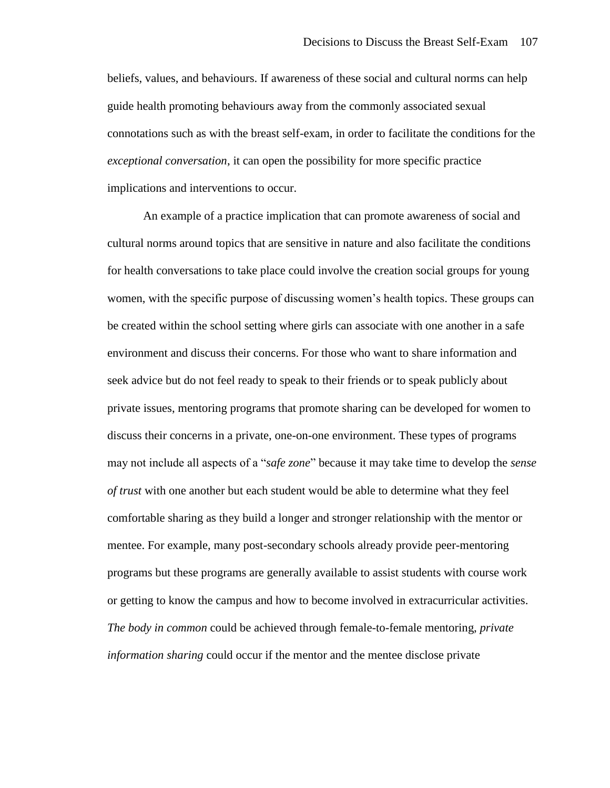beliefs, values, and behaviours. If awareness of these social and cultural norms can help guide health promoting behaviours away from the commonly associated sexual connotations such as with the breast self-exam, in order to facilitate the conditions for the *exceptional conversation*, it can open the possibility for more specific practice implications and interventions to occur.

An example of a practice implication that can promote awareness of social and cultural norms around topics that are sensitive in nature and also facilitate the conditions for health conversations to take place could involve the creation social groups for young women, with the specific purpose of discussing women's health topics. These groups can be created within the school setting where girls can associate with one another in a safe environment and discuss their concerns. For those who want to share information and seek advice but do not feel ready to speak to their friends or to speak publicly about private issues, mentoring programs that promote sharing can be developed for women to discuss their concerns in a private, one-on-one environment. These types of programs may not include all aspects of a "*safe zone*" because it may take time to develop the *sense of trust* with one another but each student would be able to determine what they feel comfortable sharing as they build a longer and stronger relationship with the mentor or mentee. For example, many post-secondary schools already provide peer-mentoring programs but these programs are generally available to assist students with course work or getting to know the campus and how to become involved in extracurricular activities. *The body in common* could be achieved through female-to-female mentoring, *private information sharing* could occur if the mentor and the mentee disclose private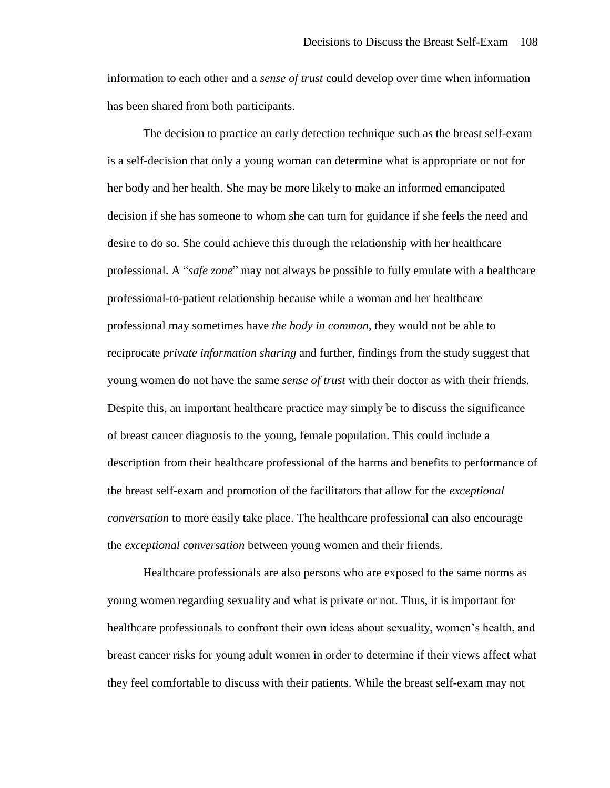information to each other and a *sense of trust* could develop over time when information has been shared from both participants.

The decision to practice an early detection technique such as the breast self-exam is a self-decision that only a young woman can determine what is appropriate or not for her body and her health. She may be more likely to make an informed emancipated decision if she has someone to whom she can turn for guidance if she feels the need and desire to do so. She could achieve this through the relationship with her healthcare professional. A "*safe zone*" may not always be possible to fully emulate with a healthcare professional-to-patient relationship because while a woman and her healthcare professional may sometimes have *the body in common*, they would not be able to reciprocate *private information sharing* and further, findings from the study suggest that young women do not have the same *sense of trust* with their doctor as with their friends. Despite this, an important healthcare practice may simply be to discuss the significance of breast cancer diagnosis to the young, female population. This could include a description from their healthcare professional of the harms and benefits to performance of the breast self-exam and promotion of the facilitators that allow for the *exceptional conversation* to more easily take place. The healthcare professional can also encourage the *exceptional conversation* between young women and their friends.

Healthcare professionals are also persons who are exposed to the same norms as young women regarding sexuality and what is private or not. Thus, it is important for healthcare professionals to confront their own ideas about sexuality, women's health, and breast cancer risks for young adult women in order to determine if their views affect what they feel comfortable to discuss with their patients. While the breast self-exam may not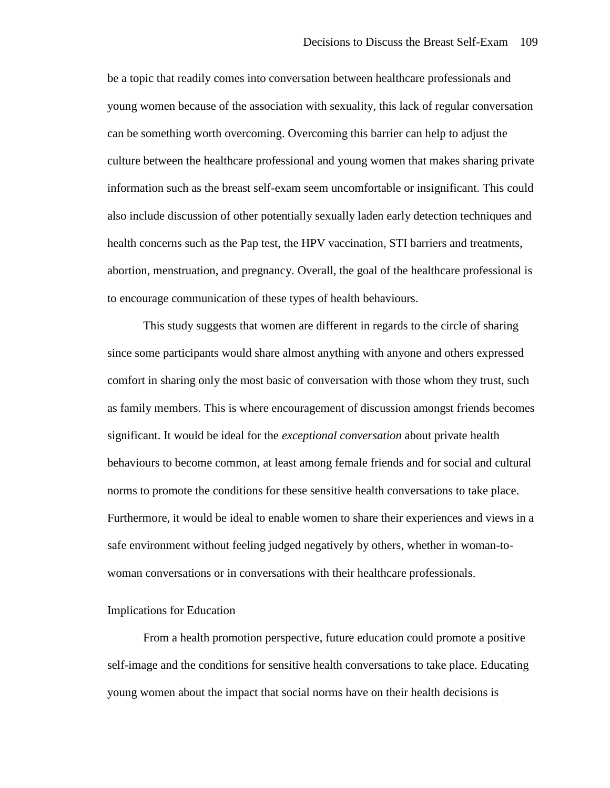be a topic that readily comes into conversation between healthcare professionals and young women because of the association with sexuality, this lack of regular conversation can be something worth overcoming. Overcoming this barrier can help to adjust the culture between the healthcare professional and young women that makes sharing private information such as the breast self-exam seem uncomfortable or insignificant. This could also include discussion of other potentially sexually laden early detection techniques and health concerns such as the Pap test, the HPV vaccination, STI barriers and treatments, abortion, menstruation, and pregnancy. Overall, the goal of the healthcare professional is to encourage communication of these types of health behaviours.

This study suggests that women are different in regards to the circle of sharing since some participants would share almost anything with anyone and others expressed comfort in sharing only the most basic of conversation with those whom they trust, such as family members. This is where encouragement of discussion amongst friends becomes significant. It would be ideal for the *exceptional conversation* about private health behaviours to become common, at least among female friends and for social and cultural norms to promote the conditions for these sensitive health conversations to take place. Furthermore, it would be ideal to enable women to share their experiences and views in a safe environment without feeling judged negatively by others, whether in woman-towoman conversations or in conversations with their healthcare professionals.

#### Implications for Education

From a health promotion perspective, future education could promote a positive self-image and the conditions for sensitive health conversations to take place. Educating young women about the impact that social norms have on their health decisions is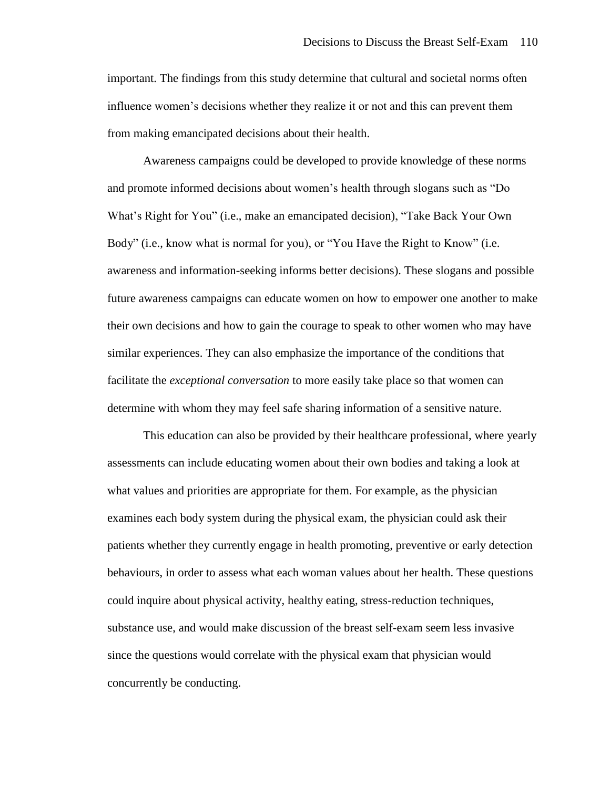important. The findings from this study determine that cultural and societal norms often influence women's decisions whether they realize it or not and this can prevent them from making emancipated decisions about their health.

Awareness campaigns could be developed to provide knowledge of these norms and promote informed decisions about women's health through slogans such as "Do What's Right for You" (i.e., make an emancipated decision), "Take Back Your Own Body" (i.e., know what is normal for you), or "You Have the Right to Know" (i.e. awareness and information-seeking informs better decisions). These slogans and possible future awareness campaigns can educate women on how to empower one another to make their own decisions and how to gain the courage to speak to other women who may have similar experiences. They can also emphasize the importance of the conditions that facilitate the *exceptional conversation* to more easily take place so that women can determine with whom they may feel safe sharing information of a sensitive nature.

This education can also be provided by their healthcare professional, where yearly assessments can include educating women about their own bodies and taking a look at what values and priorities are appropriate for them. For example, as the physician examines each body system during the physical exam, the physician could ask their patients whether they currently engage in health promoting, preventive or early detection behaviours, in order to assess what each woman values about her health. These questions could inquire about physical activity, healthy eating, stress-reduction techniques, substance use, and would make discussion of the breast self-exam seem less invasive since the questions would correlate with the physical exam that physician would concurrently be conducting.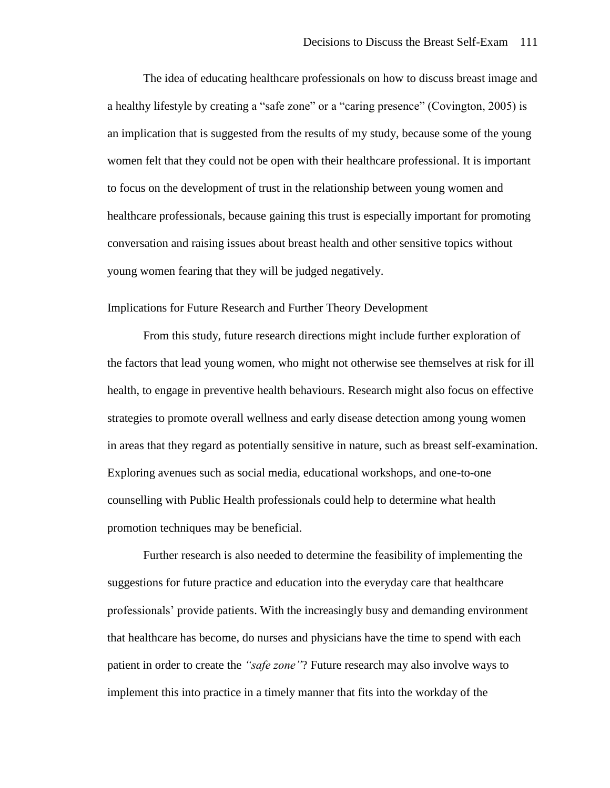The idea of educating healthcare professionals on how to discuss breast image and a healthy lifestyle by creating a "safe zone" or a "caring presence" (Covington, 2005) is an implication that is suggested from the results of my study, because some of the young women felt that they could not be open with their healthcare professional. It is important to focus on the development of trust in the relationship between young women and healthcare professionals, because gaining this trust is especially important for promoting conversation and raising issues about breast health and other sensitive topics without young women fearing that they will be judged negatively.

Implications for Future Research and Further Theory Development

From this study, future research directions might include further exploration of the factors that lead young women, who might not otherwise see themselves at risk for ill health, to engage in preventive health behaviours. Research might also focus on effective strategies to promote overall wellness and early disease detection among young women in areas that they regard as potentially sensitive in nature, such as breast self-examination. Exploring avenues such as social media, educational workshops, and one-to-one counselling with Public Health professionals could help to determine what health promotion techniques may be beneficial.

Further research is also needed to determine the feasibility of implementing the suggestions for future practice and education into the everyday care that healthcare professionals' provide patients. With the increasingly busy and demanding environment that healthcare has become, do nurses and physicians have the time to spend with each patient in order to create the *"safe zone"*? Future research may also involve ways to implement this into practice in a timely manner that fits into the workday of the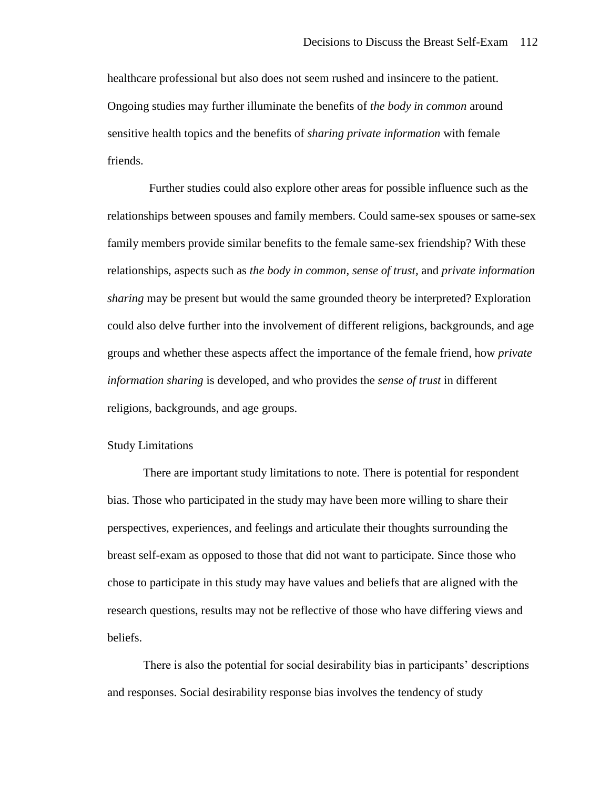healthcare professional but also does not seem rushed and insincere to the patient. Ongoing studies may further illuminate the benefits of *the body in common* around sensitive health topics and the benefits of *sharing private information* with female friends.

 Further studies could also explore other areas for possible influence such as the relationships between spouses and family members. Could same-sex spouses or same-sex family members provide similar benefits to the female same-sex friendship? With these relationships, aspects such as *the body in common, sense of trust,* and *private information sharing* may be present but would the same grounded theory be interpreted? Exploration could also delve further into the involvement of different religions, backgrounds, and age groups and whether these aspects affect the importance of the female friend, how *private information sharing* is developed, and who provides the *sense of trust* in different religions, backgrounds, and age groups.

#### Study Limitations

There are important study limitations to note. There is potential for respondent bias. Those who participated in the study may have been more willing to share their perspectives, experiences, and feelings and articulate their thoughts surrounding the breast self-exam as opposed to those that did not want to participate. Since those who chose to participate in this study may have values and beliefs that are aligned with the research questions, results may not be reflective of those who have differing views and beliefs.

There is also the potential for social desirability bias in participants' descriptions and responses. Social desirability response bias involves the tendency of study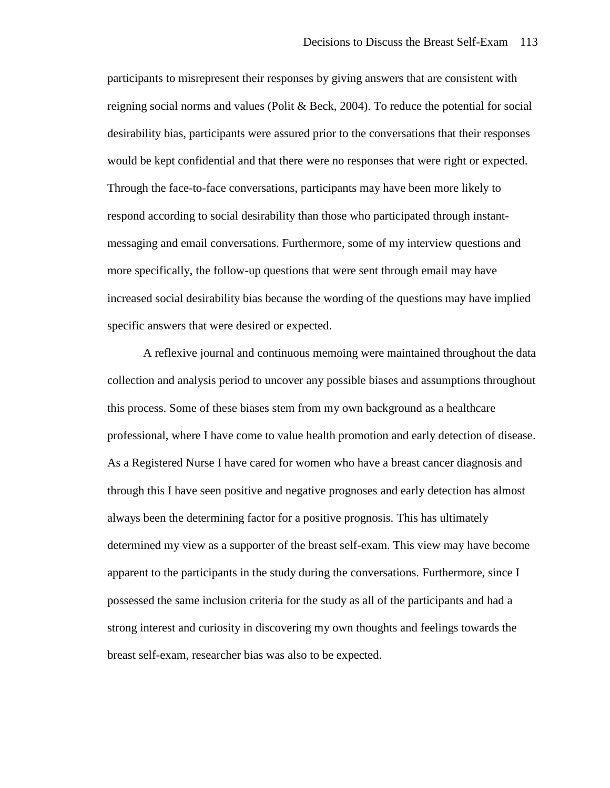participants to misrepresent their responses by giving answers that are consistent with reigning social norms and values (Polit & Beck, 2004). To reduce the potential for social desirability bias, participants were assured prior to the conversations that their responses would be kept confidential and that there were no responses that were right or expected. Through the face-to-face conversations, participants may have been more likely to respond according to social desirability than those who participated through instantmessaging and email conversations. Furthermore, some of my interview questions and more specifically, the follow-up questions that were sent through email may have increased social desirability bias because the wording of the questions may have implied specific answers that were desired or expected.

A reflexive journal and continuous memoing were maintained throughout the data collection and analysis period to uncover any possible biases and assumptions throughout this process. Some of these biases stem from my own background as a healthcare professional, where I have come to value health promotion and early detection of disease. As a Registered Nurse I have cared for women who have a breast cancer diagnosis and through this I have seen positive and negative prognoses and early detection has almost always been the determining factor for a positive prognosis. This has ultimately determined my view as a supporter of the breast self-exam. This view may have become apparent to the participants in the study during the conversations. Furthermore, since I possessed the same inclusion criteria for the study as all of the participants and had a strong interest and curiosity in discovering my own thoughts and feelings towards the breast self-exam, researcher bias was also to be expected.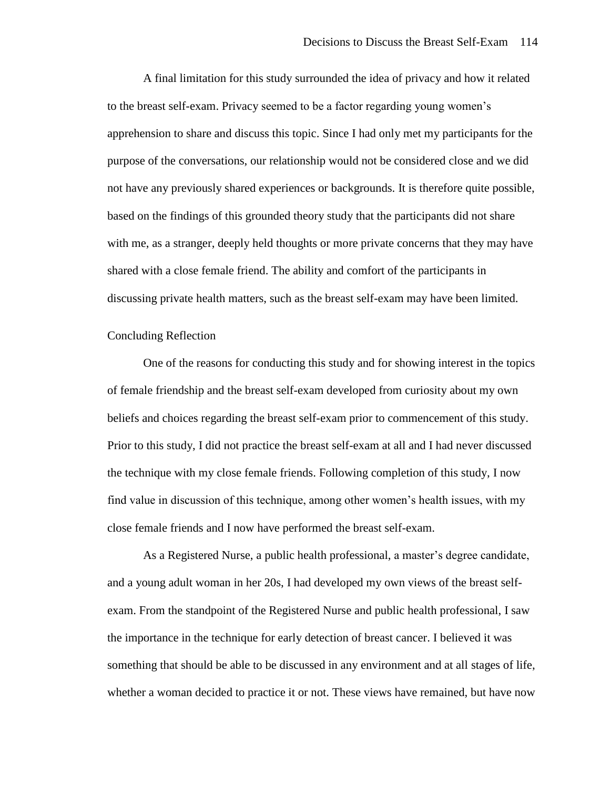A final limitation for this study surrounded the idea of privacy and how it related to the breast self-exam. Privacy seemed to be a factor regarding young women's apprehension to share and discuss this topic. Since I had only met my participants for the purpose of the conversations, our relationship would not be considered close and we did not have any previously shared experiences or backgrounds. It is therefore quite possible, based on the findings of this grounded theory study that the participants did not share with me, as a stranger, deeply held thoughts or more private concerns that they may have shared with a close female friend. The ability and comfort of the participants in discussing private health matters, such as the breast self-exam may have been limited.

#### Concluding Reflection

One of the reasons for conducting this study and for showing interest in the topics of female friendship and the breast self-exam developed from curiosity about my own beliefs and choices regarding the breast self-exam prior to commencement of this study. Prior to this study, I did not practice the breast self-exam at all and I had never discussed the technique with my close female friends. Following completion of this study, I now find value in discussion of this technique, among other women's health issues, with my close female friends and I now have performed the breast self-exam.

As a Registered Nurse, a public health professional, a master's degree candidate, and a young adult woman in her 20s, I had developed my own views of the breast selfexam. From the standpoint of the Registered Nurse and public health professional, I saw the importance in the technique for early detection of breast cancer. I believed it was something that should be able to be discussed in any environment and at all stages of life, whether a woman decided to practice it or not. These views have remained, but have now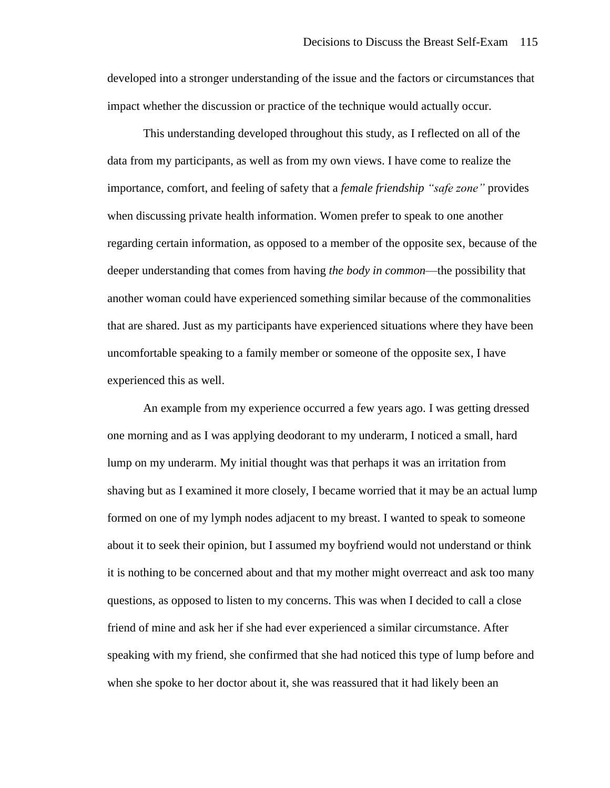developed into a stronger understanding of the issue and the factors or circumstances that impact whether the discussion or practice of the technique would actually occur.

This understanding developed throughout this study, as I reflected on all of the data from my participants, as well as from my own views. I have come to realize the importance, comfort, and feeling of safety that a *female friendship "safe zone"* provides when discussing private health information. Women prefer to speak to one another regarding certain information, as opposed to a member of the opposite sex, because of the deeper understanding that comes from having *the body in common*—the possibility that another woman could have experienced something similar because of the commonalities that are shared. Just as my participants have experienced situations where they have been uncomfortable speaking to a family member or someone of the opposite sex, I have experienced this as well.

An example from my experience occurred a few years ago. I was getting dressed one morning and as I was applying deodorant to my underarm, I noticed a small, hard lump on my underarm. My initial thought was that perhaps it was an irritation from shaving but as I examined it more closely, I became worried that it may be an actual lump formed on one of my lymph nodes adjacent to my breast. I wanted to speak to someone about it to seek their opinion, but I assumed my boyfriend would not understand or think it is nothing to be concerned about and that my mother might overreact and ask too many questions, as opposed to listen to my concerns. This was when I decided to call a close friend of mine and ask her if she had ever experienced a similar circumstance. After speaking with my friend, she confirmed that she had noticed this type of lump before and when she spoke to her doctor about it, she was reassured that it had likely been an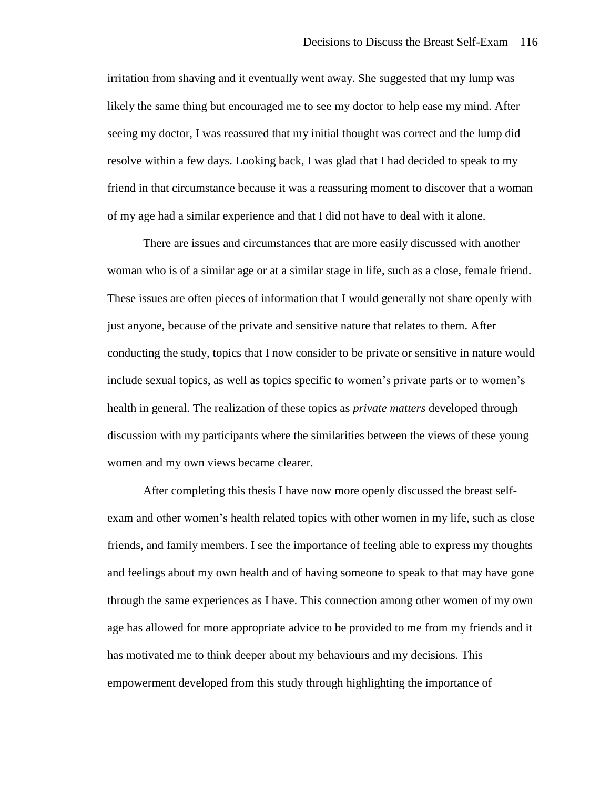irritation from shaving and it eventually went away. She suggested that my lump was likely the same thing but encouraged me to see my doctor to help ease my mind. After seeing my doctor, I was reassured that my initial thought was correct and the lump did resolve within a few days. Looking back, I was glad that I had decided to speak to my friend in that circumstance because it was a reassuring moment to discover that a woman of my age had a similar experience and that I did not have to deal with it alone.

There are issues and circumstances that are more easily discussed with another woman who is of a similar age or at a similar stage in life, such as a close, female friend. These issues are often pieces of information that I would generally not share openly with just anyone, because of the private and sensitive nature that relates to them. After conducting the study, topics that I now consider to be private or sensitive in nature would include sexual topics, as well as topics specific to women's private parts or to women's health in general. The realization of these topics as *private matters* developed through discussion with my participants where the similarities between the views of these young women and my own views became clearer.

After completing this thesis I have now more openly discussed the breast selfexam and other women's health related topics with other women in my life, such as close friends, and family members. I see the importance of feeling able to express my thoughts and feelings about my own health and of having someone to speak to that may have gone through the same experiences as I have. This connection among other women of my own age has allowed for more appropriate advice to be provided to me from my friends and it has motivated me to think deeper about my behaviours and my decisions. This empowerment developed from this study through highlighting the importance of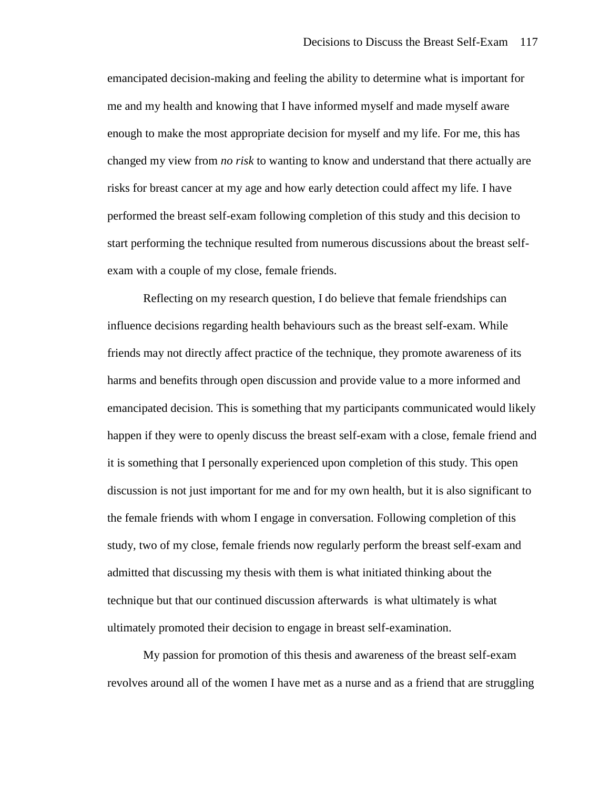emancipated decision-making and feeling the ability to determine what is important for me and my health and knowing that I have informed myself and made myself aware enough to make the most appropriate decision for myself and my life. For me, this has changed my view from *no risk* to wanting to know and understand that there actually are risks for breast cancer at my age and how early detection could affect my life. I have performed the breast self-exam following completion of this study and this decision to start performing the technique resulted from numerous discussions about the breast selfexam with a couple of my close, female friends.

Reflecting on my research question, I do believe that female friendships can influence decisions regarding health behaviours such as the breast self-exam. While friends may not directly affect practice of the technique, they promote awareness of its harms and benefits through open discussion and provide value to a more informed and emancipated decision. This is something that my participants communicated would likely happen if they were to openly discuss the breast self-exam with a close, female friend and it is something that I personally experienced upon completion of this study. This open discussion is not just important for me and for my own health, but it is also significant to the female friends with whom I engage in conversation. Following completion of this study, two of my close, female friends now regularly perform the breast self-exam and admitted that discussing my thesis with them is what initiated thinking about the technique but that our continued discussion afterwards is what ultimately is what ultimately promoted their decision to engage in breast self-examination.

My passion for promotion of this thesis and awareness of the breast self-exam revolves around all of the women I have met as a nurse and as a friend that are struggling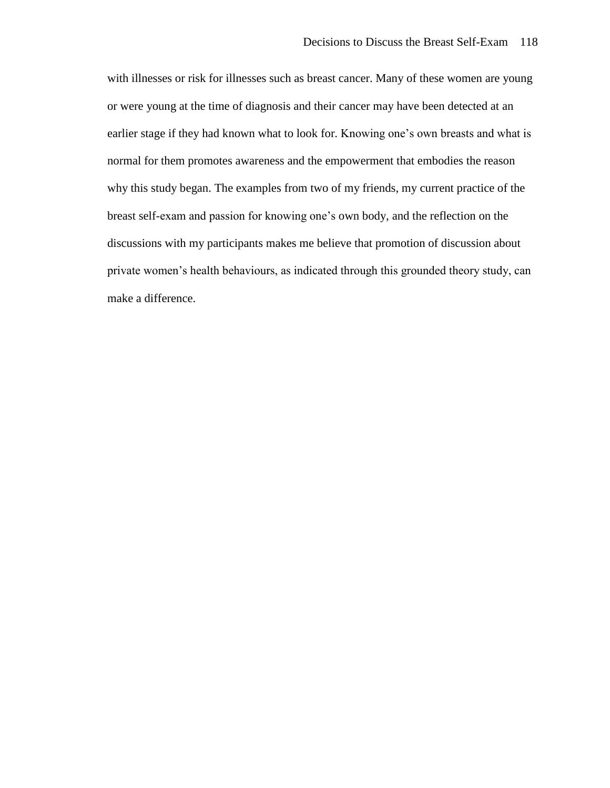with illnesses or risk for illnesses such as breast cancer. Many of these women are young or were young at the time of diagnosis and their cancer may have been detected at an earlier stage if they had known what to look for. Knowing one's own breasts and what is normal for them promotes awareness and the empowerment that embodies the reason why this study began. The examples from two of my friends, my current practice of the breast self-exam and passion for knowing one's own body, and the reflection on the discussions with my participants makes me believe that promotion of discussion about private women's health behaviours, as indicated through this grounded theory study, can make a difference.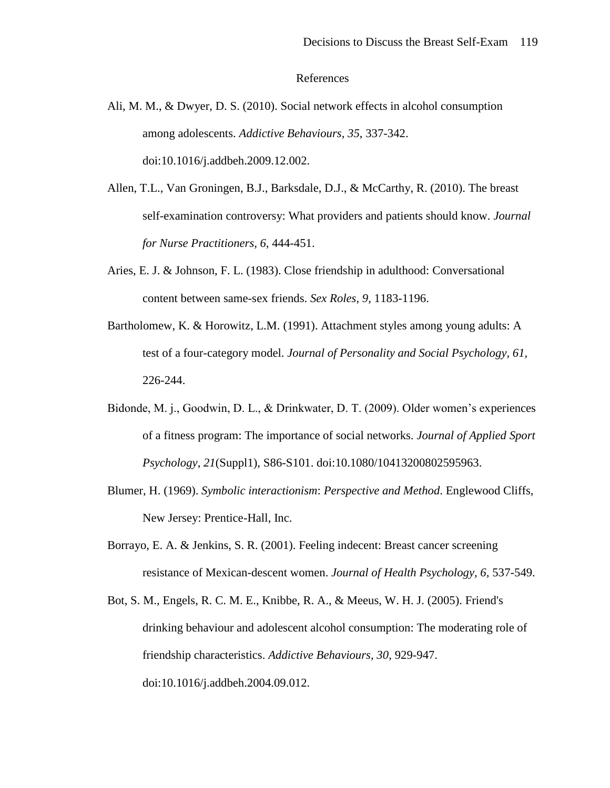#### References

- Ali, M. M., & Dwyer, D. S. (2010). Social network effects in alcohol consumption among adolescents. *Addictive Behaviours, 35*, 337-342. doi:10.1016/j.addbeh.2009.12.002.
- Allen, T.L., Van Groningen, B.J., Barksdale, D.J., & McCarthy, R. (2010). The breast self-examination controversy: What providers and patients should know. *Journal for Nurse Practitioners, 6,* 444-451.
- Aries, E. J. & Johnson, F. L. (1983). Close friendship in adulthood: Conversational content between same-sex friends. *Sex Roles, 9,* 1183-1196.
- Bartholomew, K. & Horowitz, L.M. (1991). Attachment styles among young adults: A test of a four-category model. *Journal of Personality and Social Psychology, 61,*  226-244.
- Bidonde, M. j., Goodwin, D. L., & Drinkwater, D. T. (2009). Older women's experiences of a fitness program: The importance of social networks. *Journal of Applied Sport Psychology, 21*(Suppl1), S86-S101. doi:10.1080/10413200802595963.
- Blumer, H. (1969). *Symbolic interactionism*: *Perspective and Method*. Englewood Cliffs, New Jersey: Prentice-Hall, Inc.
- Borrayo, E. A. & Jenkins, S. R. (2001). Feeling indecent: Breast cancer screening resistance of Mexican-descent women. *Journal of Health Psychology, 6,* 537-549.
- Bot, S. M., Engels, R. C. M. E., Knibbe, R. A., & Meeus, W. H. J. (2005). Friend's drinking behaviour and adolescent alcohol consumption: The moderating role of friendship characteristics. *Addictive Behaviours, 30*, 929-947. doi:10.1016/j.addbeh.2004.09.012.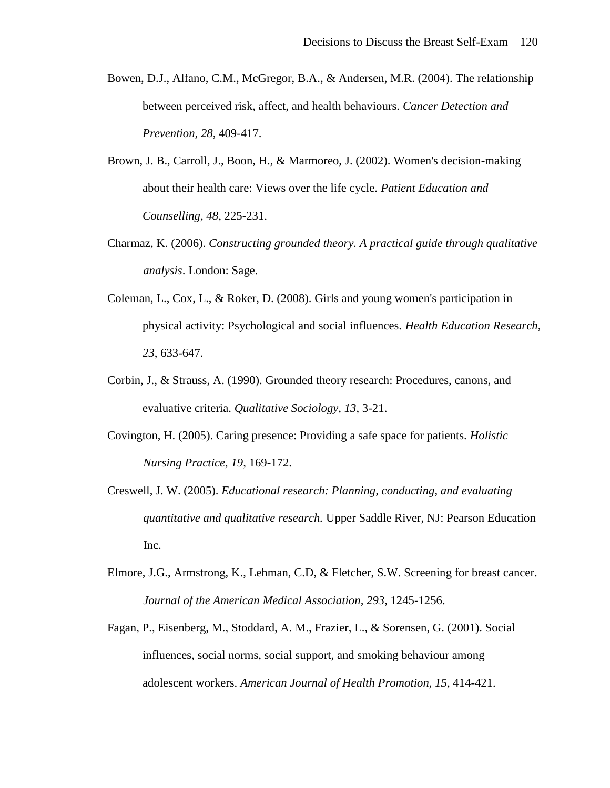- Bowen, D.J., Alfano, C.M., McGregor, B.A., & Andersen, M.R. (2004). The relationship between perceived risk, affect, and health behaviours. *Cancer Detection and Prevention, 28,* 409-417.
- Brown, J. B., Carroll, J., Boon, H., & Marmoreo, J. (2002). Women's decision-making about their health care: Views over the life cycle. *Patient Education and Counselling, 48*, 225-231.
- Charmaz, K. (2006). *Constructing grounded theory. A practical guide through qualitative analysis*. London: Sage.
- Coleman, L., Cox, L., & Roker, D. (2008). Girls and young women's participation in physical activity: Psychological and social influences. *Health Education Research, 23*, 633-647.
- Corbin, J., & Strauss, A. (1990). Grounded theory research: Procedures, canons, and evaluative criteria. *Qualitative Sociology, 13*, 3-21.
- Covington, H. (2005). Caring presence: Providing a safe space for patients. *Holistic Nursing Practice, 19,* 169-172.
- Creswell, J. W. (2005). *Educational research: Planning, conducting, and evaluating quantitative and qualitative research.* Upper Saddle River, NJ: Pearson Education Inc.
- Elmore, J.G., Armstrong, K., Lehman, C.D, & Fletcher, S.W. Screening for breast cancer. *Journal of the American Medical Association, 293,* 1245-1256.
- Fagan, P., Eisenberg, M., Stoddard, A. M., Frazier, L., & Sorensen, G. (2001). Social influences, social norms, social support, and smoking behaviour among adolescent workers. *American Journal of Health Promotion, 15*, 414-421.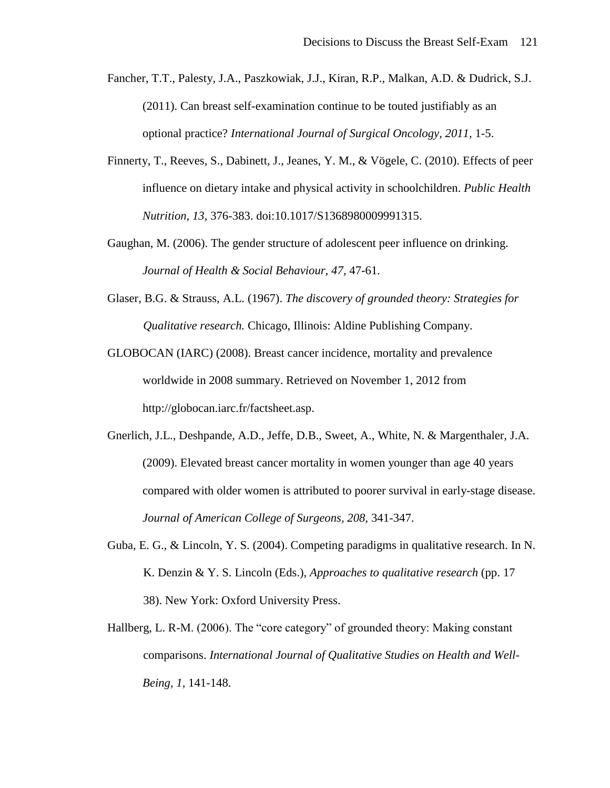- Fancher, T.T., Palesty, J.A., Paszkowiak, J.J., Kiran, R.P., Malkan, A.D. & Dudrick, S.J. (2011). Can breast self-examination continue to be touted justifiably as an optional practice? *International Journal of Surgical Oncology, 2011,* 1-5.
- Finnerty, T., Reeves, S., Dabinett, J., Jeanes, Y. M., & Vögele, C. (2010). Effects of peer influence on dietary intake and physical activity in schoolchildren. *Public Health Nutrition, 13*, 376-383. doi:10.1017/S1368980009991315.
- Gaughan, M. (2006). The gender structure of adolescent peer influence on drinking. *Journal of Health & Social Behaviour, 47*, 47-61.
- Glaser, B.G. & Strauss, A.L. (1967). *The discovery of grounded theory: Strategies for Qualitative research.* Chicago, Illinois: Aldine Publishing Company.
- GLOBOCAN (IARC) (2008). Breast cancer incidence, mortality and prevalence worldwide in 2008 summary. Retrieved on November 1, 2012 from http://globocan.iarc.fr/factsheet.asp.
- Gnerlich, J.L., Deshpande, A.D., Jeffe, D.B., Sweet, A., White, N. & Margenthaler, J.A. (2009). Elevated breast cancer mortality in women younger than age 40 years compared with older women is attributed to poorer survival in early-stage disease. *Journal of American College of Surgeons, 208,* 341-347.
- Guba, E. G., & Lincoln, Y. S. (2004). Competing paradigms in qualitative research. In N. K. Denzin & Y. S. Lincoln (Eds.), *Approaches to qualitative research* (pp. 17 38). New York: Oxford University Press.
- Hallberg, L. R-M. (2006). The "core category" of grounded theory: Making constant comparisons. *International Journal of Qualitative Studies on Health and Well-Being, 1,* 141-148.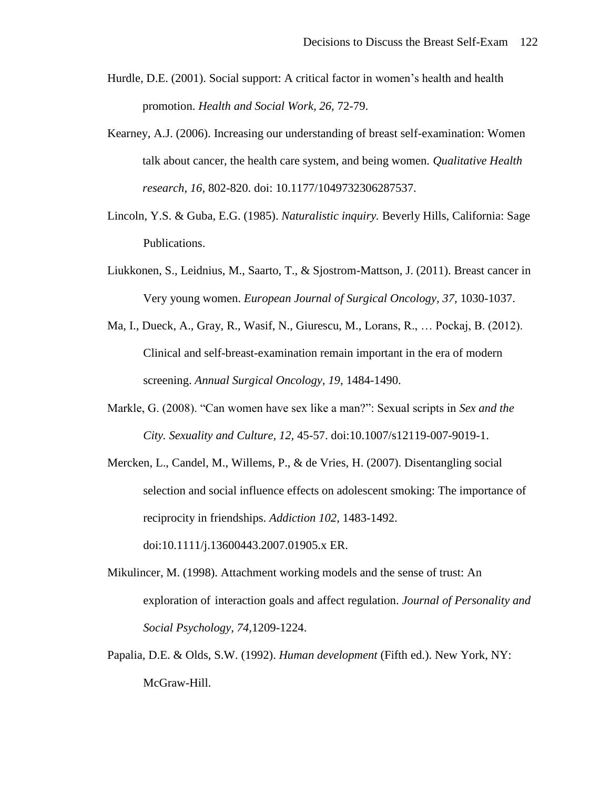- Hurdle, D.E. (2001). Social support: A critical factor in women's health and health promotion. *Health and Social Work, 26,* 72-79.
- Kearney, A.J. (2006). Increasing our understanding of breast self-examination: Women talk about cancer, the health care system, and being women. *Qualitative Health research, 16,* 802-820. doi: 10.1177/1049732306287537.
- Lincoln, Y.S. & Guba, E.G. (1985). *Naturalistic inquiry.* Beverly Hills, California: Sage Publications.
- Liukkonen, S., Leidnius, M., Saarto, T., & Sjostrom-Mattson, J. (2011). Breast cancer in Very young women. *European Journal of Surgical Oncology, 37,* 1030-1037.
- Ma, I., Dueck, A., Gray, R., Wasif, N., Giurescu, M., Lorans, R., … Pockaj, B. (2012). Clinical and self-breast-examination remain important in the era of modern screening. *Annual Surgical Oncology, 19,* 1484-1490.
- Markle, G. (2008). "Can women have sex like a man?": Sexual scripts in *Sex and the City. Sexuality and Culture, 12,* 45-57. doi:10.1007/s12119-007-9019-1.
- Mercken, L., Candel, M., Willems, P., & de Vries, H. (2007). Disentangling social selection and social influence effects on adolescent smoking: The importance of reciprocity in friendships. *Addiction 102*, 1483-1492. doi:10.1111/j.13600443.2007.01905.x ER.
- Mikulincer, M. (1998). Attachment working models and the sense of trust: An exploration of interaction goals and affect regulation. *Journal of Personality and Social Psychology, 74,*1209-1224.
- Papalia, D.E. & Olds, S.W. (1992). *Human development* (Fifth ed.). New York, NY: McGraw-Hill.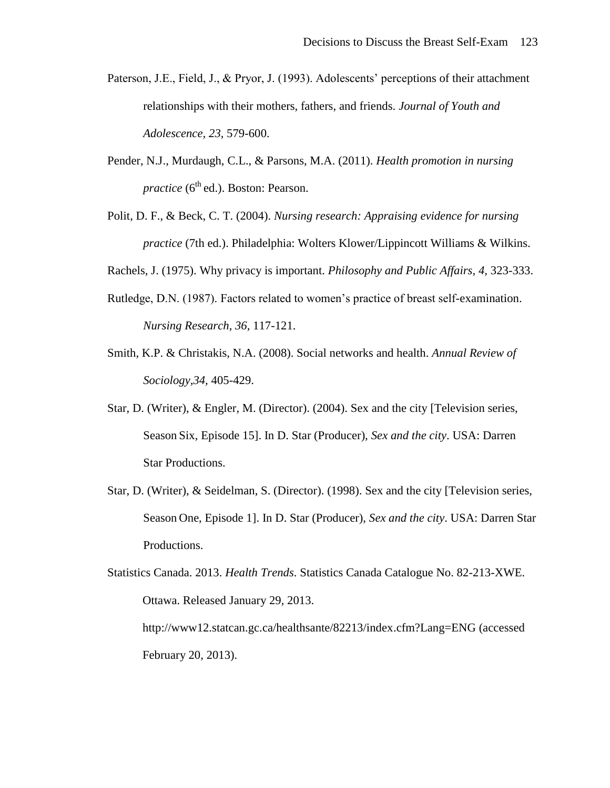- Paterson, J.E., Field, J., & Pryor, J. (1993). Adolescents' perceptions of their attachment relationships with their mothers, fathers, and friends. *Journal of Youth and Adolescence, 23,* 579-600.
- Pender, N.J., Murdaugh, C.L., & Parsons, M.A. (2011). *Health promotion in nursing practice* (6<sup>th</sup> ed.). Boston: Pearson.
- Polit, D. F., & Beck, C. T. (2004). *Nursing research: Appraising evidence for nursing practice* (7th ed.). Philadelphia: Wolters Klower/Lippincott Williams & Wilkins.

Rachels, J. (1975). Why privacy is important. *Philosophy and Public Affairs, 4,* 323-333.

- Rutledge, D.N. (1987). Factors related to women's practice of breast self-examination. *Nursing Research, 36,* 117-121.
- Smith, K.P. & Christakis, N.A. (2008). Social networks and health. *Annual Review of Sociology,34,* 405-429.
- Star, D. (Writer), & Engler, M. (Director). (2004). Sex and the city [Television series, Season Six, Episode 15]. In D. Star (Producer), *Sex and the city*. USA: Darren Star Productions.
- Star, D. (Writer), & Seidelman, S. (Director). (1998). Sex and the city [Television series, Season One, Episode 1]. In D. Star (Producer), *Sex and the city*. USA: Darren Star Productions.

Statistics Canada. 2013. *Health Trends*. Statistics Canada Catalogue No. 82-213-XWE. Ottawa. Released January 29, 2013. http://www12.statcan.gc.ca/healthsante/82213/index.cfm?Lang=ENG (accessed

February 20, 2013).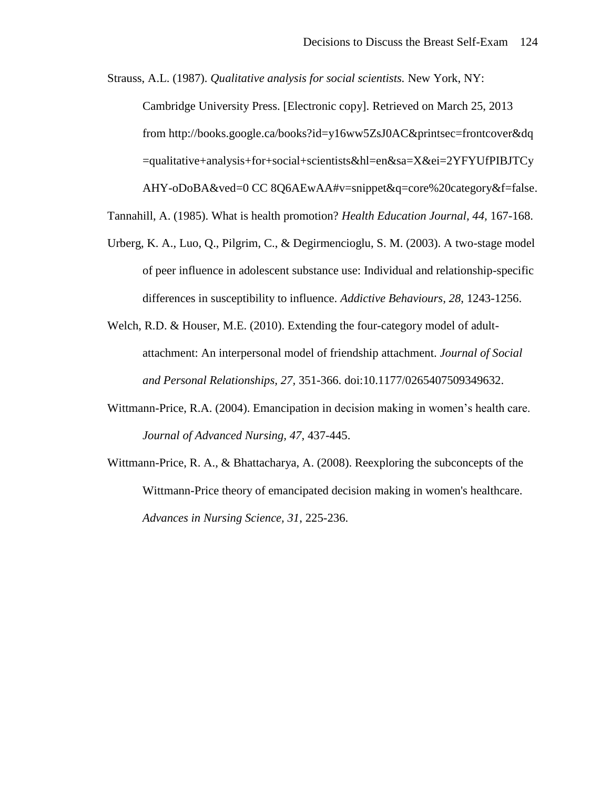Strauss, A.L. (1987). *Qualitative analysis for social scientists.* New York, NY:

Cambridge University Press. [Electronic copy]. Retrieved on March 25, 2013

from http://books.google.ca/books?id=y16ww5ZsJ0AC&printsec=frontcover&dq

=qualitative+analysis+for+social+scientists&hl=en&sa=X&ei=2YFYUfPIBJTCy

AHY-oDoBA&ved=0 CC 8Q6AEwAA#v=snippet&q=core%20category&f=false.

Tannahill, A. (1985). What is health promotion? *Health Education Journal, 44,* 167-168.

- Urberg, K. A., Luo, Q., Pilgrim, C., & Degirmencioglu, S. M. (2003). A two-stage model of peer influence in adolescent substance use: Individual and relationship-specific differences in susceptibility to influence. *Addictive Behaviours, 28*, 1243-1256.
- Welch, R.D. & Houser, M.E. (2010). Extending the four-category model of adultattachment: An interpersonal model of friendship attachment. *Journal of Social and Personal Relationships, 27,* 351-366. doi:10.1177/0265407509349632.
- Wittmann-Price, R.A. (2004). Emancipation in decision making in women's health care. *Journal of Advanced Nursing, 47,* 437-445.
- Wittmann-Price, R. A., & Bhattacharya, A. (2008). Reexploring the subconcepts of the Wittmann-Price theory of emancipated decision making in women's healthcare. *Advances in Nursing Science, 31*, 225-236.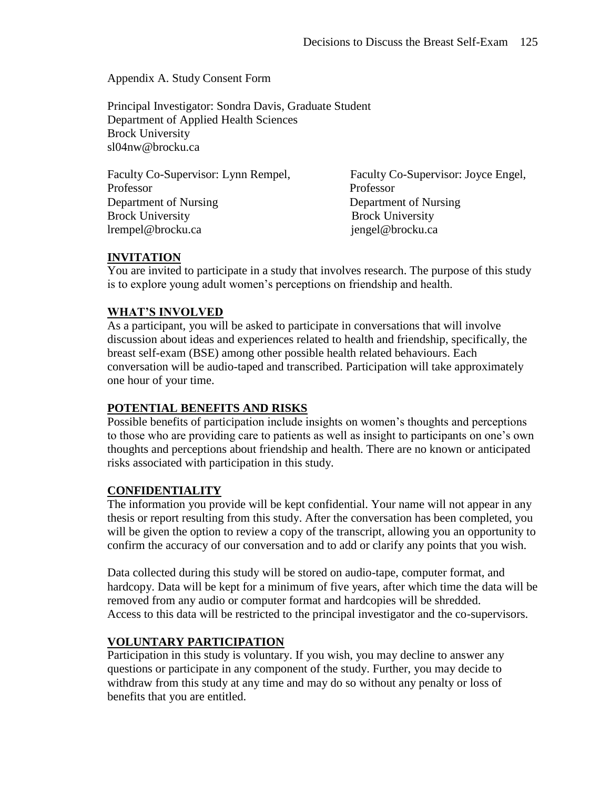Appendix A. Study Consent Form

Principal Investigator: Sondra Davis, Graduate Student Department of Applied Health Sciences Brock University sl04nw@brocku.ca

| Faculty Co-Supervisor: Lynn Rempel, | Faculty C       |
|-------------------------------------|-----------------|
| Professor                           | Professor       |
| Department of Nursing               | Departme        |
| <b>Brock University</b>             | <b>Brock Un</b> |
| lrempel@brocku.ca                   | jengel@b        |

alty Co-Supervisor: Joyce Engel, artment of Nursing ck University rel@brocku.ca

# **INVITATION**

You are invited to participate in a study that involves research. The purpose of this study is to explore young adult women's perceptions on friendship and health.

# **WHAT'S INVOLVED**

As a participant, you will be asked to participate in conversations that will involve discussion about ideas and experiences related to health and friendship, specifically, the breast self-exam (BSE) among other possible health related behaviours. Each conversation will be audio-taped and transcribed. Participation will take approximately one hour of your time.

## **POTENTIAL BENEFITS AND RISKS**

Possible benefits of participation include insights on women's thoughts and perceptions to those who are providing care to patients as well as insight to participants on one's own thoughts and perceptions about friendship and health. There are no known or anticipated risks associated with participation in this study.

## **CONFIDENTIALITY**

The information you provide will be kept confidential. Your name will not appear in any thesis or report resulting from this study. After the conversation has been completed, you will be given the option to review a copy of the transcript, allowing you an opportunity to confirm the accuracy of our conversation and to add or clarify any points that you wish.

Data collected during this study will be stored on audio-tape, computer format, and hardcopy. Data will be kept for a minimum of five years, after which time the data will be removed from any audio or computer format and hardcopies will be shredded. Access to this data will be restricted to the principal investigator and the co-supervisors.

## **VOLUNTARY PARTICIPATION**

Participation in this study is voluntary. If you wish, you may decline to answer any questions or participate in any component of the study. Further, you may decide to withdraw from this study at any time and may do so without any penalty or loss of benefits that you are entitled.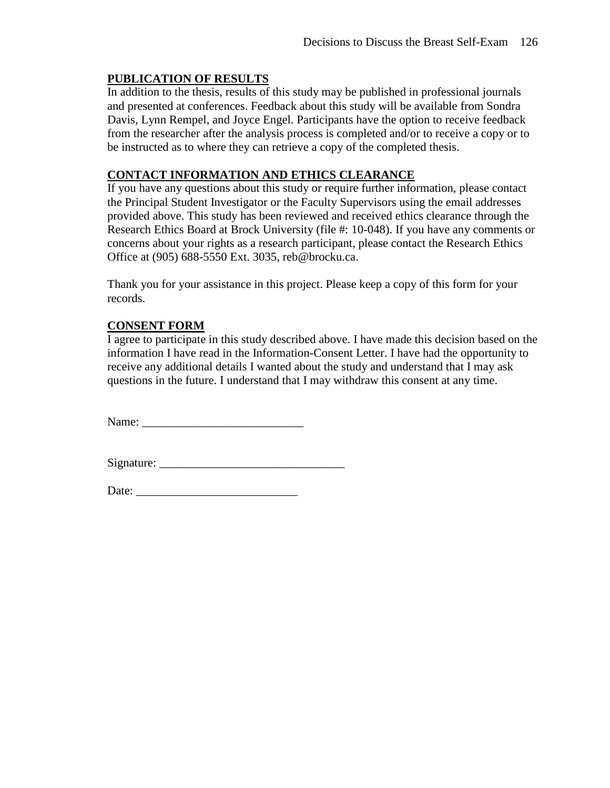# **PUBLICATION OF RESULTS**

In addition to the thesis, results of this study may be published in professional journals and presented at conferences. Feedback about this study will be available from Sondra Davis, Lynn Rempel, and Joyce Engel. Participants have the option to receive feedback from the researcher after the analysis process is completed and/or to receive a copy or to be instructed as to where they can retrieve a copy of the completed thesis.

# **CONTACT INFORMATION AND ETHICS CLEARANCE**

If you have any questions about this study or require further information, please contact the Principal Student Investigator or the Faculty Supervisors using the email addresses provided above. This study has been reviewed and received ethics clearance through the Research Ethics Board at Brock University (file #: 10-048). If you have any comments or concerns about your rights as a research participant, please contact the Research Ethics Office at (905) 688-5550 Ext. 3035, reb@brocku.ca.

Thank you for your assistance in this project. Please keep a copy of this form for your records.

# **CONSENT FORM**

I agree to participate in this study described above. I have made this decision based on the information I have read in the Information-Consent Letter. I have had the opportunity to receive any additional details I wanted about the study and understand that I may ask questions in the future. I understand that I may withdraw this consent at any time.

Name: \_\_\_\_\_\_\_\_\_\_\_\_\_\_\_\_\_\_\_\_\_\_\_\_\_\_\_

Signature: \_\_\_\_\_\_\_\_\_\_\_\_\_\_\_\_\_\_\_\_\_\_\_\_\_\_\_\_\_\_\_

Date: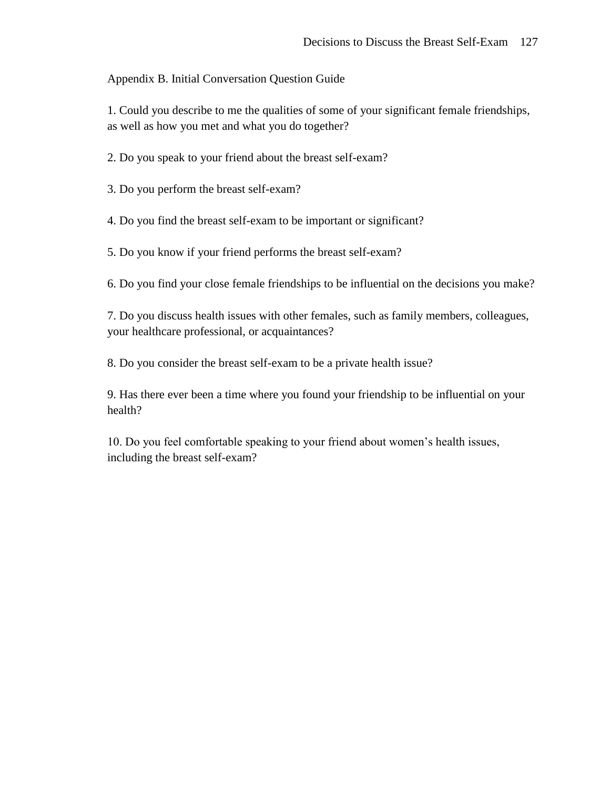Appendix B. Initial Conversation Question Guide

1. Could you describe to me the qualities of some of your significant female friendships, as well as how you met and what you do together?

2. Do you speak to your friend about the breast self-exam?

3. Do you perform the breast self-exam?

4. Do you find the breast self-exam to be important or significant?

5. Do you know if your friend performs the breast self-exam?

6. Do you find your close female friendships to be influential on the decisions you make?

7. Do you discuss health issues with other females, such as family members, colleagues, your healthcare professional, or acquaintances?

8. Do you consider the breast self-exam to be a private health issue?

9. Has there ever been a time where you found your friendship to be influential on your health?

10. Do you feel comfortable speaking to your friend about women's health issues, including the breast self-exam?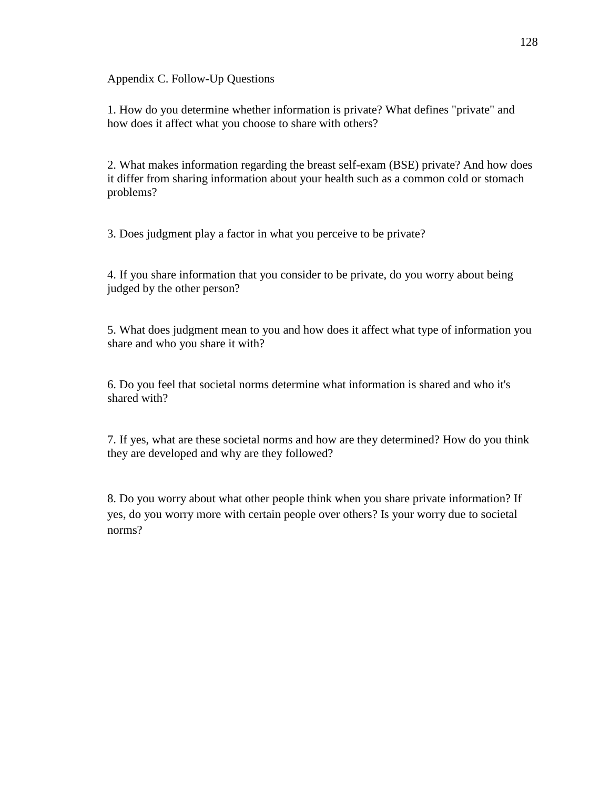Appendix C. Follow-Up Questions

1. How do you determine whether information is private? What defines "private" and how does it affect what you choose to share with others?

2. What makes information regarding the breast self-exam (BSE) private? And how does it differ from sharing information about your health such as a common cold or stomach problems?

3. Does judgment play a factor in what you perceive to be private?

4. If you share information that you consider to be private, do you worry about being judged by the other person?

5. What does judgment mean to you and how does it affect what type of information you share and who you share it with?

6. Do you feel that societal norms determine what information is shared and who it's shared with?

7. If yes, what are these societal norms and how are they determined? How do you think they are developed and why are they followed?

8. Do you worry about what other people think when you share private information? If yes, do you worry more with certain people over others? Is your worry due to societal norms?